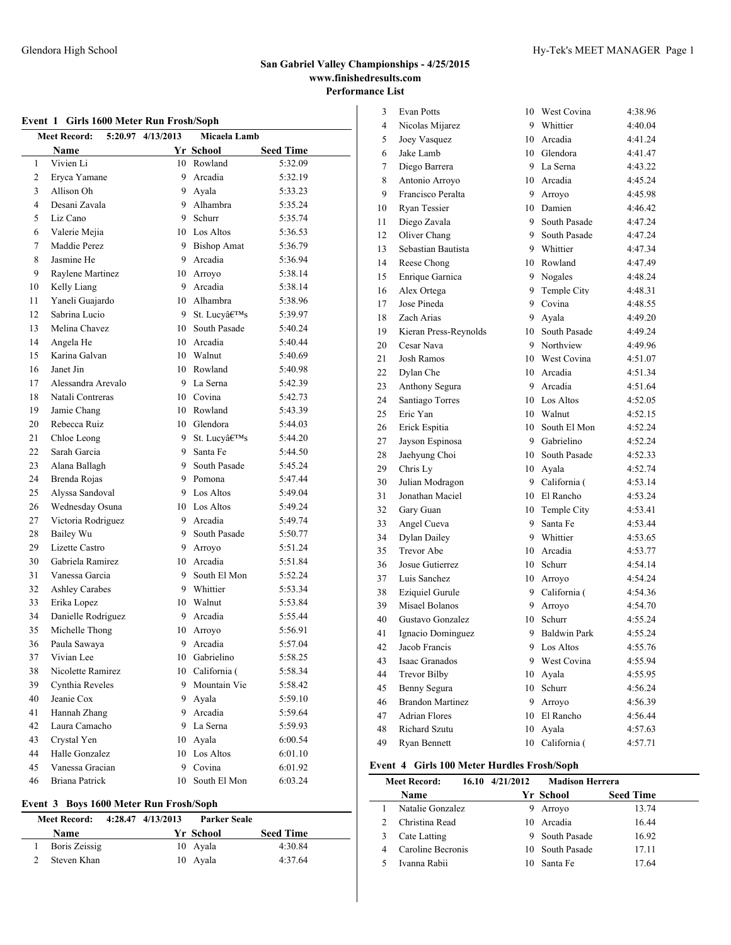| Event 1 Girls 1600 Meter Run Frosh/Soph |                                                             |    |                 |                  |  |  |  |  |
|-----------------------------------------|-------------------------------------------------------------|----|-----------------|------------------|--|--|--|--|
|                                         | 4/13/2013<br>Micaela Lamb<br><b>Meet Record:</b><br>5:20.97 |    |                 |                  |  |  |  |  |
|                                         | Name                                                        |    | Yr School       | <b>Seed Time</b> |  |  |  |  |
| 1                                       | Vivien Li                                                   |    | 10 Rowland      | 5:32.09          |  |  |  |  |
| $\overline{c}$                          | Eryca Yamane                                                |    | 9 Arcadia       | 5:32.19          |  |  |  |  |
| 3                                       | Allison Oh                                                  |    | 9 Ayala         | 5:33.23          |  |  |  |  |
| 4                                       | Desani Zavala                                               |    | 9 Alhambra      | 5:35.24          |  |  |  |  |
| 5                                       | Liz Cano                                                    | 9. | Schurr          | 5:35.74          |  |  |  |  |
| 6                                       | Valerie Mejia                                               |    | 10 Los Altos    | 5:36.53          |  |  |  |  |
| 7                                       | Maddie Perez                                                |    | 9 Bishop Amat   | 5:36.79          |  |  |  |  |
| 8                                       | Jasmine He                                                  |    | 9 Arcadia       | 5:36.94          |  |  |  |  |
| 9                                       | Raylene Martinez                                            |    | 10 Arroyo       | 5:38.14          |  |  |  |  |
| 10                                      | Kelly Liang                                                 |    | 9 Arcadia       | 5:38.14          |  |  |  |  |
| 11                                      | Yaneli Guajardo                                             |    | 10 Alhambra     | 5:38.96          |  |  |  |  |
| 12                                      | Sabrina Lucio                                               |    | 9 St. Lucy's    | 5:39.97          |  |  |  |  |
| 13                                      | Melina Chavez                                               |    | 10 South Pasade | 5:40.24          |  |  |  |  |
| 14                                      | Angela He                                                   |    | 10 Arcadia      | 5:40.44          |  |  |  |  |
| 15                                      | Karina Galvan                                               |    | 10 Walnut       | 5:40.69          |  |  |  |  |
| 16                                      | Janet Jin                                                   |    | 10 Rowland      | 5:40.98          |  |  |  |  |
| 17                                      | Alessandra Arevalo                                          |    | 9 La Serna      | 5:42.39          |  |  |  |  |
| 18                                      | Natali Contreras                                            |    | 10 Covina       | 5:42.73          |  |  |  |  |
| 19                                      | Jamie Chang                                                 |    | 10 Rowland      | 5:43.39          |  |  |  |  |
| 20                                      | Rebecca Ruiz                                                |    | 10 Glendora     | 5:44.03          |  |  |  |  |
| 21                                      | Chloe Leong                                                 | 9  | St. Lucy's      | 5:44.20          |  |  |  |  |
| 22                                      | Sarah Garcia                                                | 9  | Santa Fe        | 5:44.50          |  |  |  |  |
| 23                                      | Alana Ballagh                                               | 9  | South Pasade    | 5:45.24          |  |  |  |  |
| 24                                      | Brenda Rojas                                                |    | 9 Pomona        | 5:47.44          |  |  |  |  |
| 25                                      | Alyssa Sandoval                                             |    | 9 Los Altos     | 5:49.04          |  |  |  |  |
| 26                                      | Wednesday Osuna                                             |    | 10 Los Altos    | 5:49.24          |  |  |  |  |
| 27                                      | Victoria Rodriguez                                          |    | 9 Arcadia       | 5:49.74          |  |  |  |  |
| 28                                      | Bailey Wu                                                   | 9  | South Pasade    | 5:50.77          |  |  |  |  |
| 29                                      | Lizette Castro                                              | 9  | Arrovo          | 5:51.24          |  |  |  |  |
| 30                                      | Gabriela Ramirez                                            |    | 10 Arcadia      | 5:51.84          |  |  |  |  |
| 31                                      | Vanessa Garcia                                              | 9  | South El Mon    | 5:52.24          |  |  |  |  |
| 32                                      | <b>Ashley Carabes</b>                                       |    | 9 Whittier      | 5:53.34          |  |  |  |  |
| 33                                      | Erika Lopez                                                 |    | 10 Walnut       | 5:53.84          |  |  |  |  |
| 34                                      | Danielle Rodriguez                                          |    | 9 Arcadia       | 5:55.44          |  |  |  |  |
| 35                                      | Michelle Thong                                              |    | 10 Arrovo       | 5:56.91          |  |  |  |  |
| 36                                      | Paula Sawaya                                                | 9  | Arcadia         | 5:57.04          |  |  |  |  |
| 37                                      | Vivian Lee                                                  |    | 10 Gabrielino   | 5:58.25          |  |  |  |  |
| 38                                      | Nicolette Ramirez                                           |    | 10 California ( | 5:58.34          |  |  |  |  |
| 39                                      | Cynthia Reveles                                             | 9  | Mountain Vie    | 5:58.42          |  |  |  |  |
| 40                                      | Jeanie Cox                                                  | 9  | Avala           | 5:59.10          |  |  |  |  |
| 41                                      | Hannah Zhang                                                | 9  | Arcadia         | 5:59.64          |  |  |  |  |
| 42                                      | Laura Camacho                                               | 9. | La Serna        | 5:59.93          |  |  |  |  |
| 43                                      | Crystal Yen                                                 | 10 | Ayala           | 6:00.54          |  |  |  |  |
| 44                                      | Halle Gonzalez                                              | 10 | Los Altos       | 6:01.10          |  |  |  |  |
| 45                                      | Vanessa Gracian                                             | 9  | Covina          | 6:01.92          |  |  |  |  |
| 46                                      | Briana Patrick                                              | 10 | South El Mon    | 6:03.24          |  |  |  |  |

### **Event 3 Boys 1600 Meter Run Frosh/Soph**

| Meet Record:  | 4:28.47 4/13/2013 | Parker Seale |                  |  |
|---------------|-------------------|--------------|------------------|--|
| <b>Name</b>   |                   | Yr School    | <b>Seed Time</b> |  |
| Boris Zeissig |                   | 10 Ayala     | 4:30.84          |  |
| Steven Khan   |                   | 10 Ayala     | 4:37.64          |  |

| 3  | <b>Evan Potts</b>       | 10 | West Covina  | 4:38.96 |
|----|-------------------------|----|--------------|---------|
| 4  | Nicolas Mijarez         | 9  | Whittier     | 4:40.04 |
| 5  | Joey Vasquez            | 10 | Arcadia      | 4:41.24 |
| 6  | Jake Lamb               | 10 | Glendora     | 4:41.47 |
| 7  | Diego Barrera           | 9  | La Serna     | 4:43.22 |
| 8  | Antonio Arroyo          | 10 | Arcadia      | 4:45.24 |
| 9  | Francisco Peralta       | 9  | Arroyo       | 4:45.98 |
| 10 | Ryan Tessier            |    | 10 Damien    | 4:46.42 |
| 11 | Diego Zavala            | 9  | South Pasade | 4:47.24 |
| 12 | Oliver Chang            | 9  | South Pasade | 4:47.24 |
| 13 | Sebastian Bautista      | 9  | Whittier     | 4:47.34 |
| 14 | Reese Chong             | 10 | Rowland      | 4:47.49 |
| 15 | Enrique Garnica         | 9  | Nogales      | 4:48.24 |
| 16 | Alex Ortega             | 9  | Temple City  | 4:48.31 |
| 17 | Jose Pineda             | 9  | Covina       | 4:48.55 |
| 18 | Zach Arias              | 9  | Ayala        | 4:49.20 |
| 19 | Kieran Press-Reynolds   | 10 | South Pasade | 4:49.24 |
| 20 | Cesar Nava              | 9  | Northview    | 4:49.96 |
| 21 | <b>Josh Ramos</b>       | 10 | West Covina  | 4:51.07 |
| 22 | Dylan Che               | 10 | Arcadia      | 4:51.34 |
| 23 | Anthony Segura          | 9  | Arcadia      | 4:51.64 |
| 24 | Santiago Torres         |    | 10 Los Altos | 4:52.05 |
| 25 | Eric Yan                | 10 | Walnut       | 4:52.15 |
| 26 | Erick Espitia           | 10 | South El Mon | 4:52.24 |
| 27 | Jayson Espinosa         | 9  | Gabrielino   | 4:52.24 |
| 28 | Jaehyung Choi           | 10 | South Pasade | 4:52.33 |
| 29 | Chris Ly                | 10 | Ayala        | 4:52.74 |
| 30 | Julian Modragon         | 9  | California ( | 4:53.14 |
| 31 | Jonathan Maciel         | 10 | El Rancho    | 4:53.24 |
| 32 | Gary Guan               | 10 | Temple City  | 4:53.41 |
| 33 | Angel Cueva             | 9  | Santa Fe     | 4:53.44 |
| 34 | Dylan Dailey            | 9  | Whittier     | 4:53.65 |
| 35 | <b>Trevor Abe</b>       | 10 | Arcadia      | 4:53.77 |
| 36 | Josue Gutierrez         | 10 | Schurr       | 4:54.14 |
| 37 | Luis Sanchez            |    | 10 Arroyo    | 4:54.24 |
| 38 | <b>Eziquiel Gurule</b>  | 9  | California ( | 4:54.36 |
| 39 | Misael Bolanos          | 9  | Arroyo       | 4:54.70 |
| 40 | Gustavo Gonzalez        | 10 | Schurr       | 4:55.24 |
| 41 | Ignacio Dominguez       | 9  | Baldwin Park | 4:55.24 |
| 42 | Jacob Francis           | 9  | Los Altos    | 4:55.76 |
| 43 | Isaac Granados          | 9  | West Covina  | 4:55.94 |
| 44 | <b>Trevor Bilby</b>     | 10 | Ayala        | 4:55.95 |
| 45 | Benny Segura            | 10 | Schurr       | 4:56.24 |
| 46 | <b>Brandon Martinez</b> | 9  | Arroyo       | 4:56.39 |
| 47 | <b>Adrian Flores</b>    | 10 | El Rancho    | 4:56.44 |
| 48 | <b>Richard Szutu</b>    | 10 | Ayala        | 4:57.63 |
| 49 | Ryan Bennett            | 10 | California ( | 4:57.71 |

# **Event 4 Girls 100 Meter Hurdles Frosh/Soph**

|   | <b>Meet Record:</b> | $16.10 \quad 4/21/2012$ | <b>Madison Herrera</b> |                  |
|---|---------------------|-------------------------|------------------------|------------------|
|   | Name                |                         | Yr School              | <b>Seed Time</b> |
|   | Natalie Gonzalez    | 9                       | Arroyo                 | 13.74            |
|   | Christina Read      | 10                      | Arcadia                | 16.44            |
|   | Cate Latting        |                         | 9 South Pasade         | 16.92            |
| 4 | Caroline Becronis   |                         | 10 South Pasade        | 17.11            |
|   | Ivanna Rabii        |                         | Santa Fe               | 17.64            |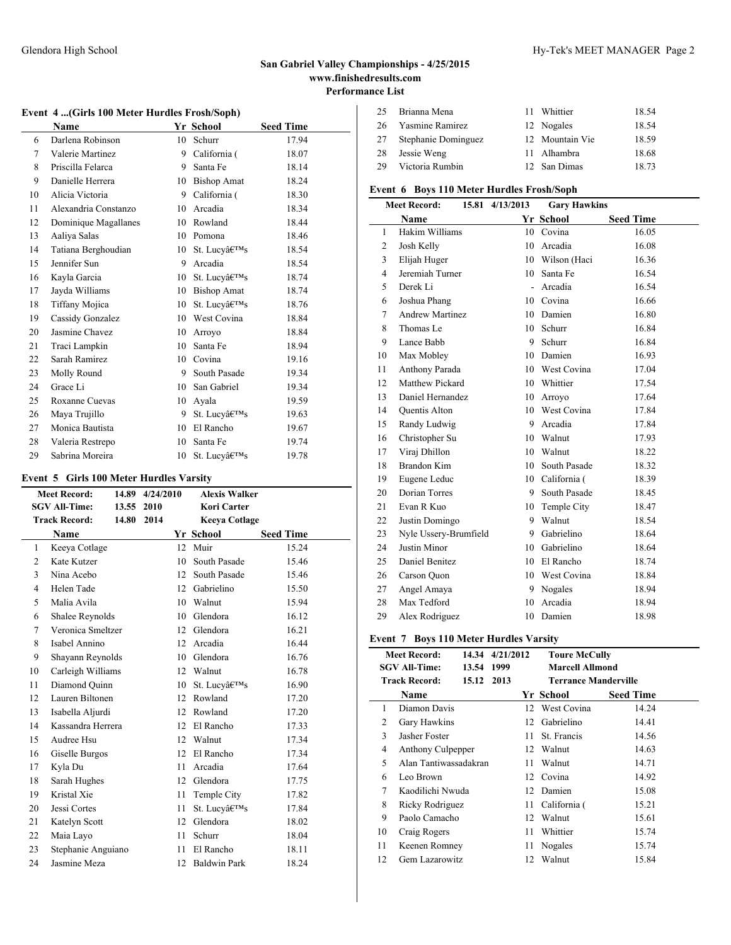### Glendora High School Hy-Tek's MEET MANAGER Page 2

# **San Gabriel Valley Championships - 4/25/2015 www.finishedresults.com Performance List**

### **Event 4 ...(Girls 100 Meter Hurdles Frosh/Soph)**

|    | Name                 |    | Yr School          | <b>Seed Time</b> |
|----|----------------------|----|--------------------|------------------|
| 6  | Darlena Robinson     | 10 | Schurr             | 17.94            |
| 7  | Valerie Martinez     | 9  | California (       | 18.07            |
| 8  | Priscilla Felarca    | 9  | Santa Fe           | 18.14            |
| 9  | Danielle Herrera     | 10 | <b>Bishop Amat</b> | 18.24            |
| 10 | Alicia Victoria      | 9  | California (       | 18.30            |
| 11 | Alexandria Constanzo | 10 | Arcadia            | 18.34            |
| 12 | Dominique Magallanes | 10 | Rowland            | 18.44            |
| 13 | Aaliya Salas         | 10 | Pomona             | 18.46            |
| 14 | Tatiana Berghoudian  | 10 | St. Lucv's         | 18.54            |
| 15 | Jennifer Sun         | 9  | Arcadia            | 18.54            |
| 16 | Kayla Garcia         | 10 | St. Lucv's         | 18.74            |
| 17 | Jayda Williams       | 10 | <b>Bishop Amat</b> | 18.74            |
| 18 | Tiffany Mojica       | 10 | St. Lucv's         | 18.76            |
| 19 | Cassidy Gonzalez     | 10 | West Covina        | 18.84            |
| 20 | Jasmine Chavez       | 10 | Arroyo             | 18.84            |
| 21 | Traci Lampkin        | 10 | Santa Fe           | 18.94            |
| 22 | Sarah Ramirez        | 10 | Covina             | 19.16            |
| 23 | Molly Round          | 9  | South Pasade       | 19.34            |
| 24 | Grace Li             | 10 | San Gabriel        | 19.34            |
| 25 | Roxanne Cuevas       | 10 | Avala              | 19.59            |
| 26 | Maya Trujillo        | 9  | St. Lucv's         | 19.63            |
| 27 | Monica Bautista      | 10 | El Rancho          | 19.67            |
| 28 | Valeria Restrepo     | 10 | Santa Fe           | 19.74            |
| 29 | Sabrina Moreira      | 10 | St. Lucv's         | 19.78            |

### **Event 5 Girls 100 Meter Hurdles Varsity**

|    | <b>Meet Record:</b>  | 14.89 | 4/24/2010 |    | <b>Alexis Walker</b> |                  |
|----|----------------------|-------|-----------|----|----------------------|------------------|
|    | <b>SGV All-Time:</b> | 13.55 | 2010      |    | Kori Carter          |                  |
|    | <b>Track Record:</b> | 14.80 | 2014      |    | <b>Keeya Cotlage</b> |                  |
|    | Name                 |       |           |    | Yr School            | <b>Seed Time</b> |
| 1  | Keeya Cotlage        |       |           | 12 | Muir                 | 15.24            |
| 2  | Kate Kutzer          |       |           | 10 | South Pasade         | 15.46            |
| 3  | Nina Acebo           |       |           | 12 | South Pasade         | 15.46            |
| 4  | Helen Tade           |       |           | 12 | Gabrielino           | 15.50            |
| 5  | Malia Avila          |       |           |    | 10 Walnut            | 15.94            |
| 6  | Shalee Reynolds      |       |           | 10 | Glendora             | 16.12            |
| 7  | Veronica Smeltzer    |       |           | 12 | Glendora             | 16.21            |
| 8  | Isabel Annino        |       |           | 12 | Arcadia              | 16.44            |
| 9  | Shayann Reynolds     |       |           | 10 | Glendora             | 16.76            |
| 10 | Carleigh Williams    |       |           | 12 | Walnut               | 16.78            |
| 11 | Diamond Ouinn        |       |           | 10 | St. Lucv's           | 16.90            |
| 12 | Lauren Biltonen      |       |           | 12 | Rowland              | 17.20            |
| 13 | Isabella Aljurdi     |       |           | 12 | Rowland              | 17.20            |
| 14 | Kassandra Herrera    |       |           |    | 12 El Rancho         | 17.33            |
| 15 | Audree Hsu           |       |           | 12 | Walnut               | 17.34            |
| 16 | Giselle Burgos       |       |           | 12 | El Rancho            | 17.34            |
| 17 | Kyla Du              |       |           | 11 | Arcadia              | 17.64            |
| 18 | Sarah Hughes         |       |           | 12 | Glendora             | 17.75            |
| 19 | Kristal Xie          |       |           | 11 | Temple City          | 17.82            |
| 20 | Jessi Cortes         |       |           | 11 | St. Lucv's           | 17.84            |
| 21 | Katelyn Scott        |       |           | 12 | Glendora             | 18.02            |
| 22 | Maia Layo            |       |           | 11 | Schurr               | 18.04            |
| 23 | Stephanie Anguiano   |       |           | 11 | El Rancho            | 18.11            |
| 24 | Jasmine Meza         |       |           | 12 | <b>Baldwin Park</b>  | 18.24            |

| 25 | Brianna Mena        | 11 Whittier     | 18.54 |
|----|---------------------|-----------------|-------|
| 26 | Yasmine Ramirez     | 12 Nogales      | 18.54 |
| 27 | Stephanie Dominguez | 12 Mountain Vie | 18.59 |
| 28 | Jessie Weng         | 11 Alhambra     | 18.68 |
| 29 | Victoria Rumbin     | 12 San Dimas    | 18.73 |
|    |                     |                 |       |

# **Event 6 Boys 110 Meter Hurdles Frosh/Soph**

|                | <b>Meet Record:</b>    | 15.81 4/13/2013 | <b>Gary Hawkins</b> |                  |  |
|----------------|------------------------|-----------------|---------------------|------------------|--|
|                | Name                   |                 | Yr School           | <b>Seed Time</b> |  |
| 1              | Hakim Williams         | 10              | Covina              | 16.05            |  |
| $\overline{c}$ | Josh Kelly             | 10              | Arcadia             | 16.08            |  |
| 3              | Elijah Huger           | 10              | Wilson (Haci        | 16.36            |  |
| $\overline{4}$ | Jeremiah Turner        | 10              | Santa Fe            | 16.54            |  |
| 5              | Derek Li               | $\blacksquare$  | Arcadia             | 16.54            |  |
| 6              | Joshua Phang           |                 | 10 Covina           | 16.66            |  |
| 7              | <b>Andrew Martinez</b> | 10              | Damien              | 16.80            |  |
| 8              | Thomas Le              | 10              | Schurr              | 16.84            |  |
| 9              | Lance Babb             |                 | 9 Schurr            | 16.84            |  |
| 10             | Max Mobley             | 10              | Damien              | 16.93            |  |
| 11             | Anthony Parada         |                 | 10 West Covina      | 17.04            |  |
| 12             | Matthew Pickard        | 10              | Whittier            | 17.54            |  |
| 13             | Daniel Hernandez       | 10              | Arroyo              | 17.64            |  |
| 14             | <b>Ouentis Alton</b>   |                 | 10 West Covina      | 17.84            |  |
| 15             | Randy Ludwig           | 9               | Arcadia             | 17.84            |  |
| 16             | Christopher Su         | 10              | Walnut              | 17.93            |  |
| 17             | Viraj Dhillon          | 10              | Walnut              | 18.22            |  |
| 18             | Brandon Kim            | $10-10$         | South Pasade        | 18.32            |  |
| 19             | Eugene Leduc           | 10              | California (        | 18.39            |  |
| 20             | Dorian Torres          |                 | 9 South Pasade      | 18.45            |  |
| 21             | Evan R Kuo             | 10              | Temple City         | 18.47            |  |
| 22             | Justin Domingo         | 9               | Walnut              | 18.54            |  |
| 23             | Nyle Ussery-Brumfield  | 9.              | Gabrielino          | 18.64            |  |
| 24             | Justin Minor           | $10-10$         | Gabrielino          | 18.64            |  |
| 25             | Daniel Benitez         | 10              | El Rancho           | 18.74            |  |
| 26             | Carson Quon            | 10              | West Covina         | 18.84            |  |
| 27             | Angel Amaya            |                 | 9 Nogales           | 18.94            |  |
| 28             | Max Tedford            | 10              | Arcadia             | 18.94            |  |
| 29             | Alex Rodriguez         | 10              | Damien              | 18.98            |  |

### **Event 7 Boys 110 Meter Hurdles Varsity**

|    | <b>Meet Record:</b><br>SGV All-Time:<br>13.54 1999<br><b>Track Record:</b><br>15.12 2013 | 14.34 4/21/2012 | <b>Toure McCully</b><br><b>Marcell Allmond</b><br><b>Terrance Manderville</b> |                  |
|----|------------------------------------------------------------------------------------------|-----------------|-------------------------------------------------------------------------------|------------------|
|    | Name                                                                                     |                 | Yr School                                                                     | <b>Seed Time</b> |
| 1  | Diamon Davis                                                                             |                 | 12 West Covina                                                                | 14.24            |
| 2  | Gary Hawkins                                                                             |                 | 12 Gabrielino                                                                 | 14.41            |
| 3  | Jasher Foster                                                                            |                 | 11 St. Francis                                                                | 14.56            |
| 4  | Anthony Culpepper                                                                        |                 | 12 Walnut                                                                     | 14.63            |
| 5  | Alan Tantiwassadakran                                                                    | 11              | Walnut                                                                        | 14.71            |
| 6  | Leo Brown                                                                                |                 | 12 Covina                                                                     | 14.92            |
| 7  | Kaodilichi Nwuda                                                                         |                 | 12 Damien                                                                     | 15.08            |
| 8  | Ricky Rodriguez                                                                          | 11              | California (                                                                  | 15.21            |
| 9  | Paolo Camacho                                                                            |                 | 12 Walnut                                                                     | 15.61            |
| 10 | Craig Rogers                                                                             | 11              | Whittier                                                                      | 15.74            |
| 11 | Keenen Romney                                                                            |                 | 11 Nogales                                                                    | 15.74            |
| 12 | Gem Lazarowitz                                                                           |                 | 12 Walnut                                                                     | 15.84            |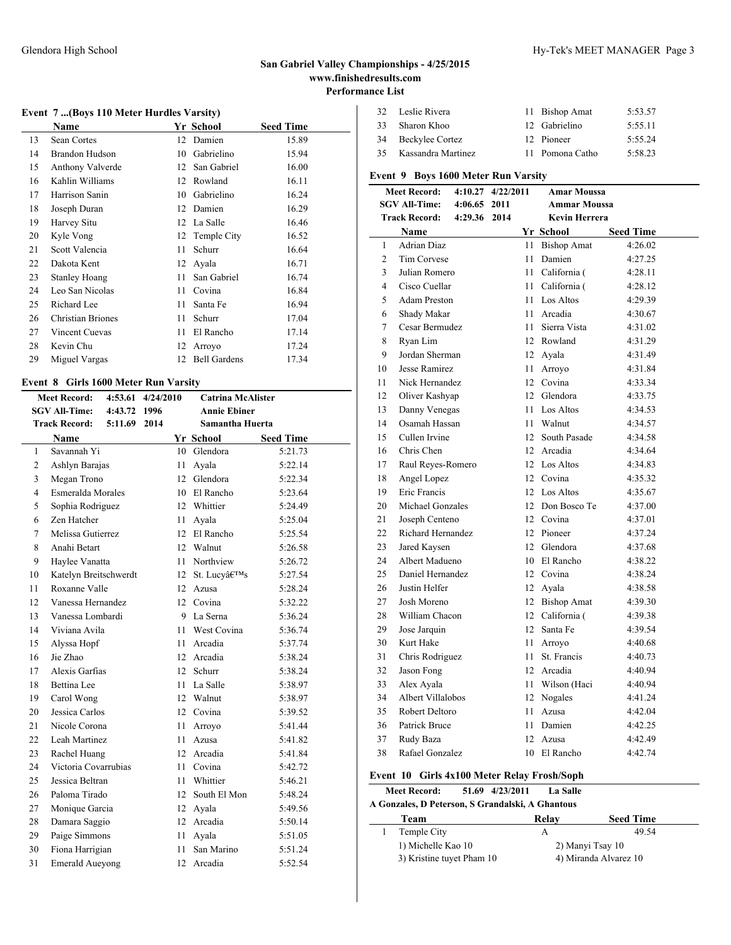### **Event 7 ...(Boys 110 Meter Hurdles Varsity)**

|    | Name                     |    | Yr School           | <b>Seed Time</b> |
|----|--------------------------|----|---------------------|------------------|
| 13 | Sean Cortes              | 12 | Damien              | 15.89            |
| 14 | <b>Brandon Hudson</b>    | 10 | Gabrielino          | 15.94            |
| 15 | Anthony Valverde         | 12 | San Gabriel         | 16.00            |
| 16 | Kahlin Williams          | 12 | Rowland             | 16.11            |
| 17 | Harrison Sanin           | 10 | Gabrielino          | 16.24            |
| 18 | Joseph Duran             | 12 | Damien              | 16.29            |
| 19 | Harvey Situ              | 12 | La Salle            | 16.46            |
| 20 | Kyle Vong                | 12 | Temple City         | 16.52            |
| 21 | Scott Valencia           | 11 | Schurr              | 16.64            |
| 22 | Dakota Kent              | 12 | Avala               | 16.71            |
| 23 | <b>Stanley Hoang</b>     | 11 | San Gabriel         | 16.74            |
| 24 | Leo San Nicolas          | 11 | Covina              | 16.84            |
| 25 | Richard Lee              | 11 | Santa Fe            | 16.94            |
| 26 | <b>Christian Briones</b> | 11 | Schurr              | 17.04            |
| 27 | Vincent Cuevas           | 11 | El Rancho           | 17.14            |
| 28 | Kevin Chu                | 12 | Arroyo              | 17.24            |
| 29 | Miguel Vargas            | 12 | <b>Bell Gardens</b> | 17.34            |

### **Event 8 Girls 1600 Meter Run Varsity**

|                | <b>Meet Record:</b>    | 4:53.61 | 4/24/2010 | <b>Catrina McAlister</b> |                     |                  |  |
|----------------|------------------------|---------|-----------|--------------------------|---------------------|------------------|--|
|                | <b>SGV All-Time:</b>   | 4:43.72 | 1996      |                          | <b>Annie Ebiner</b> |                  |  |
|                | <b>Track Record:</b>   | 5:11.69 | 2014      |                          | Samantha Huerta     |                  |  |
|                | <b>Name</b>            |         |           |                          | Yr School           | <b>Seed Time</b> |  |
| 1              | Savannah Yi            |         |           |                          | 10 Glendora         | 5:21.73          |  |
| $\mathfrak{2}$ | Ashlyn Barajas         |         |           | 11                       | Avala               | 5:22.14          |  |
| 3              | Megan Trono            |         |           | 12                       | Glendora            | 5:22.34          |  |
| $\overline{4}$ | Esmeralda Morales      |         |           |                          | 10 El Rancho        | 5:23.64          |  |
| 5              | Sophia Rodriguez       |         |           |                          | 12 Whittier         | 5:24.49          |  |
| 6              | Zen Hatcher            |         |           |                          | 11 Ayala            | 5:25.04          |  |
| 7              | Melissa Gutierrez      |         |           |                          | 12 El Rancho        | 5:25.54          |  |
| 8              | Anahi Betart           |         |           |                          | 12 Walnut           | 5:26.58          |  |
| 9              | Haylee Vanatta         |         |           | 11.                      | Northview           | 5:26.72          |  |
| 10             | Katelyn Breitschwerdt  |         |           | 12                       | St. Lucy's          | 5:27.54          |  |
| 11             | Roxanne Valle          |         |           | 12                       | Azusa               | 5:28.24          |  |
| 12             | Vanessa Hernandez      |         |           |                          | 12 Covina           | 5:32.22          |  |
| 13             | Vanessa Lombardi       |         |           |                          | 9 La Serna          | 5:36.24          |  |
| 14             | Viviana Avila          |         |           |                          | 11 West Covina      | 5:36.74          |  |
| 15             | Alyssa Hopf            |         |           | 11                       | Arcadia             | 5:37.74          |  |
| 16             | Jie Zhao               |         |           |                          | 12 Arcadia          | 5:38.24          |  |
| 17             | Alexis Garfias         |         |           | 12                       | Schurr              | 5:38.24          |  |
| 18             | <b>Bettina</b> Lee     |         |           | 11 -                     | La Salle            | 5:38.97          |  |
| 19             | Carol Wong             |         |           |                          | 12 Walnut           | 5:38.97          |  |
| 20             | Jessica Carlos         |         |           |                          | 12 Covina           | 5:39.52          |  |
| 21             | Nicole Corona          |         |           | 11                       | Arroyo              | 5:41.44          |  |
| 22             | Leah Martinez          |         |           | 11                       | Azusa               | 5:41.82          |  |
| 23             | Rachel Huang           |         |           | 12                       | Arcadia             | 5:41.84          |  |
| 24             | Victoria Covarrubias   |         |           | 11                       | Covina              | 5:42.72          |  |
| 25             | Jessica Beltran        |         |           | 11                       | Whittier            | 5:46.21          |  |
| 26             | Paloma Tirado          |         |           | 12                       | South El Mon        | 5:48.24          |  |
| 27             | Monique Garcia         |         |           |                          | 12 Ayala            | 5:49.56          |  |
| 28             | Damara Saggio          |         |           |                          | 12 Arcadia          | 5:50.14          |  |
| 29             | Paige Simmons          |         |           | 11                       | Avala               | 5:51.05          |  |
| 30             | Fiona Harrigian        |         |           | 11 -                     | San Marino          | 5:51.24          |  |
| 31             | <b>Emerald Aueyong</b> |         |           |                          | 12 Arcadia          | 5:52.54          |  |

| -32. | Leslie Rivera      | 11 Bishop Amat  | 5:53.57 |
|------|--------------------|-----------------|---------|
| 33   | Sharon Khoo        | 12 Gabrielino   | 5:55.11 |
| 34   | Beckylee Cortez    | 12 Pioneer      | 5.5524  |
| 35.  | Kassandra Martinez | 11 Pomona Catho | 5:58.23 |

# **Event 9 Boys 1600 Meter Run Varsity**

| <b>Meet Record:</b><br>4:10.27 |                      |         | 4/22/2011<br>Amar Moussa |     |                      |                  |  |
|--------------------------------|----------------------|---------|--------------------------|-----|----------------------|------------------|--|
|                                | <b>SGV All-Time:</b> | 4:06.65 | 2011                     |     | Ammar Moussa         |                  |  |
| <b>Track Record:</b>           |                      | 4:29.36 | 2014                     |     | <b>Kevin Herrera</b> |                  |  |
|                                | Name                 |         |                          |     | Yr School            | <b>Seed Time</b> |  |
| $\mathbf{1}$                   | <b>Adrian Diaz</b>   |         |                          |     | 11 Bishop Amat       | 4:26.02          |  |
| $\overline{2}$                 | Tim Corvese          |         |                          | 11  | Damien               | 4:27.25          |  |
| 3                              | Julian Romero        |         |                          | 11  | California (         | 4:28.11          |  |
| $\overline{4}$                 | Cisco Cuellar        |         |                          |     | 11 California (      | 4:28.12          |  |
| 5                              | <b>Adam Preston</b>  |         |                          |     | 11 Los Altos         | 4:29.39          |  |
| 6                              | Shady Makar          |         |                          |     | 11 Arcadia           | 4:30.67          |  |
| $\overline{7}$                 | Cesar Bermudez       |         |                          | 11  | Sierra Vista         | 4:31.02          |  |
| 8                              | Ryan Lim             |         |                          |     | 12 Rowland           | 4:31.29          |  |
| 9                              | Jordan Sherman       |         |                          |     | 12 Ayala             | 4:31.49          |  |
| 10                             | Jesse Ramirez        |         |                          |     | 11 Arroyo            | 4:31.84          |  |
| 11                             | Nick Hernandez       |         |                          |     | 12 Covina            | 4:33.34          |  |
| 12                             | Oliver Kashyap       |         |                          |     | 12 Glendora          | 4:33.75          |  |
| 13                             | Danny Venegas        |         |                          | 11  | Los Altos            | 4:34.53          |  |
| 14                             | Osamah Hassan        |         |                          |     | 11 Walnut            | 4:34.57          |  |
| 15                             | Cullen Irvine        |         |                          |     | 12 South Pasade      | 4:34.58          |  |
| 16                             | Chris Chen           |         |                          |     | 12 Arcadia           | 4:34.64          |  |
| 17                             | Raul Reyes-Romero    |         |                          |     | 12 Los Altos         | 4:34.83          |  |
| 18                             | Angel Lopez          |         |                          |     | 12 Covina            | 4:35.32          |  |
| 19                             | Eric Francis         |         |                          |     | 12 Los Altos         | 4:35.67          |  |
| 20                             | Michael Gonzales     |         |                          |     | 12 Don Bosco Te      | 4:37.00          |  |
| 21                             | Joseph Centeno       |         |                          |     | 12 Covina            | 4:37.01          |  |
| 22                             | Richard Hernandez    |         |                          |     | 12 Pioneer           | 4:37.24          |  |
| 23                             | Jared Kaysen         |         |                          |     | 12 Glendora          | 4:37.68          |  |
| 24                             | Albert Madueno       |         |                          |     | 10 El Rancho         | 4:38.22          |  |
| 25                             | Daniel Hernandez     |         |                          |     | 12 Covina            | 4:38.24          |  |
| 26                             | Justin Helfer        |         |                          |     | 12 Ayala             | 4:38.58          |  |
| 27                             | Josh Moreno          |         |                          |     | 12 Bishop Amat       | 4:39.30          |  |
| 28                             | William Chacon       |         |                          |     | 12 California (      | 4:39.38          |  |
| 29                             | Jose Jarquin         |         |                          |     | 12 Santa Fe          | 4:39.54          |  |
| 30                             | Kurt Hake            |         |                          | 11. | Arroyo               | 4:40.68          |  |
| 31                             | Chris Rodriguez      |         |                          | 11  | St. Francis          | 4:40.73          |  |
| 32                             | Jason Fong           |         |                          |     | 12 Arcadia           | 4:40.94          |  |
| 33                             | Alex Ayala           |         |                          |     | 11 Wilson (Haci      | 4:40.94          |  |
| 34                             | Albert Villalobos    |         |                          |     | 12 Nogales           | 4:41.24          |  |
| 35                             | Robert Deltoro       |         |                          | 11. | Azusa                | 4:42.04          |  |
| 36                             | Patrick Bruce        |         |                          | 11. | Damien               | 4:42.25          |  |
| 37                             | Rudy Baza            |         |                          | 12  | Azusa                | 4:42.49          |  |
| 38                             | Rafael Gonzalez      |         |                          | 10  | El Rancho            | 4:42.74          |  |

### **Event 10 Girls 4x100 Meter Relay Frosh/Soph**

| <b>Meet Record:</b>                              | <b>La Salle</b><br>51.69 4/23/2011 |                       |
|--------------------------------------------------|------------------------------------|-----------------------|
| A Gonzales, D Peterson, S Grandalski, A Ghantous |                                    |                       |
| Team                                             | Relay                              | <b>Seed Time</b>      |
| Temple City                                      | А                                  | 49.54                 |
| 1) Michelle Kao 10                               |                                    | 2) Manyi Tsay 10      |
| 3) Kristine tuyet Pham 10                        |                                    | 4) Miranda Alvarez 10 |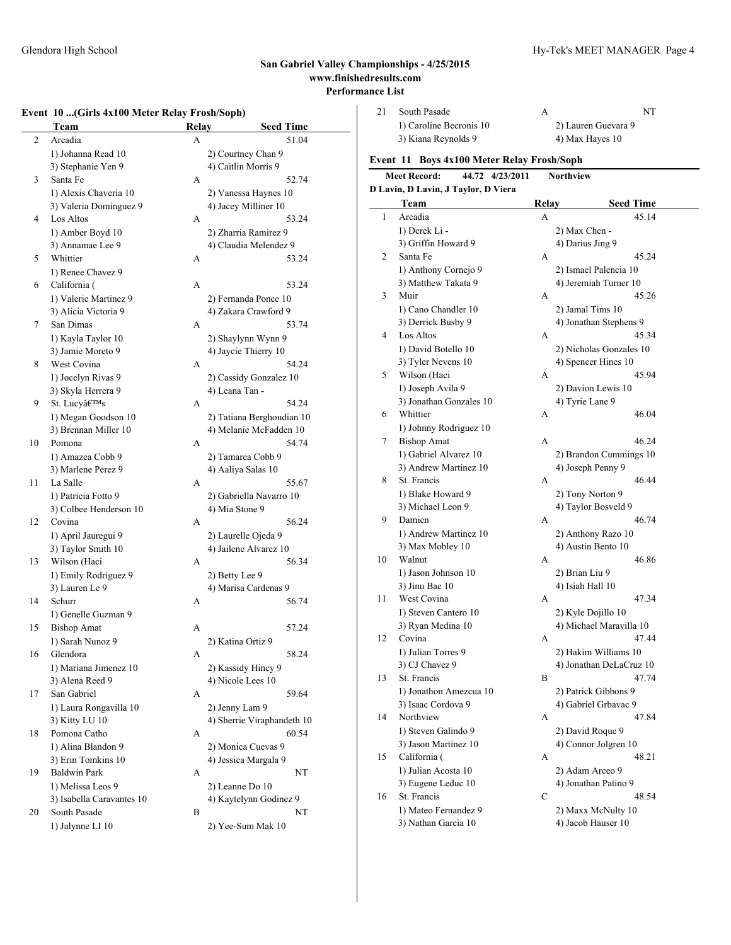### **Event 10 ...(Girls 4x100 Meter Relay Frosh/Soph)**

|    | Team                                      |   | Relay                                        | <b>Seed Time</b> |
|----|-------------------------------------------|---|----------------------------------------------|------------------|
| 2  | Arcadia                                   | А |                                              | 51.04            |
|    | 1) Johanna Read 10                        |   | 2) Courtney Chan 9                           |                  |
|    | 3) Stephanie Yen 9                        |   | 4) Caitlin Morris 9                          |                  |
| 3  | Santa Fe                                  | A |                                              | 52.74            |
|    | 1) Alexis Chaveria 10                     |   | 2) Vanessa Haynes 10                         |                  |
|    | 3) Valeria Dominguez 9                    |   | 4) Jacey Milliner 10                         |                  |
| 4  | Los Altos                                 | A |                                              | 53.24            |
|    | 1) Amber Boyd 10                          |   | 2) Zharria Ramirez 9                         |                  |
|    | 3) Annamae Lee 9                          |   | 4) Claudia Melendez 9                        |                  |
| 5  | Whittier                                  | А |                                              | 53.24            |
|    | 1) Renee Chavez 9                         |   |                                              |                  |
| 6  | California (                              | A |                                              | 53.24            |
|    | 1) Valerie Martinez 9                     |   | 2) Fernanda Ponce 10                         |                  |
|    | 3) Alicia Victoria 9                      |   | 4) Zakara Crawford 9                         |                  |
| 7  | San Dimas                                 | A |                                              | 53.74            |
|    | 1) Kayla Taylor 10                        |   | 2) Shaylynn Wynn 9                           |                  |
|    | 3) Jamie Moreto 9                         |   | 4) Jaycie Thierry 10                         |                  |
| 8  | West Covina                               | A |                                              | 54.24            |
|    | 1) Jocelyn Rivas 9                        |   | 2) Cassidy Gonzalez 10                       |                  |
|    | 3) Skyla Herrera 9                        |   | 4) Leana Tan -                               |                  |
| 9  | St. Lucy's                                | А |                                              | 54.24            |
|    | 1) Megan Goodson 10                       |   | 2) Tatiana Berghoudian 10                    |                  |
|    | 3) Brennan Miller 10                      |   | 4) Melanie McFadden 10                       |                  |
| 10 | Pomona                                    | А |                                              | 54.74            |
|    | 1) Amazea Cobb 9                          |   | 2) Tamarea Cobb 9                            |                  |
|    | 3) Marlene Perez 9                        |   | 4) Aaliya Salas 10                           |                  |
| 11 | La Salle                                  | А |                                              | 55.67            |
|    | 1) Patricia Fotto 9                       |   | 2) Gabriella Navarro 10                      |                  |
| 12 | 3) Colbee Henderson 10<br>Covina          | А | 4) Mia Stone 9                               | 56.24            |
|    |                                           |   |                                              |                  |
|    | 1) April Jauregui 9<br>3) Taylor Smith 10 |   | 2) Laurelle Ojeda 9<br>4) Jailene Alvarez 10 |                  |
| 13 | Wilson (Haci                              | А |                                              | 56.34            |
|    | 1) Emily Rodriguez 9                      |   | 2) Betty Lee 9                               |                  |
|    | 3) Lauren Le 9                            |   | 4) Marisa Cardenas 9                         |                  |
| 14 | Schurr                                    | А |                                              | 56.74            |
|    | 1) Genelle Guzman 9                       |   |                                              |                  |
| 15 | <b>Bishop Amat</b>                        | А |                                              | 57.24            |
|    | 1) Sarah Nunoz 9                          |   | 2) Katina Ortiz 9                            |                  |
| 16 | Glendora                                  | А |                                              | 58.24            |
|    | 1) Mariana Jimenez 10                     |   | 2) Kassidy Hincy 9                           |                  |
|    | 3) Alena Reed 9                           |   | 4) Nicole Lees 10                            |                  |
| 17 | San Gabriel                               | А |                                              | 59.64            |
|    | 1) Laura Rongavilla 10                    |   | 2) Jenny Lam 9                               |                  |
|    | 3) Kitty LU 10                            |   | 4) Sherrie Viraphandeth 10                   |                  |
| 18 | Pomona Catho                              | А |                                              | 60.54            |
|    | 1) Alina Blandon 9                        |   | 2) Monica Cuevas 9                           |                  |
|    | 3) Erin Tomkins 10                        |   | 4) Jessica Margala 9                         |                  |
| 19 | <b>Baldwin Park</b>                       | А |                                              | NT               |
|    | 1) Melissa Leos 9                         |   | 2) Leanne Do 10                              |                  |
|    | 3) Isabella Caravantes 10                 |   | 4) Kaytelynn Godinez 9                       |                  |
| 20 | South Pasade                              | B |                                              | NT               |
|    | 1) Jalynne LI 10                          |   | 2) Yee-Sum Mak 10                            |                  |

| 21             | South Pasade                               | A                   | NT                      |  |  |
|----------------|--------------------------------------------|---------------------|-------------------------|--|--|
|                | 1) Caroline Becronis 10                    | 2) Lauren Guevara 9 |                         |  |  |
|                | 3) Kiana Reynolds 9                        |                     | 4) Max Hayes 10         |  |  |
|                | Event 11 Boys 4x100 Meter Relay Frosh/Soph |                     |                         |  |  |
|                | Meet Record:<br>44.72 4/23/2011            | <b>Northview</b>    |                         |  |  |
|                | D Lavin, D Lavin, J Taylor, D Viera        |                     |                         |  |  |
|                | Team                                       | Relay               | <b>Seed Time</b>        |  |  |
| 1              | Arcadia                                    | A                   | 45.14                   |  |  |
|                | 1) Derek Li -                              | 2) Max Chen -       |                         |  |  |
|                | 3) Griffin Howard 9                        | 4) Darius Jing 9    |                         |  |  |
| $\overline{c}$ | Santa Fe                                   | A                   | 45.24                   |  |  |
|                | 1) Anthony Cornejo 9                       |                     | 2) Ismael Palencia 10   |  |  |
|                | 3) Matthew Takata 9                        |                     | 4) Jeremiah Turner 10   |  |  |
| 3              | Muir                                       | A                   | 45.26                   |  |  |
|                | 1) Cano Chandler 10                        |                     | 2) Jamal Tims 10        |  |  |
|                | 3) Derrick Busby 9                         |                     | 4) Jonathan Stephens 9  |  |  |
| 4              | Los Altos                                  | A                   | 45.34                   |  |  |
|                | 1) David Botello 10                        |                     | 2) Nicholas Gonzales 10 |  |  |
|                | 3) Tyler Nevens 10                         |                     | 4) Spencer Hines 10     |  |  |
| 5              | Wilson (Haci                               | A                   | 45.94                   |  |  |
|                | 1) Joseph Avila 9                          |                     | 2) Davion Lewis 10      |  |  |
|                | 3) Jonathan Gonzales 10                    | 4) Tyrie Lane 9     |                         |  |  |
| 6              | Whittier                                   | Δ                   | 46.04                   |  |  |

|    | 3) Jonathan Gonzales 10 |   | 4) Tyrie Lane 9         |
|----|-------------------------|---|-------------------------|
| 6  | Whittier                | А | 46.04                   |
|    | 1) Johnny Rodriguez 10  |   |                         |
| 7  | <b>Bishop Amat</b>      | A | 46.24                   |
|    | 1) Gabriel Alvarez 10   |   | 2) Brandon Cummings 10  |
|    | 3) Andrew Martinez 10   |   | 4) Joseph Penny 9       |
| 8  | St. Francis             | A | 46.44                   |
|    | 1) Blake Howard 9       |   | 2) Tony Norton 9        |
|    | 3) Michael Leon 9       |   | 4) Taylor Bosveld 9     |
| 9  | Damien                  | A | 46.74                   |
|    | 1) Andrew Martinez 10   |   | 2) Anthony Razo 10      |
|    | 3) Max Mobley 10        |   | 4) Austin Bento 10      |
| 10 | Walnut                  | A | 46.86                   |
|    | 1) Jason Johnson 10     |   | 2) Brian Liu 9          |
|    | 3) Jinu Bae 10          |   | 4) Isiah Hall 10        |
| 11 | West Covina             | A | 47.34                   |
|    | 1) Steven Cantero 10    |   | 2) Kyle Dojillo 10      |
|    | 3) Ryan Medina 10       |   | 4) Michael Maravilla 10 |
| 12 | Covina                  | A | 47.44                   |
|    | 1) Julian Torres 9      |   | 2) Hakim Williams 10    |
|    | 3) CJ Chavez 9          |   | 4) Jonathan DeLaCruz 10 |
| 13 | St. Francis             | B | 47.74                   |
|    | 1) Jonathon Amezcua 10  |   | 2) Patrick Gibbons 9    |
|    | 3) Isaac Cordova 9      |   | 4) Gabriel Grbavac 9    |
| 14 | Northview               | A | 47.84                   |
|    | 1) Steven Galindo 9     |   | 2) David Roque 9        |
|    | 3) Jason Martinez 10    |   | 4) Connor Jolgren 10    |
| 15 | California (            | A | 48.21                   |
|    | 1) Julian Acosta 10     |   | 2) Adam Arceo 9         |
|    | 3) Eugene Leduc 10      |   | 4) Jonathan Patino 9    |
| 16 | St. Francis             | C | 48.54                   |
|    | 1) Mateo Fernandez 9    |   | 2) Maxx McNulty 10      |
|    | 3) Nathan Garcia 10     |   | 4) Jacob Hauser 10      |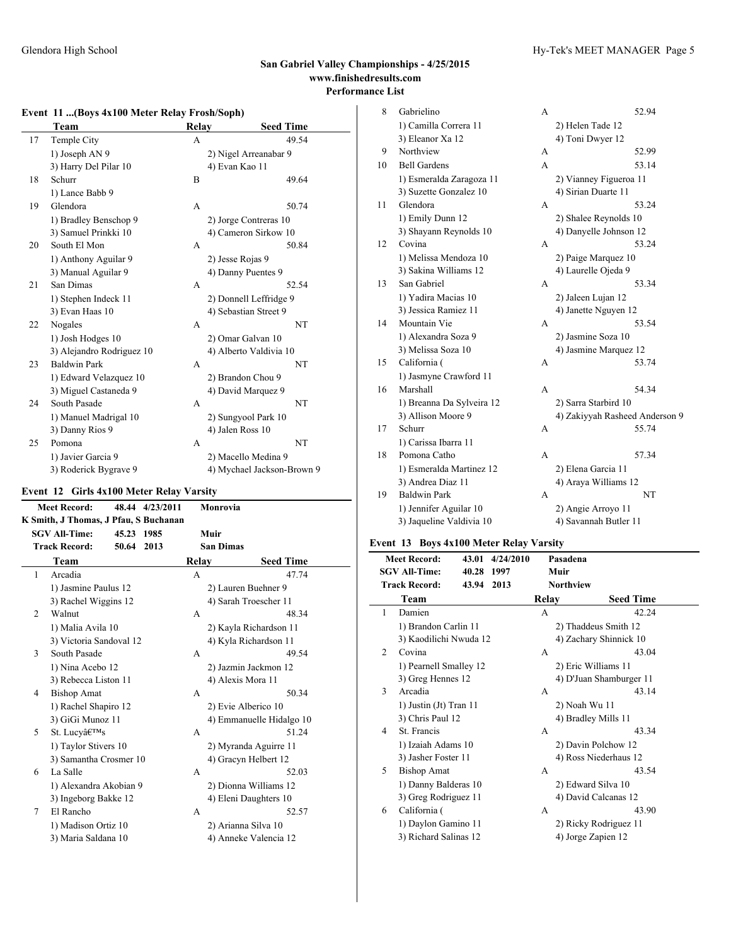### **Event 11 ...(Boys 4x100 Meter Relay Frosh/Soph)**

|    | Team                      | <b>Relay</b> | <b>Seed Time</b>           |
|----|---------------------------|--------------|----------------------------|
| 17 | Temple City               | A            | 49.54                      |
|    | 1) Joseph AN 9            |              | 2) Nigel Arreanabar 9      |
|    | 3) Harry Del Pilar 10     |              | 4) Evan Kao 11             |
| 18 | Schurr                    | B            | 49.64                      |
|    | 1) Lance Babb 9           |              |                            |
| 19 | Glendora                  | A            | 50.74                      |
|    | 1) Bradley Benschop 9     |              | 2) Jorge Contreras 10      |
|    | 3) Samuel Prinkki 10      |              | 4) Cameron Sirkow 10       |
| 20 | South El Mon              | A            | 50.84                      |
|    | 1) Anthony Aguilar 9      |              | 2) Jesse Rojas 9           |
|    | 3) Manual Aguilar 9       |              | 4) Danny Puentes 9         |
| 21 | San Dimas                 | A            | 52.54                      |
|    | 1) Stephen Indeck 11      |              | 2) Donnell Leffridge 9     |
|    | 3) Evan Haas 10           |              | 4) Sebastian Street 9      |
| 22 | Nogales                   | A            | NT                         |
|    | 1) Josh Hodges 10         |              | 2) Omar Galvan 10          |
|    | 3) Alejandro Rodriguez 10 |              | 4) Alberto Valdivia 10     |
| 23 | <b>Baldwin Park</b>       | A            | NT                         |
|    | 1) Edward Velazquez 10    |              | 2) Brandon Chou 9          |
|    | 3) Miguel Castaneda 9     |              | 4) David Marquez 9         |
| 24 | South Pasade              | A            | NT                         |
|    | 1) Manuel Madrigal 10     |              | 2) Sungyool Park 10        |
|    | 3) Danny Rios 9           |              | 4) Jalen Ross 10           |
| 25 | Pomona                    | A            | NT                         |
|    | 1) Javier Garcia 9        |              | 2) Macello Medina 9        |
|    | 3) Roderick Bygrave 9     |              | 4) Mychael Jackson-Brown 9 |

# **Event 12 Girls 4x100 Meter Relay Varsity**

| <b>Meet Record:</b><br>48.44 4/23/2011           |                                       |            | Monrovia |       |                          |
|--------------------------------------------------|---------------------------------------|------------|----------|-------|--------------------------|
|                                                  | K Smith, J Thomas, J Pfau, S Buchanan |            |          |       |                          |
|                                                  | <b>SGV All-Time:</b>                  | 45.23 1985 |          |       | Muir                     |
|                                                  | <b>Track Record:</b>                  | 50.64 2013 |          |       | <b>San Dimas</b>         |
|                                                  | Team                                  |            |          | Relay | <b>Seed Time</b>         |
| 1                                                | Arcadia                               |            |          | A     | 47.74                    |
|                                                  | 1) Jasmine Paulus 12                  |            |          |       | 2) Lauren Buehner 9      |
|                                                  | 3) Rachel Wiggins 12                  |            |          |       | 4) Sarah Troescher 11    |
| 2                                                | Walnut                                |            |          | A     | 48.34                    |
|                                                  | 1) Malia Avila 10                     |            |          |       | 2) Kayla Richardson 11   |
| 3) Victoria Sandoval 12<br>4) Kyla Richardson 11 |                                       |            |          |       |                          |
| 3                                                | South Pasade                          |            |          | A     | 49.54                    |
|                                                  | 1) Nina Acebo 12                      |            |          |       | 2) Jazmin Jackmon 12     |
|                                                  | 3) Rebecca Liston 11                  |            |          |       | 4) Alexis Mora 11        |
| 4                                                | <b>Bishop Amat</b>                    |            |          | A     | 50.34                    |
|                                                  | 1) Rachel Shapiro 12                  |            |          |       | 2) Evie Alberico 10      |
|                                                  | 3) GiGi Munoz 11                      |            |          |       | 4) Emmanuelle Hidalgo 10 |
| 5                                                | St. Lucy's                            |            |          | A     | 51.24                    |
|                                                  | 1) Taylor Stivers 10                  |            |          |       | 2) Myranda Aguirre 11    |
|                                                  | 3) Samantha Crosmer 10                |            |          |       | 4) Gracyn Helbert 12     |
| 6                                                | La Salle                              |            |          | A     | 52.03                    |
|                                                  | 1) Alexandra Akobian 9                |            |          |       | 2) Dionna Williams 12    |
|                                                  | 3) Ingeborg Bakke 12                  |            |          |       | 4) Eleni Daughters 10    |
| 7                                                | El Rancho                             |            |          | A     | 52.57                    |
|                                                  | 1) Madison Ortiz 10                   |            |          |       | 2) Arianna Silva 10      |
|                                                  | 3) Maria Saldana 10                   |            |          |       | 4) Anneke Valencia 12    |
|                                                  |                                       |            |          |       |                          |

| 8  | Gabrielino                | A | 52.94                          |
|----|---------------------------|---|--------------------------------|
|    | 1) Camilla Correra 11     |   | 2) Helen Tade 12               |
|    | 3) Eleanor Xa 12          |   | 4) Toni Dwyer 12               |
| 9  | Northview                 | A | 52.99                          |
| 10 | <b>Bell Gardens</b>       | A | 53.14                          |
|    | 1) Esmeralda Zaragoza 11  |   | 2) Vianney Figueroa 11         |
|    | 3) Suzette Gonzalez 10    |   | 4) Sirian Duarte 11            |
| 11 | Glendora                  | A | 53.24                          |
|    | 1) Emily Dunn 12          |   | 2) Shalee Reynolds 10          |
|    | 3) Shayann Reynolds 10    |   | 4) Danyelle Johnson 12         |
| 12 | Covina                    | A | 53.24                          |
|    | 1) Melissa Mendoza 10     |   | 2) Paige Marquez 10            |
|    | 3) Sakina Williams 12     |   | 4) Laurelle Ojeda 9            |
| 13 | San Gabriel               | A | 53.34                          |
|    | 1) Yadira Macias 10       |   | 2) Jaleen Lujan 12             |
|    | 3) Jessica Ramiez 11      |   | 4) Janette Nguyen 12           |
| 14 | Mountain Vie              | A | 53.54                          |
|    | 1) Alexandra Soza 9       |   | 2) Jasmine Soza 10             |
|    | 3) Melissa Soza 10        |   | 4) Jasmine Marquez 12          |
| 15 | California (              | А | 53.74                          |
|    | 1) Jasmyne Crawford 11    |   |                                |
| 16 | Marshall                  | A | 54.34                          |
|    | 1) Breanna Da Sylveira 12 |   | 2) Sarra Starbird 10           |
|    | 3) Allison Moore 9        |   | 4) Zakiyyah Rasheed Anderson 9 |
| 17 | Schurr                    | А | 55.74                          |
|    | 1) Carissa Ibarra 11      |   |                                |
| 18 | Pomona Catho              | A | 57.34                          |
|    | 1) Esmeralda Martinez 12  |   | 2) Elena Garcia 11             |
|    | 3) Andrea Diaz 11         |   | 4) Araya Williams 12           |
| 19 | <b>Baldwin Park</b>       | A | NT                             |
|    | 1) Jennifer Aguilar 10    |   | 2) Angie Arroyo 11             |
|    | 3) Jaqueline Valdivia 10  |   | 4) Savannah Butler 11          |

# **Event 13 Boys 4x100 Meter Relay Varsity**

|                | <b>Meet Record:</b><br><b>SGV All-Time:</b> | 43.01<br>40.28 1997 | 4/24/2010 |       | Pasadena<br>Muir      |                         |  |
|----------------|---------------------------------------------|---------------------|-----------|-------|-----------------------|-------------------------|--|
|                | <b>Track Record:</b>                        | 43.94               | 2013      |       | Northview             |                         |  |
|                | Team                                        |                     |           | Relay |                       | <b>Seed Time</b>        |  |
| 1              | Damien                                      |                     |           | A     |                       | 42.24                   |  |
|                | 1) Brandon Carlin 11                        |                     |           |       | 2) Thaddeus Smith 12  |                         |  |
|                | 3) Kaodilichi Nwuda 12                      |                     |           |       |                       | 4) Zachary Shinnick 10  |  |
| $\overline{2}$ | Covina                                      |                     |           | A     |                       | 43.04                   |  |
|                | 1) Pearnell Smalley 12                      |                     |           |       | 2) Eric Williams 11   |                         |  |
|                | 3) Greg Hennes 12                           |                     |           |       |                       | 4) D'Juan Shamburger 11 |  |
| 3              | Arcadia                                     |                     |           | A     |                       | 43.14                   |  |
|                | 1) Justin (Jt) Tran 11                      |                     |           |       | 2) Noah Wu 11         |                         |  |
|                | 3) Chris Paul 12                            |                     |           |       | 4) Bradley Mills 11   |                         |  |
| 4              | St. Francis                                 |                     |           | A     |                       | 43.34                   |  |
|                | 1) Izaiah Adams 10                          |                     |           |       | 2) Davin Polchow 12   |                         |  |
|                | 3) Jasher Foster 11                         |                     |           |       | 4) Ross Niederhaus 12 |                         |  |
| 5              | <b>Bishop Amat</b>                          |                     |           | A     |                       | 43.54                   |  |
|                | 1) Danny Balderas 10                        |                     |           |       | 2) Edward Silva 10    |                         |  |
|                | 3) Greg Rodriguez 11                        |                     |           |       | 4) David Calcanas 12  |                         |  |
| 6              | California (                                |                     |           | А     |                       | 43.90                   |  |
|                | 1) Daylon Gamino 11                         |                     |           |       | 2) Ricky Rodriguez 11 |                         |  |
|                | 3) Richard Salinas 12                       |                     |           |       | 4) Jorge Zapien 12    |                         |  |
|                |                                             |                     |           |       |                       |                         |  |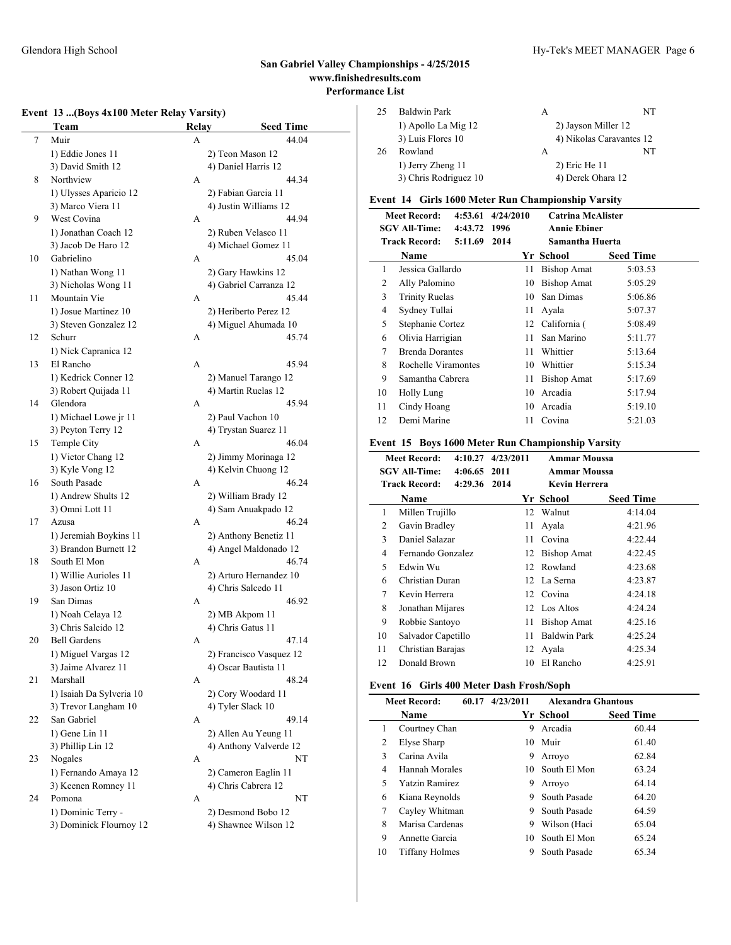### Glendora High School Hy-Tek's MEET MANAGER Page 6

# **San Gabriel Valley Championships - 4/25/2015 www.finishedresults.com Performance List**

### **Event 13 ...(Boys 4x100 Meter Relay Varsity)**

|    | Team                                       | <b>Relay</b> | <b>Seed Time</b>                        |
|----|--------------------------------------------|--------------|-----------------------------------------|
| 7  | Muir                                       | A            | 44.04                                   |
|    | 1) Eddie Jones 11                          |              | 2) Teon Mason 12                        |
|    | 3) David Smith 12                          |              | 4) Daniel Harris 12                     |
| 8  | Northview                                  | A            | 44.34                                   |
|    | 1) Ulysses Aparicio 12                     |              | 2) Fabian Garcia 11                     |
|    | 3) Marco Viera 11                          |              | 4) Justin Williams 12                   |
| 9  | West Covina                                | А            | 44.94                                   |
|    | 1) Jonathan Coach 12                       |              | 2) Ruben Velasco 11                     |
|    | 3) Jacob De Haro 12                        |              | 4) Michael Gomez 11                     |
| 10 | Gabrielino                                 | A            | 45.04                                   |
|    | 1) Nathan Wong 11                          |              | 2) Gary Hawkins 12                      |
|    | 3) Nicholas Wong 11                        |              | 4) Gabriel Carranza 12                  |
| 11 | Mountain Vie                               | А            | 45.44                                   |
|    | 1) Josue Martinez 10                       |              | 2) Heriberto Perez 12                   |
|    | 3) Steven Gonzalez 12                      |              | 4) Miguel Ahumada 10                    |
| 12 | Schurr                                     | А            | 45.74                                   |
|    | 1) Nick Capranica 12                       |              |                                         |
| 13 | El Rancho                                  | А            | 45.94                                   |
|    | 1) Kedrick Conner 12                       |              | 2) Manuel Tarango 12                    |
|    | 3) Robert Quijada 11                       |              | 4) Martin Ruelas 12                     |
| 14 | Glendora                                   | A            | 45.94                                   |
|    | 1) Michael Lowe jr 11                      |              | 2) Paul Vachon 10                       |
|    | 3) Peyton Terry 12                         |              | 4) Trystan Suarez 11                    |
| 15 | Temple City                                | A            | 46.04                                   |
|    | 1) Victor Chang 12                         |              | 2) Jimmy Morinaga 12                    |
|    | 3) Kyle Vong 12                            |              | 4) Kelvin Chuong 12                     |
| 16 | South Pasade                               | A            | 46.24                                   |
|    | 1) Andrew Shults 12                        |              | 2) William Brady 12                     |
|    | 3) Omni Lott 11                            |              | 4) Sam Anuakpado 12                     |
| 17 | Azusa                                      | A            | 46.24                                   |
|    | 1) Jeremiah Boykins 11                     |              | 2) Anthony Benetiz 11                   |
|    | 3) Brandon Burnett 12                      |              | 4) Angel Maldonado 12                   |
| 18 | South El Mon                               | A            | 46.74                                   |
|    | 1) Willie Aurioles 11                      |              | 2) Arturo Hernandez 10                  |
|    | 3) Jason Ortiz 10                          |              | 4) Chris Salcedo 11                     |
| 19 | San Dimas                                  | A            | 46.92                                   |
|    | 1) Noah Celaya 12                          |              | 2) MB Akpom 11                          |
|    | 3) Chris Salcido 12                        |              | 4) Chris Gatus 11                       |
| 20 | <b>Bell Gardens</b>                        | A            | 47.14                                   |
|    | 1) Miguel Vargas 12<br>3) Jaime Alvarez 11 |              | 2) Francisco Vasquez 12                 |
| 21 | Marshall                                   | A            | 4) Oscar Bautista 11<br>48.24           |
|    | 1) Isaiah Da Sylveria 10                   |              |                                         |
|    | 3) Trevor Langham 10                       |              | 2) Cory Woodard 11<br>4) Tyler Slack 10 |
| 22 | San Gabriel                                | А            | 49.14                                   |
|    | 1) Gene Lin 11                             |              | 2) Allen Au Yeung 11                    |
|    | 3) Phillip Lin 12                          |              | 4) Anthony Valverde 12                  |
| 23 | Nogales                                    | A            | NT                                      |
|    | 1) Fernando Amaya 12                       |              | 2) Cameron Eaglin 11                    |
|    | 3) Keenen Romney 11                        |              | 4) Chris Cabrera 12                     |
| 24 | Pomona                                     | А            | NT                                      |
|    | 1) Dominic Terry -                         |              | 2) Desmond Bobo 12                      |
|    | 3) Dominick Flournoy 12                    |              | 4) Shawnee Wilson 12                    |
|    |                                            |              |                                         |

| 25 | Baldwin Park          | А                        |    |
|----|-----------------------|--------------------------|----|
|    | 1) Apollo La Mig 12   | 2) Jayson Miller 12      |    |
|    | 3) Luis Flores 10     | 4) Nikolas Caravantes 12 |    |
| 26 | Rowland               | А                        | NT |
|    | 1) Jerry Zheng 11     | 2) Eric He 11            |    |
|    | 3) Chris Rodriguez 10 | 4) Derek Ohara 12        |    |
|    |                       |                          |    |

### **Event 14 Girls 1600 Meter Run Championship Varsity**

|    | <b>Meet Record:</b>    | 4:53.61 | 4/24/2010 | <b>Catrina McAlister</b> |                  |  |
|----|------------------------|---------|-----------|--------------------------|------------------|--|
|    | <b>SGV All-Time:</b>   | 4:43.72 | 1996      | <b>Annie Ebiner</b>      |                  |  |
|    | <b>Track Record:</b>   | 5:11.69 | 2014      | Samantha Huerta          |                  |  |
|    | Name                   |         |           | Yr School                | <b>Seed Time</b> |  |
| 1  | Jessica Gallardo       |         | 11        | <b>Bishop Amat</b>       | 5:03.53          |  |
| 2  | Ally Palomino          |         | 10        | Bishop Amat              | 5:05.29          |  |
| 3  | <b>Trinity Ruelas</b>  |         | 10        | San Dimas                | 5:06.86          |  |
| 4  | Sydney Tullai          |         | 11        | Avala                    | 5:07.37          |  |
| 5  | Stephanie Cortez       |         | 12        | California (             | 5:08.49          |  |
| 6  | Olivia Harrigian       |         | 11        | San Marino               | 5:11.77          |  |
| 7  | <b>Brenda Dorantes</b> |         | 11        | Whittier                 | 5:13.64          |  |
| 8  | Rochelle Viramontes    |         | 10        | Whittier                 | 5:15.34          |  |
| 9  | Samantha Cabrera       |         | 11        | <b>Bishop Amat</b>       | 5:17.69          |  |
| 10 | <b>Holly Lung</b>      |         | 10        | Arcadia                  | 5:17.94          |  |
| 11 | Cindy Hoang            |         | 10        | Arcadia                  | 5:19.10          |  |
| 12 | Demi Marine            |         | 11        | Covina                   | 5:21.03          |  |

### **Event 15 Boys 1600 Meter Run Championship Varsity**

|    | <b>Meet Record:</b>                  | $4:10.27$ $4/23/2011$ | <b>Ammar Moussa</b> |                  |
|----|--------------------------------------|-----------------------|---------------------|------------------|
|    | <b>SGV All-Time:</b><br>4:06.65 2011 |                       | <b>Ammar Moussa</b> |                  |
|    | <b>Track Record:</b><br>4:29.36 2014 |                       | Kevin Herrera       |                  |
|    | <b>Name</b>                          |                       | Yr School           | <b>Seed Time</b> |
| 1  | Millen Trujillo                      |                       | 12 Walnut           | 4:14.04          |
| 2  | Gavin Bradley                        | 11                    | Avala               | 4:21.96          |
| 3  | Daniel Salazar                       | 11                    | Covina              | 4:22.44          |
| 4  | Fernando Gonzalez                    | 12                    | <b>Bishop Amat</b>  | 4:22.45          |
| 5  | Edwin Wu                             | 12                    | Rowland             | 4:23.68          |
| 6  | Christian Duran                      | 12                    | La Serna            | 4:23.87          |
| 7  | Kevin Herrera                        |                       | 12 Covina           | 4:24.18          |
| 8  | Jonathan Mijares                     |                       | 12 Los Altos        | 4:24.24          |
| 9  | Robbie Santoyo                       | 11                    | <b>Bishop Amat</b>  | 4:25.16          |
| 10 | Salvador Capetillo                   | 11                    | <b>Baldwin Park</b> | 4:25.24          |
| 11 | Christian Barajas                    |                       | 12 Ayala            | 4:25.34          |
| 12 | Donald Brown                         | 10                    | El Rancho           | 4:25.91          |
|    |                                      |                       |                     |                  |

# **Event 16 Girls 400 Meter Dash Frosh/Soph**

|    | <b>Meet Record:</b><br>60.17 | 4/23/2011 | <b>Alexandra Ghantous</b> |                  |
|----|------------------------------|-----------|---------------------------|------------------|
|    | Name                         |           | Yr School                 | <b>Seed Time</b> |
| 1  | Courtney Chan                | 9         | Arcadia                   | 60.44            |
| 2  | Elyse Sharp                  | 10        | Muir                      | 61.40            |
| 3  | Carina Avila                 | 9         | Arroyo                    | 62.84            |
| 4  | Hannah Morales               | 10.       | South El Mon              | 63.24            |
| 5  | <b>Yatzin Ramirez</b>        | 9         | Arrovo                    | 64.14            |
| 6  | Kiana Reynolds               | 9         | South Pasade              | 64.20            |
| 7  | Cayley Whitman               | 9         | South Pasade              | 64.59            |
| 8  | Marisa Cardenas              | 9         | Wilson (Haci              | 65.04            |
| 9  | Annette Garcia               | 10.       | South El Mon              | 65.24            |
| 10 | Tiffany Holmes               | 9         | South Pasade              | 65.34            |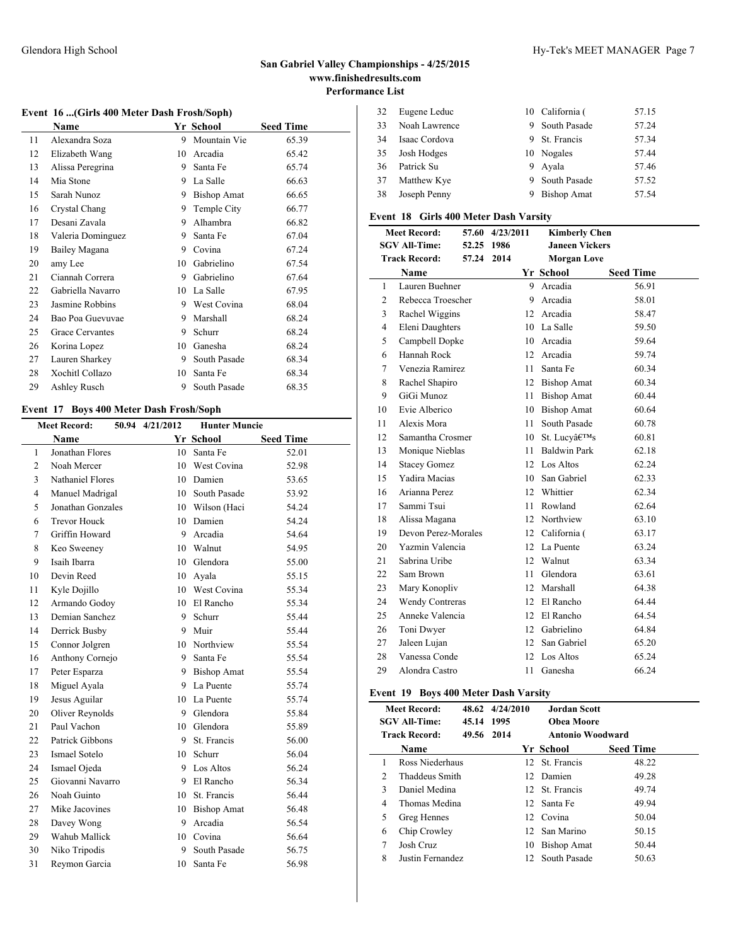# 32 Eugene Leduc 10 California (57.15 Noah Lawrence 9 South Pasade 57.24 Isaac Cordova 9 St. Francis 57.34 Josh Hodges 10 Nogales 57.44 Patrick Su 9 Ayala 57.46 37 Matthew Kye 9 South Pasade 57.52 Joseph Penny 9 Bishop Amat 57.54

### **Event 18 Girls 400 Meter Dash Varsity**

| <b>Meet Record:</b> |                        |            | 57.60 4/23/2011 | <b>Kimberly Chen</b>  |                  |  |  |
|---------------------|------------------------|------------|-----------------|-----------------------|------------------|--|--|
|                     | <b>SGV All-Time:</b>   | 52.25 1986 |                 | <b>Janeen Vickers</b> |                  |  |  |
|                     | <b>Track Record:</b>   | 57.24      | 2014            | <b>Morgan Love</b>    |                  |  |  |
|                     | <b>Name</b>            |            |                 | Yr School             | <b>Seed Time</b> |  |  |
| 1                   | Lauren Buehner         |            | 9               | Arcadia               | 56.91            |  |  |
| 2                   | Rebecca Troescher      |            | 9               | Arcadia               | 58.01            |  |  |
| 3                   | Rachel Wiggins         |            | 12              | Arcadia               | 58.47            |  |  |
| $\overline{4}$      | Eleni Daughters        |            | 10              | La Salle              | 59.50            |  |  |
| 5                   | Campbell Dopke         |            | 10              | Arcadia               | 59.64            |  |  |
| 6                   | Hannah Rock            |            | 12              | Arcadia               | 59.74            |  |  |
| 7                   | Venezia Ramirez        |            | 11              | Santa Fe              | 60.34            |  |  |
| 8                   | Rachel Shapiro         |            |                 | 12 Bishop Amat        | 60.34            |  |  |
| 9                   | GiGi Munoz             |            | 11              | <b>Bishop Amat</b>    | 60.44            |  |  |
| 10                  | Evie Alberico          |            | 10              | <b>Bishop Amat</b>    | 60.64            |  |  |
| 11                  | Alexis Mora            |            | 11              | South Pasade          | 60.78            |  |  |
| 12                  | Samantha Crosmer       |            | 10              | St. Lucy's            | 60.81            |  |  |
| 13                  | Monique Nieblas        |            | 11              | <b>Baldwin Park</b>   | 62.18            |  |  |
| 14                  | <b>Stacey Gomez</b>    |            | 12              | Los Altos             | 62.24            |  |  |
| 15                  | <b>Yadira Macias</b>   |            | 10              | San Gabriel           | 62.33            |  |  |
| 16                  | Arianna Perez          |            | 12              | Whittier              | 62.34            |  |  |
| 17                  | Sammi Tsui             |            | 11              | Rowland               | 62.64            |  |  |
| 18                  | Alissa Magana          |            | 12              | Northview             | 63.10            |  |  |
| 19                  | Devon Perez-Morales    |            | 12              | California (          | 63.17            |  |  |
| 20                  | Yazmin Valencia        |            | 12              | La Puente             | 63.24            |  |  |
| 21                  | Sabrina Uribe          |            | 12              | Walnut                | 63.34            |  |  |
| 22                  | Sam Brown              |            | 11              | Glendora              | 63.61            |  |  |
| 23                  | Mary Konopliv          |            | 12              | Marshall              | 64.38            |  |  |
| 24                  | <b>Wendy Contreras</b> |            | 12              | El Rancho             | 64.44            |  |  |
| 25                  | Anneke Valencia        |            | 12              | El Rancho             | 64.54            |  |  |
| 26                  | Toni Dwyer             |            | 12              | Gabrielino            | 64.84            |  |  |
| 27                  | Jaleen Lujan           |            | 12              | San Gabriel           | 65.20            |  |  |
| 28                  | Vanessa Conde          |            | 12              | Los Altos             | 65.24            |  |  |
| 29                  | Alondra Castro         |            | 11              | Ganesha               | 66.24            |  |  |

### **Event 19 Boys 400 Meter Dash Varsity**

| <b>Meet Record:</b><br><b>SGV All-Time:</b><br>45.14 1995 |                      | 48.62 4/24/2010 | Jordan Scott<br>Obea Moore |                  |  |
|-----------------------------------------------------------|----------------------|-----------------|----------------------------|------------------|--|
|                                                           | <b>Track Record:</b> | 49.56 2014      | <b>Antonio Woodward</b>    |                  |  |
|                                                           | Name                 |                 | Yr School                  | <b>Seed Time</b> |  |
| 1                                                         | Ross Niederhaus      |                 | 12 St. Francis             | 48.22            |  |
| $\mathfrak{D}$                                            | Thaddeus Smith       |                 | 12 Damien                  | 49.28            |  |
| 3                                                         | Daniel Medina        |                 | 12 St. Francis             | 49.74            |  |
| 4                                                         | Thomas Medina        |                 | 12 Santa Fe                | 49.94            |  |
| 5                                                         | Greg Hennes          |                 | 12 Covina                  | 50.04            |  |
| 6                                                         | Chip Crowley         |                 | 12 San Marino              | 50.15            |  |
| 7                                                         | Josh Cruz            |                 | 10 Bishop Amat             | 50.44            |  |
| 8                                                         | Justin Fernandez     |                 | 12 South Pasade            | 50.63            |  |

#### **Event 16 ...(Girls 400 Meter Dash Frosh/Soph)**

|    | Name              |    | Yr School          | <b>Seed Time</b> |
|----|-------------------|----|--------------------|------------------|
| 11 | Alexandra Soza    | 9  | Mountain Vie       | 65.39            |
| 12 | Elizabeth Wang    | 10 | Arcadia            | 65.42            |
| 13 | Alissa Peregrina  | 9  | Santa Fe           | 65.74            |
| 14 | Mia Stone         | 9  | La Salle           | 66.63            |
| 15 | Sarah Nunoz       | 9  | <b>Bishop Amat</b> | 66.65            |
| 16 | Crystal Chang     | 9  | Temple City        | 66.77            |
| 17 | Desani Zavala     | 9  | Alhambra           | 66.82            |
| 18 | Valeria Dominguez | 9  | Santa Fe           | 67.04            |
| 19 | Bailey Magana     | 9  | Covina             | 67.24            |
| 20 | amy Lee           | 10 | Gabrielino         | 67.54            |
| 21 | Ciannah Correra   | 9  | Gabrielino         | 67.64            |
| 22 | Gabriella Navarro | 10 | La Salle           | 67.95            |
| 23 | Jasmine Robbins   | 9  | West Covina        | 68.04            |
| 24 | Bao Poa Guevuvae  | 9  | Marshall           | 68.24            |
| 25 | Grace Cervantes   | 9  | Schurr             | 68.24            |
| 26 | Korina Lopez      | 10 | Ganesha            | 68.24            |
| 27 | Lauren Sharkey    | 9  | South Pasade       | 68.34            |
| 28 | Xochitl Collazo   | 10 | Santa Fe           | 68.34            |
| 29 | Ashley Rusch      | 9  | South Pasade       | 68.35            |
|    |                   |    |                    |                  |

### **Event 17 Boys 400 Meter Dash Frosh/Soph**

| <b>Meet Record:</b> |                     | 50.94 4/21/2012 | <b>Hunter Muncie</b> |                  |
|---------------------|---------------------|-----------------|----------------------|------------------|
|                     | <b>Name</b>         |                 | Yr School            | <b>Seed Time</b> |
| 1                   | Jonathan Flores     |                 | 10 Santa Fe          | 52.01            |
| $\overline{c}$      | Noah Mercer         | 10              | West Covina          | 52.98            |
| 3                   | Nathaniel Flores    | 10              | Damien               | 53.65            |
| 4                   | Manuel Madrigal     |                 | 10 South Pasade      | 53.92            |
| 5                   | Jonathan Gonzales   |                 | 10 Wilson (Haci      | 54.24            |
| 6                   | <b>Trevor Houck</b> |                 | 10 Damien            | 54.24            |
| 7                   | Griffin Howard      | 9               | Arcadia              | 54.64            |
| 8                   | Keo Sweeney         |                 | 10 Walnut            | 54.95            |
| 9                   | Isaih Ibarra        |                 | 10 Glendora          | 55.00            |
| 10                  | Devin Reed          |                 | 10 Ayala             | 55.15            |
| 11                  | Kyle Dojillo        | 10              | West Covina          | 55.34            |
| 12                  | Armando Godoy       |                 | 10 El Rancho         | 55.34            |
| 13                  | Demian Sanchez      | 9.              | Schurr               | 55.44            |
| 14                  | Derrick Busby       | 9               | Muir                 | 55.44            |
| 15                  | Connor Jolgren      | 10              | Northview            | 55.54            |
| 16                  | Anthony Cornejo     | 9.              | Santa Fe             | 55.54            |
| 17                  | Peter Esparza       |                 | 9 Bishop Amat        | 55.54            |
| 18                  | Miguel Ayala        | 9               | La Puente            | 55.74            |
| 19                  | Jesus Aguilar       | 10              | La Puente            | 55.74            |
| 20                  | Oliver Reynolds     |                 | 9 Glendora           | 55.84            |
| 21                  | Paul Vachon         |                 | 10 Glendora          | 55.89            |
| 22                  | Patrick Gibbons     | 9               | St. Francis          | 56.00            |
| 23                  | Ismael Sotelo       | 10              | Schurr               | 56.04            |
| 24                  | Ismael Ojeda        | 9.              | Los Altos            | 56.24            |
| 25                  | Giovanni Navarro    | 9.              | El Rancho            | 56.34            |
| 26                  | Noah Guinto         | 10              | St. Francis          | 56.44            |
| 27                  | Mike Jacovines      | 10              | <b>Bishop Amat</b>   | 56.48            |
| 28                  | Davey Wong          | 9               | Arcadia              | 56.54            |
| 29                  | Wahub Mallick       |                 | 10 Covina            | 56.64            |
| 30                  | Niko Tripodis       | 9               | South Pasade         | 56.75            |
| 31                  | Reymon Garcia       | 10              | Santa Fe             | 56.98            |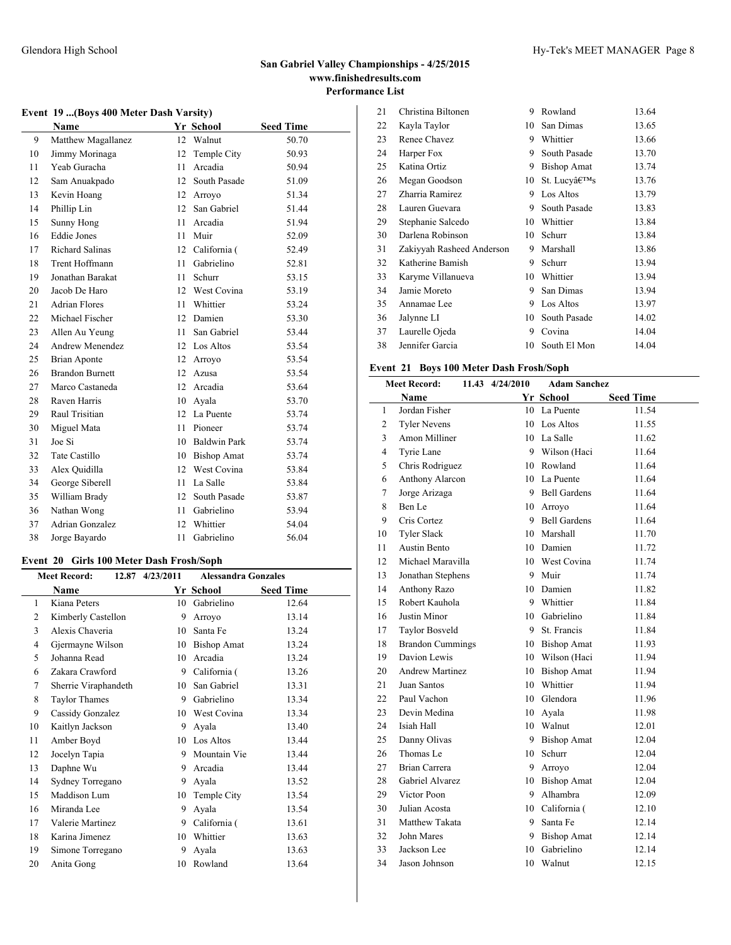# **Event 19 ...(Boys 400 Meter Dash Varsity)**

|    | Name                   |                 | Yr School           | <b>Seed Time</b> |
|----|------------------------|-----------------|---------------------|------------------|
| 9  | Matthew Magallanez     | 12              | Walnut              | 50.70            |
| 10 | Jimmy Morinaga         | 12              | Temple City         | 50.93            |
| 11 | Yeab Guracha           | 11              | Arcadia             | 50.94            |
| 12 | Sam Anuakpado          | 12              | South Pasade        | 51.09            |
| 13 | Kevin Hoang            | 12              | Arroyo              | 51.34            |
| 14 | Phillip Lin            | 12 <sup>2</sup> | San Gabriel         | 51.44            |
| 15 | Sunny Hong             | 11              | Arcadia             | 51.94            |
| 16 | <b>Eddie Jones</b>     | 11              | Muir                | 52.09            |
| 17 | <b>Richard Salinas</b> |                 | 12 California (     | 52.49            |
| 18 | Trent Hoffmann         | 11              | Gabrielino          | 52.81            |
| 19 | Jonathan Barakat       | 11              | Schurr              | 53.15            |
| 20 | Jacob De Haro          | 12              | West Covina         | 53.19            |
| 21 | <b>Adrian Flores</b>   | 11              | Whittier            | 53.24            |
| 22 | Michael Fischer        | 12              | Damien              | 53.30            |
| 23 | Allen Au Yeung         | 11              | San Gabriel         | 53.44            |
| 24 | Andrew Menendez        | 12              | Los Altos           | 53.54            |
| 25 | <b>Brian Aponte</b>    | 12              | Arroyo              | 53.54            |
| 26 | <b>Brandon Burnett</b> | 12              | Azusa               | 53.54            |
| 27 | Marco Castaneda        | 12              | Arcadia             | 53.64            |
| 28 | Raven Harris           | 10              | Avala               | 53.70            |
| 29 | Raul Trisitian         | 12              | La Puente           | 53.74            |
| 30 | Miguel Mata            | 11              | Pioneer             | 53.74            |
| 31 | Joe Si                 | 10              | <b>Baldwin Park</b> | 53.74            |
| 32 | <b>Tate Castillo</b>   | 10              | <b>Bishop Amat</b>  | 53.74            |
| 33 | Alex Quidilla          | 12              | West Covina         | 53.84            |
| 34 | George Siberell        | 11              | La Salle            | 53.84            |
| 35 | William Brady          | 12              | South Pasade        | 53.87            |
| 36 | Nathan Wong            | 11              | Gabrielino          | 53.94            |
| 37 | Adrian Gonzalez        | 12              | Whittier            | 54.04            |
| 38 | Jorge Bayardo          | 11              | Gabrielino          | 56.04            |

# **Event 20 Girls 100 Meter Dash Frosh/Soph**

| <b>Meet Record:</b> |                      | 12.87 4/23/2011 | <b>Alessandra Gonzales</b> |                  |
|---------------------|----------------------|-----------------|----------------------------|------------------|
|                     | Name                 |                 | Yr School                  | <b>Seed Time</b> |
| 1                   | Kiana Peters         | 10              | Gabrielino                 | 12.64            |
| 2                   | Kimberly Castellon   | 9               | Arroyo                     | 13.14            |
| 3                   | Alexis Chaveria      | 10              | Santa Fe                   | 13.24            |
| 4                   | Gjermayne Wilson     | 10              | <b>Bishop Amat</b>         | 13.24            |
| 5                   | Johanna Read         | 10              | Arcadia                    | 13.24            |
| 6                   | Zakara Crawford      | 9               | California (               | 13.26            |
| 7                   | Sherrie Viraphandeth | 10              | San Gabriel                | 13.31            |
| 8                   | <b>Taylor Thames</b> | 9               | Gabrielino                 | 13.34            |
| 9                   | Cassidy Gonzalez     | 10              | West Covina                | 13.34            |
| 10                  | Kaitlyn Jackson      | 9               | Ayala                      | 13.40            |
| 11                  | Amber Boyd           | 10              | Los Altos                  | 13.44            |
| 12                  | Jocelyn Tapia        | 9               | Mountain Vie               | 13.44            |
| 13                  | Daphne Wu            | 9               | Arcadia                    | 13.44            |
| 14                  | Sydney Torregano     | 9               | Ayala                      | 13.52            |
| 15                  | Maddison Lum         | 10              | Temple City                | 13.54            |
| 16                  | Miranda Lee          | 9               | Ayala                      | 13.54            |
| 17                  | Valerie Martinez     | 9               | California (               | 13.61            |
| 18                  | Karina Jimenez       | 10              | Whittier                   | 13.63            |
| 19                  | Simone Torregano     | 9               | Avala                      | 13.63            |
| 20                  | Anita Gong           | 10              | Rowland                    | 13.64            |

| 21 | Christina Biltonen        | 9  | Rowland            | 13.64 |
|----|---------------------------|----|--------------------|-------|
| 22 | Kayla Taylor              | 10 | San Dimas          | 13.65 |
| 23 | Renee Chavez              | 9  | Whittier           | 13.66 |
| 24 | Harper Fox                | 9  | South Pasade       | 13.70 |
| 25 | Katina Ortiz              | 9  | <b>Bishop Amat</b> | 13.74 |
| 26 | Megan Goodson             | 10 | St. Lucy's         | 13.76 |
| 27 | Zharria Ramirez           | 9  | Los Altos          | 13.79 |
| 28 | Lauren Guevara            | 9  | South Pasade       | 13.83 |
| 29 | Stephanie Salcedo         | 10 | Whittier           | 13.84 |
| 30 | Darlena Robinson          | 10 | Schurr             | 13.84 |
| 31 | Zakiyyah Rasheed Anderson | 9  | Marshall           | 13.86 |
| 32 | Katherine Bamish          | 9  | Schurr             | 13.94 |
| 33 | Karyme Villanueva         | 10 | Whittier           | 13.94 |
| 34 | Jamie Moreto              | 9  | San Dimas          | 13.94 |
| 35 | Annamae Lee               | 9  | Los Altos          | 13.97 |
| 36 | Jalynne LI                | 10 | South Pasade       | 14.02 |
| 37 | Laurelle Ojeda            | 9  | Covina             | 14.04 |
| 38 | Jennifer Garcia           | 10 | South El Mon       | 14.04 |

# **Event 21 Boys 100 Meter Dash Frosh/Soph**

| <b>Meet Record:</b> |                         | 11.43 4/24/2010 | <b>Adam Sanchez</b> |                  |
|---------------------|-------------------------|-----------------|---------------------|------------------|
|                     | <b>Name</b>             |                 | Yr School           | <b>Seed Time</b> |
| 1                   | Jordan Fisher           |                 | 10 La Puente        | 11.54            |
| 2                   | <b>Tyler Nevens</b>     | 10              | Los Altos           | 11.55            |
| 3                   | Amon Milliner           | 10              | La Salle            | 11.62            |
| 4                   | Tyrie Lane              |                 | 9 Wilson (Haci      | 11.64            |
| 5                   | Chris Rodriguez         | 10              | Rowland             | 11.64            |
| 6                   | Anthony Alarcon         |                 | 10 La Puente        | 11.64            |
| 7                   | Jorge Arizaga           | 9               | <b>Bell Gardens</b> | 11.64            |
| 8                   | Ben Le                  |                 | 10 Arrovo           | 11.64            |
| 9                   | Cris Cortez             |                 | 9 Bell Gardens      | 11.64            |
| 10                  | <b>Tyler Slack</b>      |                 | 10 Marshall         | 11.70            |
| 11                  | Austin Bento            |                 | 10 Damien           | 11.72            |
| 12                  | Michael Maravilla       |                 | 10 West Covina      | 11.74            |
| 13                  | Jonathan Stephens       | 9               | Muir                | 11.74            |
| 14                  | Anthony Razo            | 10              | Damien              | 11.82            |
| 15                  | Robert Kauhola          | 9               | Whittier            | 11.84            |
| 16                  | Justin Minor            | 10              | Gabrielino          | 11.84            |
| 17                  | <b>Taylor Bosveld</b>   | 9               | St. Francis         | 11.84            |
| 18                  | <b>Brandon Cummings</b> | 10              | <b>Bishop Amat</b>  | 11.93            |
| 19                  | Davion Lewis            |                 | 10 Wilson (Haci     | 11.94            |
| 20                  | <b>Andrew Martinez</b>  | 10              | <b>Bishop Amat</b>  | 11.94            |
| 21                  | Juan Santos             | 10              | Whittier            | 11.94            |
| 22                  | Paul Vachon             | 10              | Glendora            | 11.96            |
| 23                  | Devin Medina            | 10              | Avala               | 11.98            |
| 24                  | Isiah Hall              | 10              | Walnut              | 12.01            |
| 25                  | Danny Olivas            | 9               | <b>Bishop Amat</b>  | 12.04            |
| 26                  | Thomas Le               | 10              | Schurr              | 12.04            |
| 27                  | <b>Brian Carrera</b>    | 9               | Arroyo              | 12.04            |
| 28                  | Gabriel Alvarez         | 10              | <b>Bishop Amat</b>  | 12.04            |
| 29                  | Victor Poon             | 9               | Alhambra            | 12.09            |
| 30                  | Julian Acosta           |                 | 10 California (     | 12.10            |
| 31                  | Matthew Takata          | 9               | Santa Fe            | 12.14            |
| 32                  | John Mares              | 9               | <b>Bishop Amat</b>  | 12.14            |
| 33                  | Jackson Lee             | 10              | Gabrielino          | 12.14            |
| 34                  | Jason Johnson           | 10              | Walnut              | 12.15            |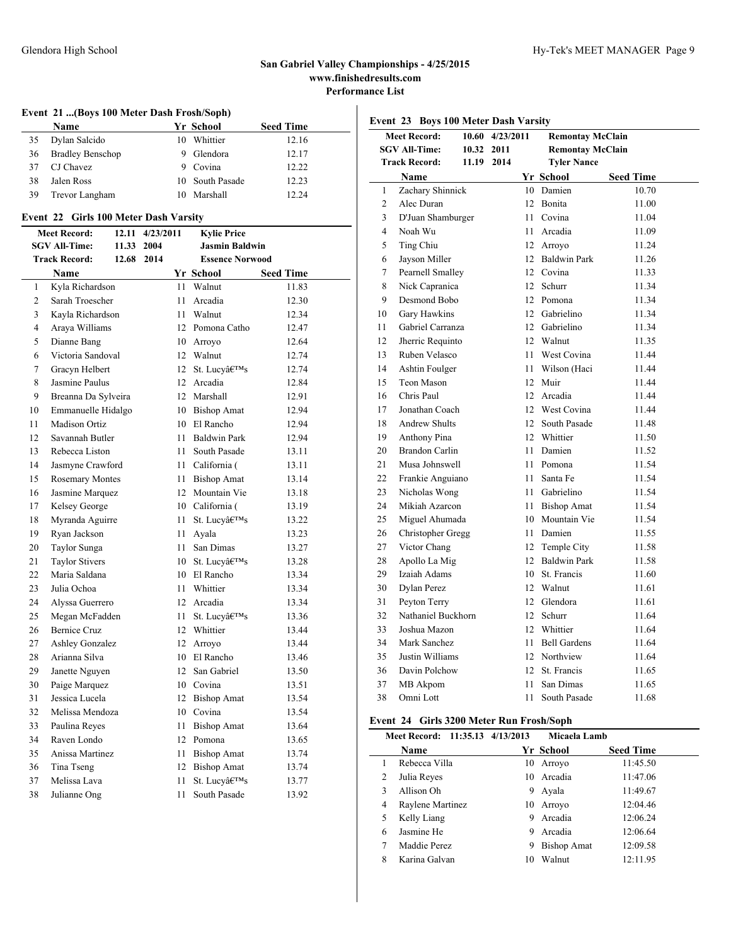### **Event 21 ...(Boys 100 Meter Dash Frosh/Soph)**

|    | <b>Name</b>             |   | Yr School       | <b>Seed Time</b> |
|----|-------------------------|---|-----------------|------------------|
| 35 | Dylan Salcido           |   | 10 Whittier     | 12.16            |
| 36 | <b>Bradley Benschop</b> | 9 | Glendora        | 12.17            |
| 37 | CJ Chavez               |   | 9 Covina        | 12.22            |
| 38 | Jalen Ross              |   | 10 South Pasade | 12.23            |
| 39 | Trevor Langham          |   | 10 Marshall     | 12.24            |
|    |                         |   |                 |                  |

### **Event 22 Girls 100 Meter Dash Varsity**

| <b>Meet Record:</b>  |                        | 12.11 | 4/23/2011  |    | <b>Kylie Price</b>     |                  |
|----------------------|------------------------|-------|------------|----|------------------------|------------------|
| <b>SGV All-Time:</b> |                        |       | 11.33 2004 |    | <b>Jasmin Baldwin</b>  |                  |
|                      | <b>Track Record:</b>   | 12.68 | 2014       |    | <b>Essence Norwood</b> |                  |
|                      | Name                   |       |            |    | Yr School              | <b>Seed Time</b> |
| 1                    | Kyla Richardson        |       |            | 11 | Walnut                 | 11.83            |
| 2                    | Sarah Troescher        |       |            | 11 | Arcadia                | 12.30            |
| 3                    | Kavla Richardson       |       |            | 11 | Walnut                 | 12.34            |
| 4                    | Araya Williams         |       |            |    | 12 Pomona Catho        | 12.47            |
| 5                    | Dianne Bang            |       |            |    | 10 Arroyo              | 12.64            |
| 6                    | Victoria Sandoval      |       |            |    | 12 Walnut              | 12.74            |
| $\overline{7}$       | Gracyn Helbert         |       |            | 12 | St. Lucy's             | 12.74            |
| 8                    | Jasmine Paulus         |       |            |    | 12 Arcadia             | 12.84            |
| 9                    | Breanna Da Sylveira    |       |            |    | 12 Marshall            | 12.91            |
| 10                   | Emmanuelle Hidalgo     |       |            |    | 10 Bishop Amat         | 12.94            |
| 11                   | <b>Madison Ortiz</b>   |       |            |    | 10 El Rancho           | 12.94            |
| 12                   | Savannah Butler        |       |            | 11 | <b>Baldwin Park</b>    | 12.94            |
| 13                   | Rebecca Liston         |       |            | 11 | South Pasade           | 13.11            |
| 14                   | Jasmyne Crawford       |       |            | 11 | California (           | 13.11            |
| 15                   | <b>Rosemary Montes</b> |       |            | 11 | <b>Bishop Amat</b>     | 13.14            |
| 16                   | Jasmine Marquez        |       |            |    | 12 Mountain Vie        | 13.18            |
| 17                   | Kelsey George          |       |            |    | 10 California (        | 13.19            |
| 18                   | Myranda Aguirre        |       |            | 11 | St. Lucv's             | 13.22            |
| 19                   | Ryan Jackson           |       |            | 11 | Ayala                  | 13.23            |
| 20                   | Taylor Sunga           |       |            | 11 | San Dimas              | 13.27            |
| 21                   | <b>Taylor Stivers</b>  |       |            |    | 10 St. Lucv's          | 13.28            |
| 22                   | Maria Saldana          |       |            |    | 10 El Rancho           | 13.34            |
| 23                   | Julia Ochoa            |       |            |    | 11 Whittier            | 13.34            |
| 24                   | Alyssa Guerrero        |       |            |    | 12 Arcadia             | 13.34            |
| 25                   | Megan McFadden         |       |            | 11 | St. Lucy's             | 13.36            |
| 26                   | <b>Bernice Cruz</b>    |       |            |    | 12 Whittier            | 13.44            |
| 27                   | <b>Ashley Gonzalez</b> |       |            |    | 12 Arroyo              | 13.44            |
| 28                   | Arianna Silva          |       |            |    | 10 El Rancho           | 13.46            |
| 29                   | Janette Nguyen         |       |            | 12 | San Gabriel            | 13.50            |
| 30                   | Paige Marquez          |       |            |    | 10 Covina              | 13.51            |
| 31                   | Jessica Lucela         |       |            |    | 12 Bishop Amat         | 13.54            |
| 32                   | Melissa Mendoza        |       |            |    | 10 Covina              | 13.54            |
| 33                   | Paulina Reves          |       |            | 11 | <b>Bishop Amat</b>     | 13.64            |
| 34                   | Raven Londo            |       |            |    | 12 Pomona              | 13.65            |
| 35                   | Anissa Martinez        |       |            | 11 | <b>Bishop Amat</b>     | 13.74            |
| 36                   | Tina Tseng             |       |            |    | 12 Bishop Amat         | 13.74            |
| 37                   | Melissa Lava           |       |            | 11 | St. Lucy's             | 13.77            |
| 38                   | Julianne Ong           |       |            | 11 | South Pasade           | 13.92            |

**Event 23 Boys 100 Meter Dash Varsity**

|                | <b>Meet Record:</b>                | 10.60 4/23/2011 | <b>Remontay McClain</b> |                  |
|----------------|------------------------------------|-----------------|-------------------------|------------------|
|                | <b>SGV All-Time:</b><br>10.32 2011 |                 | <b>Remontay McClain</b> |                  |
|                | <b>Track Record:</b><br>11.19 2014 |                 | <b>Tyler Nance</b>      |                  |
|                | <b>Name</b>                        |                 | Yr School               | <b>Seed Time</b> |
| 1              | Zachary Shinnick                   |                 | 10 Damien               | 10.70            |
| $\overline{2}$ | Alec Duran                         |                 | 12 Bonita               | 11.00            |
| 3              | D'Juan Shamburger                  |                 | 11 Covina               | 11.04            |
| $\overline{4}$ | Noah Wu                            |                 | 11 Arcadia              | 11.09            |
| 5              | Ting Chiu                          |                 | 12 Arroyo               | 11.24            |
| 6              | Jayson Miller                      |                 | 12 Baldwin Park         | 11.26            |
| 7              | Pearnell Smalley                   |                 | 12 Covina               | 11.33            |
| 8              | Nick Capranica                     |                 | 12 Schurr               | 11.34            |
| 9              | Desmond Bobo                       |                 | 12 Pomona               | 11.34            |
| 10             | Gary Hawkins                       |                 | 12 Gabrielino           | 11.34            |
| 11             | Gabriel Carranza                   |                 | 12 Gabrielino           | 11.34            |
| 12             | Jherric Requinto                   |                 | 12 Walnut               | 11.35            |
| 13             | Ruben Velasco                      |                 | 11 West Covina          | 11.44            |
| 14             | Ashtin Foulger                     |                 | 11 Wilson (Haci         | 11.44            |
| 15             | Teon Mason                         |                 | 12 Muir                 | 11.44            |
| 16             | Chris Paul                         |                 | 12 Arcadia              | 11.44            |
| 17             | Jonathan Coach                     |                 | 12 West Covina          | 11.44            |
| 18             | <b>Andrew Shults</b>               |                 | 12 South Pasade         | 11.48            |
| 19             | Anthony Pina                       |                 | 12 Whittier             | 11.50            |
| 20             | <b>Brandon Carlin</b>              |                 | 11 Damien               | 11.52            |
| 21             | Musa Johnswell                     |                 | 11 Pomona               | 11.54            |
| 22             | Frankie Anguiano                   | 11              | Santa Fe                | 11.54            |
| 23             | Nicholas Wong                      |                 | 11 Gabrielino           | 11.54            |
| 24             | Mikiah Azarcon                     |                 | 11 Bishop Amat          | 11.54            |
| 25             | Miguel Ahumada                     |                 | 10 Mountain Vie         | 11.54            |
| 26             | Christopher Gregg                  |                 | 11 Damien               | 11.55            |
| 27             | Victor Chang                       |                 | 12 Temple City          | 11.58            |
| 28             | Apollo La Mig                      |                 | 12 Baldwin Park         | 11.58            |
| 29             | Izaiah Adams                       |                 | 10 St. Francis          | 11.60            |
| 30             | Dylan Perez                        |                 | 12 Walnut               | 11.61            |
| 31             | Peyton Terry                       |                 | 12 Glendora             | 11.61            |
| 32             | Nathaniel Buckhorn                 |                 | 12 Schurr               | 11.64            |
| 33             | Joshua Mazon                       |                 | 12 Whittier             | 11.64            |
| 34             | Mark Sanchez                       |                 | 11 Bell Gardens         | 11.64            |
| 35             | Justin Williams                    |                 | 12 Northview            | 11.64            |
| 36             | Davin Polchow                      |                 | 12 St. Francis          | 11.65            |
| 37             | MB Akpom                           | 11              | San Dimas               | 11.65            |
| 38             | Omni Lott                          | 11              | South Pasade            | 11.68            |

### **Event 24 Girls 3200 Meter Run Frosh/Soph**

|   | Meet Record: 11:35.13 4/13/2013 |    | Micaela Lamb       |                  |
|---|---------------------------------|----|--------------------|------------------|
|   | Name                            |    | Yr School          | <b>Seed Time</b> |
|   | Rebecca Villa                   | 10 | Arrovo             | 11:45.50         |
| 2 | Julia Reyes                     | 10 | Arcadia            | 11:47.06         |
| 3 | Allison Oh                      | 9  | Ayala              | 11:49.67         |
| 4 | Raylene Martinez                | 10 | Arroyo             | 12:04.46         |
| 5 | Kelly Liang                     | 9  | Arcadia            | 12:06.24         |
| 6 | Jasmine He                      | 9  | Arcadia            | 12:06.64         |
|   | Maddie Perez                    | 9  | <b>Bishop Amat</b> | 12:09.58         |
| 8 | Karina Galvan                   | 10 | Walnut             | 12:11.95         |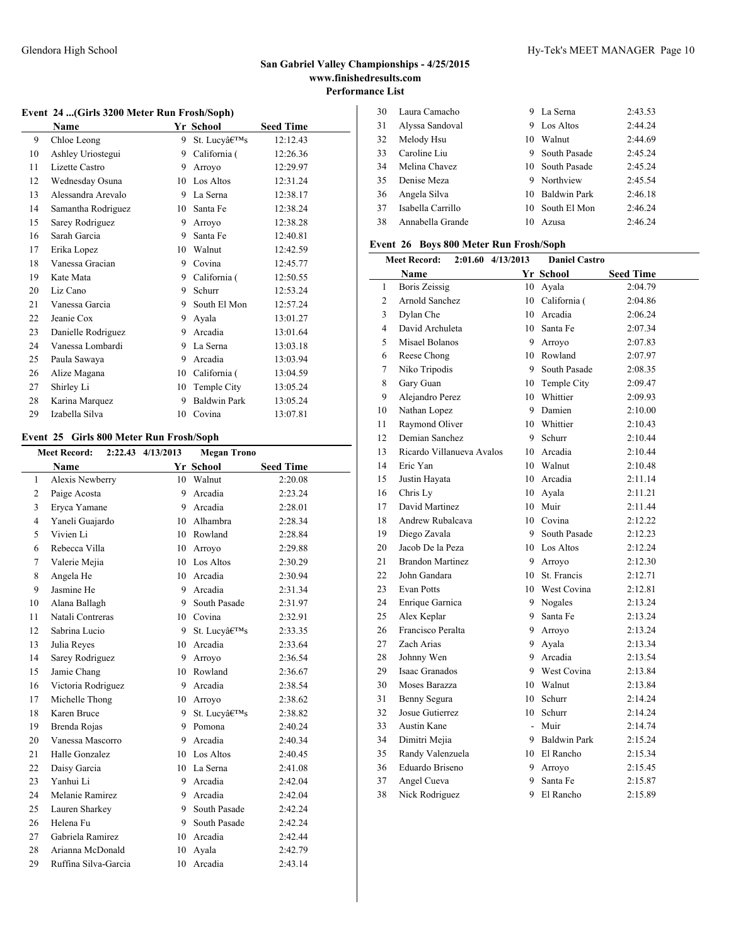### **Event 24 ...(Girls 3200 Meter Run Frosh/Soph)**

|    | Name               |    | Yr School           | <b>Seed Time</b> |
|----|--------------------|----|---------------------|------------------|
| 9  | Chloe Leong        | 9  | St. Lucy's          | 12:12.43         |
| 10 | Ashley Uriostegui  | 9  | California (        | 12:26.36         |
| 11 | Lizette Castro     | 9  | Arroyo              | 12:29.97         |
| 12 | Wednesday Osuna    | 10 | Los Altos           | 12:31.24         |
| 13 | Alessandra Arevalo | 9  | La Serna            | 12:38.17         |
| 14 | Samantha Rodriguez | 10 | Santa Fe            | 12:38.24         |
| 15 | Sarey Rodriguez    | 9  | Arroyo              | 12:38.28         |
| 16 | Sarah Garcia       | 9  | Santa Fe            | 12:40.81         |
| 17 | Erika Lopez        | 10 | Walnut              | 12:42.59         |
| 18 | Vanessa Gracian    | 9  | Covina              | 12:45.77         |
| 19 | Kate Mata          | 9  | California (        | 12:50.55         |
| 20 | Liz Cano           | 9  | Schurr              | 12:53.24         |
| 21 | Vanessa Garcia     | 9  | South El Mon        | 12:57.24         |
| 22 | Jeanie Cox         | 9  | Ayala               | 13:01.27         |
| 23 | Danielle Rodriguez | 9  | Arcadia             | 13:01.64         |
| 24 | Vanessa Lombardi   | 9  | La Serna            | 13:03.18         |
| 25 | Paula Sawaya       | 9  | Arcadia             | 13:03.94         |
| 26 | Alize Magana       | 10 | California (        | 13:04.59         |
| 27 | Shirley Li         | 10 | Temple City         | 13:05.24         |
| 28 | Karina Marquez     | 9  | <b>Baldwin Park</b> | 13:05.24         |
| 29 | Izabella Silva     | 10 | Covina              | 13:07.81         |

### **Event 25 Girls 800 Meter Run Frosh/Soph**

|                | <b>Meet Record:</b>  | 2:22.43 4/13/2013 | <b>Megan Trono</b> |                  |
|----------------|----------------------|-------------------|--------------------|------------------|
|                | Name                 |                   | Yr School          | <b>Seed Time</b> |
| $\mathbf{1}$   | Alexis Newberry      |                   | 10 Walnut          | 2:20.08          |
| $\overline{c}$ | Paige Acosta         | 9                 | Arcadia            | 2:23.24          |
| 3              | Eryca Yamane         | 9                 | Arcadia            | 2:28.01          |
| $\overline{4}$ | Yaneli Guajardo      |                   | 10 Alhambra        | 2:28.34          |
| 5              | Vivien Li            |                   | 10 Rowland         | 2:28.84          |
| 6              | Rebecca Villa        |                   | 10 Arroyo          | 2:29.88          |
| 7              | Valerie Mejia        |                   | 10 Los Altos       | 2:30.29          |
| 8              | Angela He            | 10                | Arcadia            | 2:30.94          |
| 9              | Jasmine He           |                   | 9 Arcadia          | 2:31.34          |
| 10             | Alana Ballagh        | 9                 | South Pasade       | 2:31.97          |
| 11             | Natali Contreras     |                   | 10 Covina          | 2:32.91          |
| 12             | Sabrina Lucio        | 9                 | St. Lucy's         | 2:33.35          |
| 13             | Julia Reyes          |                   | 10 Arcadia         | 2:33.64          |
| 14             | Sarey Rodriguez      |                   | 9 Arroyo           | 2:36.54          |
| 15             | Jamie Chang          |                   | 10 Rowland         | 2:36.67          |
| 16             | Victoria Rodriguez   |                   | 9 Arcadia          | 2:38.54          |
| 17             | Michelle Thong       | 10                | Arroyo             | 2:38.62          |
| 18             | Karen Bruce          | 9                 | St. Lucv's         | 2:38.82          |
| 19             | Brenda Rojas         |                   | 9 Pomona           | 2:40.24          |
| 20             | Vanessa Mascorro     | 9                 | Arcadia            | 2:40.34          |
| 21             | Halle Gonzalez       | 10                | Los Altos          | 2:40.45          |
| 22             | Daisy Garcia         |                   | 10 La Serna        | 2:41.08          |
| 23             | Yanhui Li            |                   | 9 Arcadia          | 2:42.04          |
| 24             | Melanie Ramirez      |                   | 9 Arcadia          | 2:42.04          |
| 25             | Lauren Sharkey       | 9.                | South Pasade       | 2:42.24          |
| 26             | Helena Fu            | 9                 | South Pasade       | 2:42.24          |
| 27             | Gabriela Ramirez     |                   | 10 Arcadia         | 2:42.44          |
| 28             | Arianna McDonald     |                   | 10 Ayala           | 2:42.79          |
| 29             | Ruffina Silva-Garcia | 10                | Arcadia            | 2:43.14          |

| 30 | Laura Camacho     | 9  | La Serna            | 2:43.53 |
|----|-------------------|----|---------------------|---------|
| 31 | Alyssa Sandoval   | 9  | Los Altos           | 2:44.24 |
| 32 | Melody Hsu        | 10 | Walnut              | 2:44.69 |
| 33 | Caroline Liu      | 9  | <b>South Pasade</b> | 2:45.24 |
| 34 | Melina Chavez     |    | 10 South Pasade     | 2:45.24 |
| 35 | Denise Meza       | 9  | Northview           | 2:45.54 |
| 36 | Angela Silva      | 10 | Baldwin Park        | 2:46.18 |
| 37 | Isabella Carrillo |    | 10 South El Mon     | 2:46.24 |
| 38 | Annabella Grande  | 10 | A zusa              | 2:46.24 |
|    |                   |    |                     |         |

### **Event 26 Boys 800 Meter Run Frosh/Soph**

|                | <b>Meet Record:</b>       | 2:01.60 4/13/2013 | <b>Daniel Castro</b> |                  |
|----------------|---------------------------|-------------------|----------------------|------------------|
|                | Name                      |                   | Yr School            | <b>Seed Time</b> |
| $\mathbf{1}$   | <b>Boris Zeissig</b>      |                   | 10 Ayala             | 2:04.79          |
| $\overline{c}$ | Arnold Sanchez            |                   | 10 California (      | 2:04.86          |
| 3              | Dylan Che                 |                   | 10 Arcadia           | 2:06.24          |
| 4              | David Archuleta           |                   | 10 Santa Fe          | 2:07.34          |
| 5              | Misael Bolanos            |                   | 9 Arrovo             | 2:07.83          |
| 6              | Reese Chong               |                   | 10 Rowland           | 2:07.97          |
| 7              | Niko Tripodis             |                   | 9 South Pasade       | 2:08.35          |
| 8              | Gary Guan                 |                   | 10 Temple City       | 2:09.47          |
| 9              | Alejandro Perez           |                   | 10 Whittier          | 2:09.93          |
| 10             | Nathan Lopez              |                   | 9 Damien             | 2:10.00          |
| 11             | Raymond Oliver            |                   | 10 Whittier          | 2:10.43          |
| 12             | Demian Sanchez            | 9                 | Schurr               | 2:10.44          |
| 13             | Ricardo Villanueva Avalos |                   | 10 Arcadia           | 2:10.44          |
| 14             | Eric Yan                  |                   | 10 Walnut            | 2:10.48          |
| 15             | Justin Hayata             |                   | 10 Arcadia           | 2:11.14          |
| 16             | Chris Ly                  |                   | 10 Ayala             | 2:11.21          |
| 17             | David Martinez            |                   | 10 Muir              | 2:11.44          |
| 18             | Andrew Rubalcava          |                   | 10 Covina            | 2:12.22          |
| 19             | Diego Zavala              | 9                 | South Pasade         | 2:12.23          |
| 20             | Jacob De la Peza          |                   | 10 Los Altos         | 2:12.24          |
| 21             | <b>Brandon Martinez</b>   |                   | 9 Arroyo             | 2:12.30          |
| 22             | John Gandara              |                   | 10 St. Francis       | 2:12.71          |
| 23             | <b>Evan Potts</b>         |                   | 10 West Covina       | 2:12.81          |
| 24             | Enrique Garnica           |                   | 9 Nogales            | 2:13.24          |
| 25             | Alex Keplar               |                   | 9 Santa Fe           | 2:13.24          |
| 26             | Francisco Peralta         |                   | 9 Arroyo             | 2:13.24          |
| 27             | Zach Arias                | 9                 | Ayala                | 2:13.34          |
| 28             | Johnny Wen                | 9                 | Arcadia              | 2:13.54          |
| 29             | Isaac Granados            |                   | 9 West Covina        | 2:13.84          |
| 30             | Moses Barazza             |                   | 10 Walnut            | 2:13.84          |
| 31             | Benny Segura              | $10-10$           | Schurr               | 2:14.24          |
| 32             | Josue Gutierrez           |                   | 10 Schurr            | 2:14.24          |
| 33             | Austin Kane               |                   | - Muir               | 2:14.74          |
| 34             | Dimitri Mejia             |                   | 9 Baldwin Park       | 2:15.24          |
| 35             | Randy Valenzuela          |                   | 10 El Rancho         | 2:15.34          |
| 36             | Eduardo Briseno           | 9                 | Arrovo               | 2:15.45          |
| 37             | Angel Cueva               | 9.                | Santa Fe             | 2:15.87          |
| 38             | Nick Rodriguez            | 9                 | El Rancho            | 2:15.89          |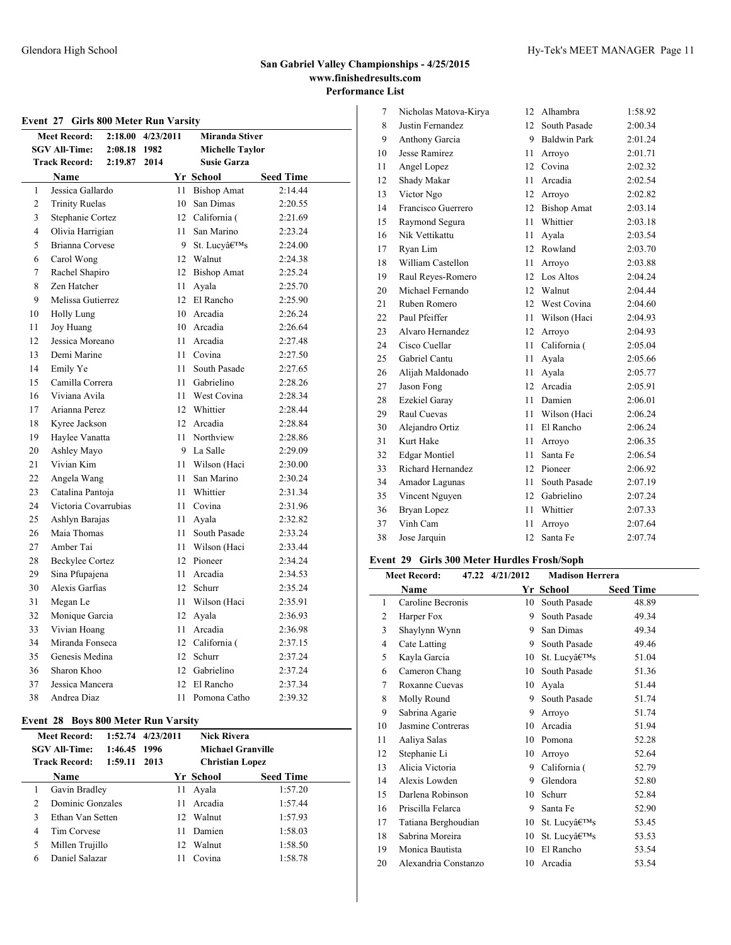|                | Event 27 Girls 800 Meter Run Varsity |                   |      |     |                        |                  |
|----------------|--------------------------------------|-------------------|------|-----|------------------------|------------------|
|                | <b>Meet Record:</b>                  | 2:18.00 4/23/2011 |      |     | <b>Miranda Stiver</b>  |                  |
|                | <b>SGV All-Time:</b>                 | 2:08.18           | 1982 |     | <b>Michelle Taylor</b> |                  |
|                | <b>Track Record:</b>                 | 2:19.87           | 2014 |     | <b>Susie Garza</b>     |                  |
|                | Name                                 |                   |      |     | Yr School              | <b>Seed Time</b> |
| 1              | Jessica Gallardo                     |                   |      |     | 11 Bishop Amat         | 2:14.44          |
| $\overline{c}$ | <b>Trinity Ruelas</b>                |                   |      | 10  | San Dimas              | 2:20.55          |
| 3              | Stephanie Cortez                     |                   |      |     | 12 California (        | 2:21.69          |
| $\overline{4}$ | Olivia Harrigian                     |                   |      |     | 11 San Marino          | 2:23.24          |
| 5              | Brianna Corvese                      |                   |      |     | 9 St. Lucv's           | 2:24.00          |
| 6              | Carol Wong                           |                   |      |     | 12 Walnut              | 2:24.38          |
| 7              | Rachel Shapiro                       |                   |      |     | 12 Bishop Amat         | 2:25.24          |
| 8              | Zen Hatcher                          |                   |      |     | 11 Ayala               | 2:25.70          |
| 9              | Melissa Gutierrez                    |                   |      |     | 12 El Rancho           | 2:25.90          |
| 10             | <b>Holly Lung</b>                    |                   |      |     | 10 Arcadia             | 2:26.24          |
| 11             | Joy Huang                            |                   |      |     | 10 Arcadia             | 2:26.64          |
| 12             | Jessica Moreano                      |                   |      | 11  | Arcadia                | 2:27.48          |
| 13             | Demi Marine                          |                   |      | 11  | Covina                 | 2:27.50          |
| 14             | Emily Ye                             |                   |      | 11  | South Pasade           | 2:27.65          |
| 15             | Camilla Correra                      |                   |      | 11  | Gabrielino             | 2:28.26          |
| 16             | Viviana Avila                        |                   |      | 11  | West Covina            | 2:28.34          |
| 17             | Arianna Perez                        |                   |      |     | 12 Whittier            | 2:28.44          |
| 18             | Kyree Jackson                        |                   |      |     | 12 Arcadia             | 2:28.84          |
| 19             | Haylee Vanatta                       |                   |      |     | 11 Northview           | 2:28.86          |
| 20             | Ashley Mayo                          |                   |      |     | 9 La Salle             | 2:29.09          |
| 21             | Vivian Kim                           |                   |      |     | 11 Wilson (Haci        | 2:30.00          |
| 22             | Angela Wang                          |                   |      | 11  | San Marino             | 2:30.24          |
| 23             | Catalina Pantoja                     |                   |      |     | 11 Whittier            | 2:31.34          |
| 24             | Victoria Covarrubias                 |                   |      | 11  | Covina                 | 2:31.96          |
| 25             | Ashlyn Barajas                       |                   |      |     | 11 Ayala               | 2:32.82          |
| 26             | Maia Thomas                          |                   |      | 11. | South Pasade           | 2:33.24          |
| 27             | Amber Tai                            |                   |      | 11  | Wilson (Haci           | 2:33.44          |
| 28             | <b>Beckylee Cortez</b>               |                   |      |     | 12 Pioneer             | 2:34.24          |
| 29             | Sina Pfupajena                       |                   |      | 11  | Arcadia                | 2:34.53          |
| 30             | Alexis Garfias                       |                   |      |     | 12 Schurr              | 2:35.24          |
| 31             | Megan Le                             |                   |      |     | 11 Wilson (Haci        | 2:35.91          |
| 32             | Monique Garcia                       |                   |      |     | 12 Ayala               | 2:36.93          |
| 33             | Vivian Hoang                         |                   |      |     | 11 Arcadia             | 2:36.98          |
| 34             | Miranda Fonseca                      |                   |      |     | 12 California (        | 2:37.15          |
| 35             | Genesis Medina                       |                   |      |     | 12 Schurr              | 2:37.24          |
| 36             | Sharon Khoo                          |                   |      |     | 12 Gabrielino          | 2:37.24          |
| 37             | Jessica Mancera                      |                   |      |     | 12 El Rancho           | 2:37.34          |
| 38             | Andrea Diaz                          |                   |      | 11  | Pomona Catho           | 2:39.32          |

### **Event 28 Boys 800 Meter Run Varsity**

|               | <b>Meet Record:</b><br><b>SGV All-Time:</b><br><b>Track Record:</b> | 1:52.74<br>1:46.45 1996<br>1:59.11 | 4/23/2011<br>2013 | <b>Nick Rivera</b>                  | <b>Michael Granville</b> |
|---------------|---------------------------------------------------------------------|------------------------------------|-------------------|-------------------------------------|--------------------------|
|               | <b>Name</b>                                                         |                                    |                   | <b>Christian Lopez</b><br>Yr School | <b>Seed Time</b>         |
|               | Gavin Bradley                                                       |                                    | 11                | Ayala                               | 1:57.20                  |
| $\mathcal{L}$ | Dominic Gonzales                                                    |                                    | 11                | Arcadia                             | 1:57.44                  |
| 3             | Ethan Van Setten                                                    |                                    | 12                | Walnut                              | 1:57.93                  |
| 4             | Tim Corvese                                                         |                                    | 11                | Damien                              | 1:58.03                  |
| 5             | Millen Trujillo                                                     |                                    | 12                | Walnut                              | 1:58.50                  |
| 6             | Daniel Salazar                                                      |                                    | 11                | Covina                              | 1:58.78                  |

| 7  | Nicholas Matova-Kirya | 12  | Alhambra            | 1:58.92 |
|----|-----------------------|-----|---------------------|---------|
| 8  | Justin Fernandez      | 12. | South Pasade        | 2:00.34 |
| 9  | Anthony Garcia        | 9   | <b>Baldwin Park</b> | 2:01.24 |
| 10 | Jesse Ramirez         | 11  | Arroyo              | 2:01.71 |
| 11 | Angel Lopez           | 12  | Covina              | 2:02.32 |
| 12 | Shady Makar           | 11  | Arcadia             | 2:02.54 |
| 13 | Victor Ngo            | 12  | Arroyo              | 2:02.82 |
| 14 | Francisco Guerrero    | 12  | <b>Bishop Amat</b>  | 2:03.14 |
| 15 | Raymond Segura        | 11  | Whittier            | 2:03.18 |
| 16 | Nik Vettikattu        | 11  | Ayala               | 2:03.54 |
| 17 | Rvan Lim              | 12  | Rowland             | 2:03.70 |
| 18 | William Castellon     | 11  | Arrovo              | 2:03.88 |
| 19 | Raul Reyes-Romero     | 12  | Los Altos           | 2:04.24 |
| 20 | Michael Fernando      | 12  | Walnut              | 2:04.44 |
| 21 | Ruben Romero          | 12  | West Covina         | 2:04.60 |
| 22 | Paul Pfeiffer         | 11  | Wilson (Haci        | 2:04.93 |
| 23 | Alvaro Hernandez      | 12  | Arrovo              | 2:04.93 |
| 24 | Cisco Cuellar         | 11  | California (        | 2:05.04 |
| 25 | Gabriel Cantu         | 11  | Ayala               | 2:05.66 |
| 26 | Alijah Maldonado      | 11  | Avala               | 2:05.77 |
| 27 | Jason Fong            | 12  | Arcadia             | 2:05.91 |
| 28 | Ezekiel Garay         | 11  | Damien              | 2:06.01 |
| 29 | <b>Raul Cuevas</b>    | 11  | Wilson (Haci        | 2:06.24 |
| 30 | Alejandro Ortiz       | 11  | El Rancho           | 2:06.24 |
| 31 | Kurt Hake             | 11  | Arroyo              | 2:06.35 |
| 32 | <b>Edgar Montiel</b>  | 11  | Santa Fe            | 2:06.54 |
| 33 | Richard Hernandez     | 12  | Pioneer             | 2:06.92 |
| 34 | Amador Lagunas        | 11  | South Pasade        | 2:07.19 |
| 35 | Vincent Nguyen        | 12. | Gabrielino          | 2:07.24 |
| 36 | Bryan Lopez           | 11  | Whittier            | 2:07.33 |
| 37 | Vinh Cam              | 11  | Arroyo              | 2:07.64 |
| 38 | Jose Jarquin          | 12  | Santa Fe            | 2:07.74 |

# **Event 29 Girls 300 Meter Hurdles Frosh/Soph**

|                | <b>Meet Record:</b>  | 47.22 4/21/2012 | <b>Madison Herrera</b> |                  |
|----------------|----------------------|-----------------|------------------------|------------------|
|                | Name                 |                 | Yr School              | <b>Seed Time</b> |
| 1              | Caroline Becronis    | 10              | South Pasade           | 48.89            |
| $\overline{2}$ | Harper Fox           | 9               | South Pasade           | 49.34            |
| 3              | Shaylynn Wynn        | 9               | San Dimas              | 49.34            |
| 4              | Cate Latting         | 9               | South Pasade           | 49.46            |
| 5              | Kayla Garcia         | 10              | St. Lucy's             | 51.04            |
| 6              | Cameron Chang        | 10              | South Pasade           | 51.36            |
| 7              | Roxanne Cuevas       | 10              | Ayala                  | 51.44            |
| 8              | Molly Round          | 9               | South Pasade           | 51.74            |
| 9              | Sabrina Agarie       | 9               | Arroyo                 | 51.74            |
| 10             | Jasmine Contreras    | 10              | Arcadia                | 51.94            |
| 11             | Aaliya Salas         | 10              | Pomona                 | 52.28            |
| 12             | Stephanie Li         | 10              | Arroyo                 | 52.64            |
| 13             | Alicia Victoria      | 9               | California (           | 52.79            |
| 14             | Alexis Lowden        | 9               | Glendora               | 52.80            |
| 15             | Darlena Robinson     | 10              | Schurr                 | 52.84            |
| 16             | Priscilla Felarca    | 9               | Santa Fe               | 52.90            |
| 17             | Tatiana Berghoudian  | 10              | St. Lucv's             | 53.45            |
| 18             | Sabrina Moreira      | 10              | St. Lucv's             | 53.53            |
| 19             | Monica Bautista      | 10              | El Rancho              | 53.54            |
| 20             | Alexandria Constanzo | 10              | Arcadia                | 53.54            |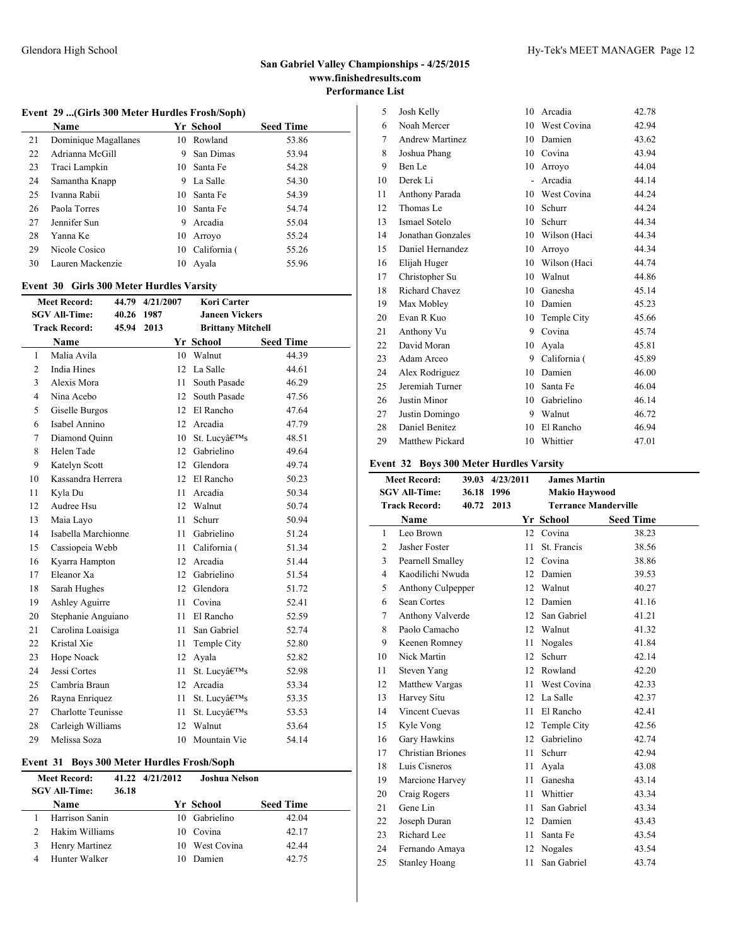### **Event 29 ...(Girls 300 Meter Hurdles Frosh/Soph)**

|    | Name                 |   | Yr School       | <b>Seed Time</b> |
|----|----------------------|---|-----------------|------------------|
| 21 | Dominique Magallanes |   | 10 Rowland      | 53.86            |
| 22 | Adrianna McGill      | 9 | San Dimas       | 53.94            |
| 23 | Traci Lampkin        |   | 10 Santa Fe     | 54.28            |
| 24 | Samantha Knapp       | 9 | La Salle        | 54.30            |
| 25 | Ivanna Rabii         |   | 10 Santa Fe     | 54.39            |
| 26 | Paola Torres         |   | 10 Santa Fe     | 54.74            |
| 27 | Jennifer Sun         | 9 | Arcadia         | 55.04            |
| 28 | Yanna Ke             |   | 10 Arrovo       | 55.24            |
| 29 | Nicole Cosico        |   | 10 California ( | 55.26            |
| 30 | Lauren Mackenzie     |   | 10 Avala        | 55.96            |

#### **Event 30 Girls 300 Meter Hurdles Varsity**

|                | <b>Meet Record:</b><br>44.79 4/21/2007<br>Kori Carter |            |      |                       |                          |                  |  |
|----------------|-------------------------------------------------------|------------|------|-----------------------|--------------------------|------------------|--|
|                | <b>SGV All-Time:</b>                                  | 40.26 1987 |      | <b>Janeen Vickers</b> |                          |                  |  |
|                | <b>Track Record:</b>                                  | 45.94      | 2013 |                       | <b>Brittany Mitchell</b> |                  |  |
|                | <b>Name</b>                                           |            |      |                       | Yr School                | <b>Seed Time</b> |  |
| $\mathbf{1}$   | Malia Avila                                           |            |      | 10                    | Walnut                   | 44.39            |  |
| 2              | <b>India Hines</b>                                    |            |      | 12                    | La Salle                 | 44.61            |  |
| 3              | Alexis Mora                                           |            |      | 11                    | South Pasade             | 46.29            |  |
| $\overline{4}$ | Nina Acebo                                            |            |      | 12                    | South Pasade             | 47.56            |  |
| 5              | Giselle Burgos                                        |            |      | 12                    | El Rancho                | 47.64            |  |
| 6              | Isabel Annino                                         |            |      | 12                    | Arcadia                  | 47.79            |  |
| $\overline{7}$ | Diamond Quinn                                         |            |      |                       | 10 St. Lucv's            | 48.51            |  |
| 8              | Helen Tade                                            |            |      | 12                    | Gabrielino               | 49.64            |  |
| 9              | Katelyn Scott                                         |            |      | 12                    | Glendora                 | 49.74            |  |
| 10             | Kassandra Herrera                                     |            |      | 12                    | El Rancho                | 50.23            |  |
| 11             | Kyla Du                                               |            |      | 11                    | Arcadia                  | 50.34            |  |
| 12             | Audree Hsu                                            |            |      | 12                    | Walnut                   | 50.74            |  |
| 13             | Maia Layo                                             |            |      | 11                    | Schurr                   | 50.94            |  |
| 14             | Isabella Marchionne                                   |            |      | 11                    | Gabrielino               | 51.24            |  |
| 15             | Cassiopeia Webb                                       |            |      | 11                    | California (             | 51.34            |  |
| 16             | Kyarra Hampton                                        |            |      | 12                    | Arcadia                  | 51.44            |  |
| 17             | Eleanor Xa                                            |            |      | 12                    | Gabrielino               | 51.54            |  |
| 18             | Sarah Hughes                                          |            |      | 12                    | Glendora                 | 51.72            |  |
| 19             | Ashley Aguirre                                        |            |      | 11                    | Covina                   | 52.41            |  |
| 20             | Stephanie Anguiano                                    |            |      | 11                    | El Rancho                | 52.59            |  |
| 21             | Carolina Loaisiga                                     |            |      | 11                    | San Gabriel              | 52.74            |  |
| 22             | Kristal Xie                                           |            |      | 11                    | Temple City              | 52.80            |  |
| 23             | Hope Noack                                            |            |      | 12                    | Ayala                    | 52.82            |  |
| 24             | Jessi Cortes                                          |            |      | 11                    | St. Lucv's               | 52.98            |  |
| 25             | Cambria Braun                                         |            |      |                       | 12 Arcadia               | 53.34            |  |
| 26             | Rayna Enriquez                                        |            |      | 11                    | St. Lucy's               | 53.35            |  |
| 27             | <b>Charlotte Teunisse</b>                             |            |      | 11                    | St. Lucy's               | 53.53            |  |
| 28             | Carleigh Williams                                     |            |      | 12                    | Walnut                   | 53.64            |  |
| 29             | Melissa Soza                                          |            |      | 10                    | Mountain Vie             | 54.14            |  |

### **Event 31 Boys 300 Meter Hurdles Frosh/Soph**

| <b>Meet Record:</b><br><b>SGV All-Time:</b> | 36.18 | 41.22 4/21/2012 | <b>Joshua Nelson</b> |                  |
|---------------------------------------------|-------|-----------------|----------------------|------------------|
| <b>Name</b>                                 |       |                 | Yr School            | <b>Seed Time</b> |
| Harrison Sanin                              |       |                 | 10 Gabrielino        | 42.04            |
| Hakim Williams                              |       |                 | 10 Covina            | 42.17            |
| Henry Martinez                              |       |                 | 10 West Covina       | 42.44            |
| Hunter Walker                               |       |                 | Damien               | 42.75            |

| 5  | Josh Kelly             | 10 | Arcadia      | 42.78 |
|----|------------------------|----|--------------|-------|
| 6  | Noah Mercer            | 10 | West Covina  | 42.94 |
| 7  | <b>Andrew Martinez</b> | 10 | Damien       | 43.62 |
| 8  | Joshua Phang           | 10 | Covina       | 43.94 |
| 9  | Ben Le                 | 10 | Arroyo       | 44.04 |
| 10 | Derek Li               | ÷. | Arcadia      | 44.14 |
| 11 | Anthony Parada         | 10 | West Covina  | 44.24 |
| 12 | Thomas Le              | 10 | Schurr       | 44.24 |
| 13 | Ismael Sotelo          | 10 | Schurr       | 44.34 |
| 14 | Jonathan Gonzales      | 10 | Wilson (Haci | 44.34 |
| 15 | Daniel Hernandez       | 10 | Arroyo       | 44.34 |
| 16 | Elijah Huger           | 10 | Wilson (Haci | 44.74 |
| 17 | Christopher Su         | 10 | Walnut       | 44.86 |
| 18 | Richard Chavez         | 10 | Ganesha      | 45.14 |
| 19 | Max Mobley             | 10 | Damien       | 45.23 |
| 20 | Evan R Kuo             | 10 | Temple City  | 45.66 |
| 21 | Anthony Vu             | 9  | Covina       | 45.74 |
| 22 | David Moran            | 10 | Avala        | 45.81 |
| 23 | Adam Arceo             | 9  | California ( | 45.89 |
| 24 | Alex Rodriguez         | 10 | Damien       | 46.00 |
| 25 | Jeremiah Turner        | 10 | Santa Fe     | 46.04 |
| 26 | Justin Minor           | 10 | Gabrielino   | 46.14 |
| 27 | Justin Domingo         | 9  | Walnut       | 46.72 |
| 28 | Daniel Benitez         | 10 | El Rancho    | 46.94 |
| 29 | Matthew Pickard        | 10 | Whittier     | 47.01 |
|    |                        |    |              |       |

### **Event 32 Boys 300 Meter Hurdles Varsity**

|                | <b>Meet Record:</b>   |            | 39.03 4/23/2011 | <b>James Martin</b>         |                  |
|----------------|-----------------------|------------|-----------------|-----------------------------|------------------|
|                | <b>SGV All-Time:</b>  | 36.18 1996 |                 | <b>Makio Haywood</b>        |                  |
|                | <b>Track Record:</b>  | 40.72      | 2013            | <b>Terrance Manderville</b> |                  |
|                | <b>Name</b>           |            |                 | Yr School                   | <b>Seed Time</b> |
| 1              | Leo Brown             |            |                 | 12 Covina                   | 38.23            |
| 2              | Jasher Foster         |            | 11              | St. Francis                 | 38.56            |
| 3              | Pearnell Smalley      |            |                 | 12 Covina                   | 38.86            |
| $\overline{4}$ | Kaodilichi Nwuda      |            | 12              | Damien                      | 39.53            |
| 5              | Anthony Culpepper     |            | 12              | Walnut                      | 40.27            |
| 6              | Sean Cortes           |            | 12              | Damien                      | 41.16            |
| 7              | Anthony Valverde      |            | 12              | San Gabriel                 | 41.21            |
| 8              | Paolo Camacho         |            | 12              | Walnut                      | 41.32            |
| 9              | Keenen Romney         |            | 11              | Nogales                     | 41.84            |
| 10             | Nick Martin           |            | 12              | Schurr                      | 42.14            |
| 11             | Steven Yang           |            | 12              | Rowland                     | 42.20            |
| 12             | Matthew Vargas        |            | 11              | West Covina                 | 42.33            |
| 13             | Harvey Situ           |            | 12              | La Salle                    | 42.37            |
| 14             | <b>Vincent Cuevas</b> |            | 11              | El Rancho                   | 42.41            |
| 15             | Kyle Vong             |            | 12              | Temple City                 | 42.56            |
| 16             | Gary Hawkins          |            | 12              | Gabrielino                  | 42.74            |
| 17             | Christian Briones     |            | 11              | Schurr                      | 42.94            |
| 18             | Luis Cisneros         |            | 11              | Ayala                       | 43.08            |
| 19             | Marcione Harvey       |            | 11              | Ganesha                     | 43.14            |
| 20             | Craig Rogers          |            | 11              | Whittier                    | 43.34            |
| 21             | Gene Lin              |            | 11              | San Gabriel                 | 43.34            |
| 22             | Joseph Duran          |            | 12              | Damien                      | 43.43            |
| 23             | Richard Lee           |            | 11              | Santa Fe                    | 43.54            |
| 24             | Fernando Amaya        |            | 12              | Nogales                     | 43.54            |
| 25             | <b>Stanley Hoang</b>  |            | 11              | San Gabriel                 | 43.74            |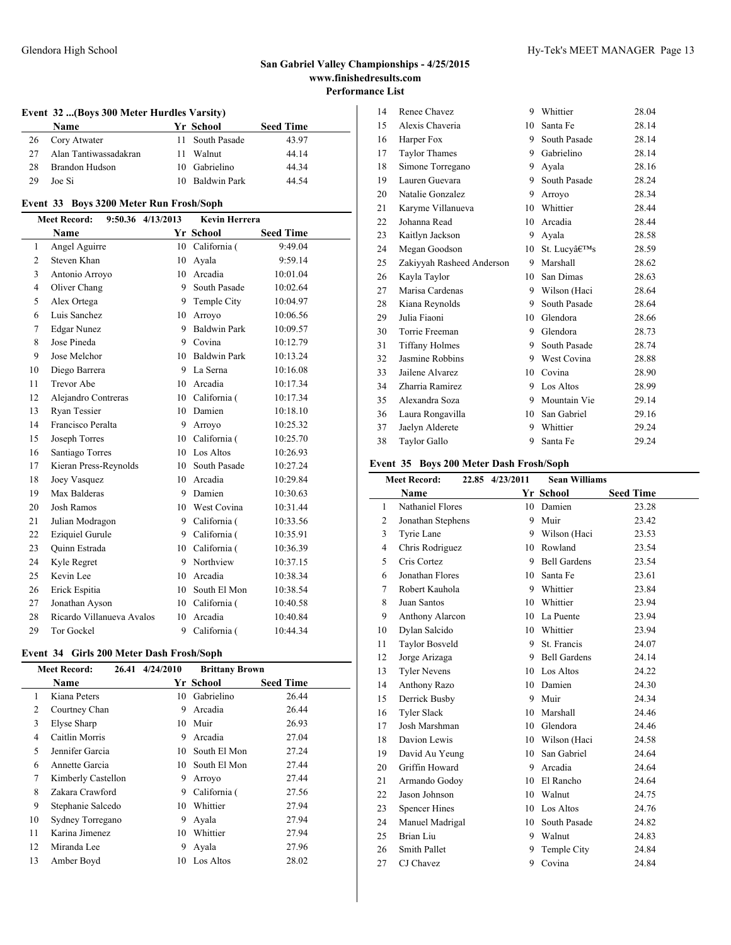### Glendora High School **Hy-Tek's MEET MANAGER** Page 13

### **Event 32 ...(Boys 300 Meter Hurdles Varsity)**

|    | <b>Name</b>           |     | Yr School       | <b>Seed Time</b> |  |
|----|-----------------------|-----|-----------------|------------------|--|
| 26 | Cory Atwater          |     | 11 South Pasade | 43.97            |  |
| 27 | Alan Tantiwassadakran | 11. | Walnut          | 44.14            |  |
| 28 | Brandon Hudson        |     | 10 Gabrielino   | 44.34            |  |
| 29 | Joe Si                |     | 10 Baldwin Park | 44.54            |  |

### **Event 33 Boys 3200 Meter Run Frosh/Soph**

|                | <b>Meet Record:</b>       | 9:50.36 4/13/2013 | <b>Kevin Herrera</b> |                  |
|----------------|---------------------------|-------------------|----------------------|------------------|
|                | Name                      |                   | <b>Yr School</b>     | <b>Seed Time</b> |
| 1              | Angel Aguirre             |                   | 10 California (      | 9:49.04          |
| $\overline{2}$ | Steven Khan               | 10                | Avala                | 9:59.14          |
| 3              | Antonio Arroyo            | 10                | Arcadia              | 10:01.04         |
| $\overline{4}$ | Oliver Chang              |                   | 9 South Pasade       | 10:02.64         |
| 5              | Alex Ortega               |                   | 9 Temple City        | 10:04.97         |
| 6              | Luis Sanchez              |                   | 10 Arroyo            | 10:06.56         |
| 7              | <b>Edgar Nunez</b>        | 9                 | <b>Baldwin Park</b>  | 10:09.57         |
| 8              | Jose Pineda               |                   | 9 Covina             | 10:12.79         |
| 9              | Jose Melchor              |                   | 10 Baldwin Park      | 10:13.24         |
| 10             | Diego Barrera             | 9                 | La Serna             | 10:16.08         |
| 11             | Trevor Abe                |                   | 10 Arcadia           | 10:17.34         |
| 12             | Alejandro Contreras       | 10                | California (         | 10:17.34         |
| 13             | Ryan Tessier              |                   | 10 Damien            | 10:18.10         |
| 14             | Francisco Peralta         | 9                 | Arroyo               | 10:25.32         |
| 15             | Joseph Torres             |                   | 10 California (      | 10:25.70         |
| 16             | Santiago Torres           | 10                | Los Altos            | 10:26.93         |
| 17             | Kieran Press-Reynolds     | 10                | South Pasade         | 10:27.24         |
| 18             | Joey Vasquez              |                   | 10 Arcadia           | 10:29.84         |
| 19             | Max Balderas              | 9                 | Damien               | 10:30.63         |
| 20             | <b>Josh Ramos</b>         |                   | 10 West Covina       | 10:31.44         |
| 21             | Julian Modragon           |                   | 9 California (       | 10:33.56         |
| 22             | <b>Eziquiel Gurule</b>    |                   | 9 California (       | 10:35.91         |
| 23             | Quinn Estrada             |                   | 10 California (      | 10:36.39         |
| 24             | Kyle Regret               | 9                 | Northview            | 10:37.15         |
| 25             | Kevin Lee                 |                   | 10 Arcadia           | 10:38.34         |
| 26             | Erick Espitia             | 10                | South El Mon         | 10:38.54         |
| 27             | Jonathan Ayson            |                   | 10 California (      | 10:40.58         |
| 28             | Ricardo Villanueva Avalos | 10                | Arcadia              | 10:40.84         |
| 29             | <b>Tor Gockel</b>         | 9                 | California (         | 10:44.34         |

### **Event 34 Girls 200 Meter Dash Frosh/Soph**

|    | <b>Meet Record:</b> | 26.41 4/24/2010 | <b>Brittany Brown</b> |                  |
|----|---------------------|-----------------|-----------------------|------------------|
|    | <b>Name</b>         |                 | Yr School             | <b>Seed Time</b> |
| 1  | Kiana Peters        | 10.             | Gabrielino            | 26.44            |
| 2  | Courtney Chan       | 9               | Arcadia               | 26.44            |
| 3  | Elyse Sharp         | 10              | Muir                  | 26.93            |
| 4  | Caitlin Morris      | 9               | Arcadia               | 27.04            |
| 5  | Jennifer Garcia     | 10.             | South El Mon          | 27.24            |
| 6  | Annette Garcia      | 10.             | South El Mon          | 27.44            |
| 7  | Kimberly Castellon  | 9               | Arroyo                | 27.44            |
| 8  | Zakara Crawford     | 9               | California (          | 27.56            |
| 9  | Stephanie Salcedo   | 10              | Whittier              | 27.94            |
| 10 | Sydney Torregano    | 9               | Avala                 | 27.94            |
| 11 | Karina Jimenez      | 10              | Whittier              | 27.94            |
| 12 | Miranda Lee         | 9               | Ayala                 | 27.96            |
| 13 | Amber Boyd          | 10              | Los Altos             | 28.02            |

| 14 | Renee Chavez              | 9  | Whittier     | 28.04 |
|----|---------------------------|----|--------------|-------|
| 15 | Alexis Chaveria           | 10 | Santa Fe     | 28.14 |
| 16 | Harper Fox                | 9  | South Pasade | 28.14 |
| 17 | <b>Taylor Thames</b>      | 9  | Gabrielino   | 28.14 |
| 18 | Simone Torregano          | 9  | Avala        | 28.16 |
| 19 | Lauren Guevara            | 9  | South Pasade | 28.24 |
| 20 | Natalie Gonzalez          | 9  | Arroyo       | 28.34 |
| 21 | Karyme Villanueva         | 10 | Whittier     | 28.44 |
| 22 | Johanna Read              | 10 | Arcadia      | 28.44 |
| 23 | Kaitlyn Jackson           | 9  | Ayala        | 28.58 |
| 24 | Megan Goodson             | 10 | St. Lucv's   | 28.59 |
| 25 | Zakiyyah Rasheed Anderson | 9  | Marshall     | 28.62 |
| 26 | Kayla Taylor              | 10 | San Dimas    | 28.63 |
| 27 | Marisa Cardenas           | 9  | Wilson (Haci | 28.64 |
| 28 | Kiana Reynolds            | 9  | South Pasade | 28.64 |
| 29 | Julia Fiaoni              | 10 | Glendora     | 28.66 |
| 30 | Torrie Freeman            | 9  | Glendora     | 28.73 |
| 31 | <b>Tiffany Holmes</b>     | 9  | South Pasade | 28.74 |
| 32 | Jasmine Robbins           | 9  | West Covina  | 28.88 |
| 33 | Jailene Alvarez           | 10 | Covina       | 28.90 |
| 34 | Zharria Ramirez           | 9  | Los Altos    | 28.99 |
| 35 | Alexandra Soza            | 9  | Mountain Vie | 29.14 |
| 36 | Laura Rongavilla          | 10 | San Gabriel  | 29.16 |
| 37 | Jaelyn Alderete           | 9  | Whittier     | 29.24 |
| 38 | Taylor Gallo              | 9  | Santa Fe     | 29.24 |
|    |                           |    |              |       |

### **Event 35 Boys 200 Meter Dash Frosh/Soph**

|                | <b>Meet Record:</b>  | 22.85 4/23/2011 | <b>Sean Williams</b> |                  |
|----------------|----------------------|-----------------|----------------------|------------------|
|                | Name                 |                 | Yr School            | <b>Seed Time</b> |
| 1              | Nathaniel Flores     |                 | 10 Damien            | 23.28            |
| 2              | Jonathan Stephens    | 9               | Muir                 | 23.42            |
| 3              | Tyrie Lane           |                 | 9 Wilson (Haci       | 23.53            |
| $\overline{4}$ | Chris Rodriguez      |                 | 10 Rowland           | 23.54            |
| 5              | Cris Cortez          | 9               | <b>Bell Gardens</b>  | 23.54            |
| 6              | Jonathan Flores      | 10              | Santa Fe             | 23.61            |
| 7              | Robert Kauhola       |                 | 9 Whittier           | 23.84            |
| 8              | Juan Santos          |                 | 10 Whittier          | 23.94            |
| 9              | Anthony Alarcon      |                 | 10 La Puente         | 23.94            |
| 10             | Dylan Salcido        |                 | 10 Whittier          | 23.94            |
| 11             | Taylor Bosveld       | 9               | St. Francis          | 24.07            |
| 12             | Jorge Arizaga        | 9               | <b>Bell Gardens</b>  | 24.14            |
| 13             | <b>Tyler Nevens</b>  |                 | 10 Los Altos         | 24.22            |
| 14             | Anthony Razo         | 10              | Damien               | 24.30            |
| 15             | Derrick Busby        | 9               | Muir                 | 24.34            |
| 16             | <b>Tyler Slack</b>   | 10              | Marshall             | 24.46            |
| 17             | Josh Marshman        |                 | 10 Glendora          | 24.46            |
| 18             | Davion Lewis         |                 | 10 Wilson (Haci      | 24.58            |
| 19             | David Au Yeung       |                 | 10 San Gabriel       | 24.64            |
| 20             | Griffin Howard       | 9               | Arcadia              | 24.64            |
| 21             | Armando Godoy        | 10              | El Rancho            | 24.64            |
| 22             | Jason Johnson        |                 | 10 Walnut            | 24.75            |
| 23             | <b>Spencer Hines</b> |                 | 10 Los Altos         | 24.76            |
| 24             | Manuel Madrigal      | 10              | South Pasade         | 24.82            |
| 25             | Brian Liu            | 9               | Walnut               | 24.83            |
| 26             | <b>Smith Pallet</b>  | 9               | Temple City          | 24.84            |
| 27             | CJ Chavez            | 9               | Covina               | 24.84            |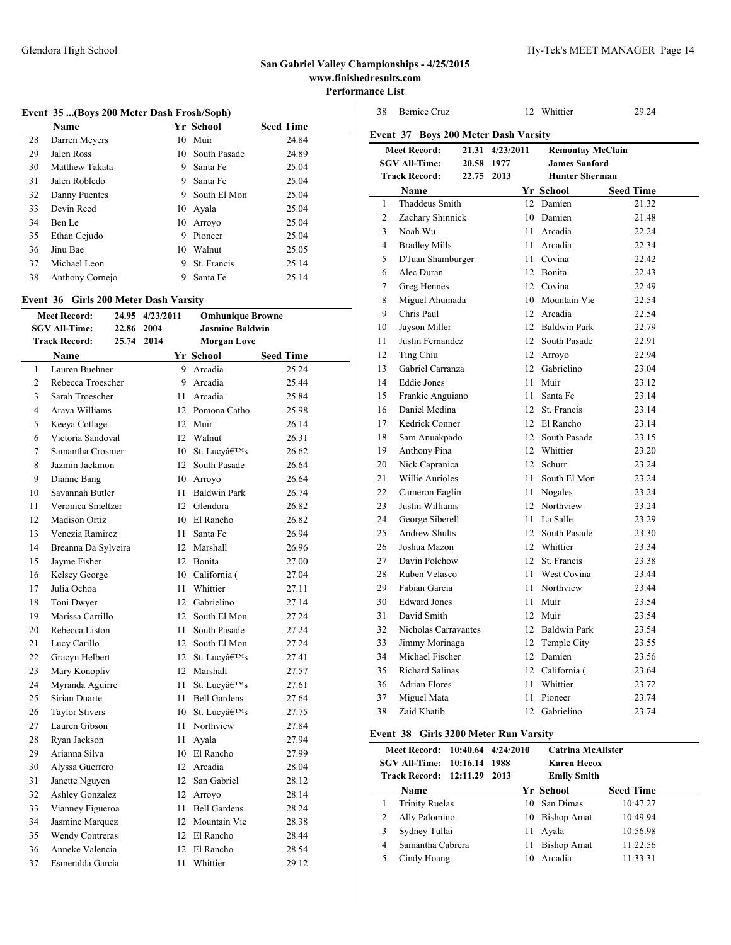### **Event 35 ...(Boys 200 Meter Dash Frosh/Soph)**

|    | Name            |    | Yr School       | <b>Seed Time</b> |
|----|-----------------|----|-----------------|------------------|
| 28 | Darren Meyers   |    | 10 Muir         | 24.84            |
| 29 | Jalen Ross      |    | 10 South Pasade | 24.89            |
| 30 | Matthew Takata  | 9  | Santa Fe        | 25.04            |
| 31 | Jalen Robledo   | 9  | Santa Fe        | 25.04            |
| 32 | Danny Puentes   |    | 9 South El Mon  | 25.04            |
| 33 | Devin Reed      |    | 10 Ayala        | 25.04            |
| 34 | Ben Le          |    | 10 Arrovo       | 25.04            |
| 35 | Ethan Cejudo    | 9  | Pioneer         | 25.04            |
| 36 | Jinu Bae        | 10 | Walnut          | 25.05            |
| 37 | Michael Leon    | 9  | St. Francis     | 25.14            |
| 38 | Anthony Cornejo | 9  | Santa Fe        | 25.14            |

### **Event 36 Girls 200 Meter Dash Varsity**

| <b>Meet Record:</b>  |                        |       | 24.95 4/23/2011<br><b>Omhunique Browne</b> |      |                                    |                  |       |
|----------------------|------------------------|-------|--------------------------------------------|------|------------------------------------|------------------|-------|
| <b>SGV All-Time:</b> |                        | 22.86 | 2004                                       |      | <b>Jasmine Baldwin</b>             |                  |       |
|                      | <b>Track Record:</b>   | 25.74 | 2014                                       |      | <b>Morgan Love</b>                 |                  |       |
|                      | Name                   |       |                                            |      | Yr School                          | <b>Seed Time</b> |       |
| 1                    | Lauren Buehner         |       |                                            |      | 9 Arcadia                          |                  | 25.24 |
| $\overline{2}$       | Rebecca Troescher      |       |                                            | 9    | Arcadia                            |                  | 25.44 |
| 3                    | Sarah Troescher        |       |                                            |      | 11 Arcadia                         |                  | 25.84 |
| $\overline{4}$       | Araya Williams         |       |                                            |      | 12 Pomona Catho                    |                  | 25.98 |
| 5                    | Keeya Cotlage          |       |                                            |      | 12 Muir                            |                  | 26.14 |
| 6                    | Victoria Sandoval      |       |                                            |      | 12 Walnut                          |                  | 26.31 |
| $\overline{7}$       | Samantha Crosmer       |       |                                            | 10   | St. Lucy's                         |                  | 26.62 |
| 8                    | Jazmin Jackmon         |       |                                            | 12   | South Pasade                       |                  | 26.64 |
| 9                    | Dianne Bang            |       |                                            |      | 10 Arroyo                          |                  | 26.64 |
| 10                   | Savannah Butler        |       |                                            |      | 11 Baldwin Park                    |                  | 26.74 |
| 11                   | Veronica Smeltzer      |       |                                            |      | 12 Glendora                        |                  | 26.82 |
| 12                   | <b>Madison Ortiz</b>   |       |                                            |      | 10 El Rancho                       |                  | 26.82 |
| 13                   | Venezia Ramirez        |       |                                            | 11 - | Santa Fe                           |                  | 26.94 |
| 14                   | Breanna Da Sylveira    |       |                                            |      | 12 Marshall                        |                  | 26.96 |
| 15                   | Jayme Fisher           |       |                                            |      | 12 Bonita                          |                  | 27.00 |
| 16                   | Kelsey George          |       |                                            |      | 10 California (                    |                  | 27.04 |
| 17                   | Julia Ochoa            |       |                                            | 11   | Whittier                           |                  | 27.11 |
| 18                   | Toni Dwyer             |       |                                            |      | 12 Gabrielino                      |                  | 27.14 |
| 19                   | Marissa Carrillo       |       |                                            | 12   | South El Mon                       |                  | 27.24 |
| 20                   | Rebecca Liston         |       |                                            | 11 - | South Pasade                       |                  | 27.24 |
| 21                   | Lucy Carillo           |       |                                            | 12   | South El Mon                       |                  | 27.24 |
| 22                   | Gracyn Helbert         |       |                                            | 12   | St. Lucy's                         |                  | 27.41 |
| 23                   | Mary Konopliv          |       |                                            |      | 12 Marshall                        |                  | 27.57 |
| 24                   | Myranda Aguirre        |       |                                            | 11   | St. Lucv's                         |                  | 27.61 |
| 25                   | Sirian Duarte          |       |                                            | 11   | <b>Bell Gardens</b>                |                  | 27.64 |
| 26                   | <b>Taylor Stivers</b>  |       |                                            |      | 10 St. Lucvâ $\in$ <sup>TM</sup> s |                  | 27.75 |
| 27                   | Lauren Gibson          |       |                                            |      | 11 Northview                       |                  | 27.84 |
| 28                   | Ryan Jackson           |       |                                            | 11   | Avala                              |                  | 27.94 |
| 29                   | Arianna Silva          |       |                                            |      | 10 El Rancho                       |                  | 27.99 |
| 30                   | Alyssa Guerrero        |       |                                            |      | 12 Arcadia                         |                  | 28.04 |
| 31                   | Janette Nguyen         |       |                                            |      | 12 San Gabriel                     |                  | 28.12 |
| 32                   | Ashley Gonzalez        |       |                                            |      | 12 Arroyo                          |                  | 28.14 |
| 33                   | Vianney Figueroa       |       |                                            |      | 11 Bell Gardens                    |                  | 28.24 |
| 34                   | Jasmine Marquez        |       |                                            |      | 12 Mountain Vie                    |                  | 28.38 |
| 35                   | <b>Wendy Contreras</b> |       |                                            |      | 12 El Rancho                       |                  | 28.44 |
| 36                   | Anneke Valencia        |       |                                            |      | 12 El Rancho                       |                  | 28.54 |
| 37                   | Esmeralda Garcia       |       |                                            | 11   | Whittier                           |                  | 29.12 |
|                      |                        |       |                                            |      |                                    |                  |       |

| <b>Bernice Cruz</b>    |      |                         |              | 29.24                                                                                                                                                                                                                                                                                                                                                                                                                                                                                                                                                                                                                                                                    |
|------------------------|------|-------------------------|--------------|--------------------------------------------------------------------------------------------------------------------------------------------------------------------------------------------------------------------------------------------------------------------------------------------------------------------------------------------------------------------------------------------------------------------------------------------------------------------------------------------------------------------------------------------------------------------------------------------------------------------------------------------------------------------------|
|                        |      |                         |              |                                                                                                                                                                                                                                                                                                                                                                                                                                                                                                                                                                                                                                                                          |
| <b>Meet Record:</b>    |      |                         |              |                                                                                                                                                                                                                                                                                                                                                                                                                                                                                                                                                                                                                                                                          |
| <b>SGV All-Time:</b>   | 1977 |                         |              |                                                                                                                                                                                                                                                                                                                                                                                                                                                                                                                                                                                                                                                                          |
| <b>Track Record:</b>   | 2013 |                         |              |                                                                                                                                                                                                                                                                                                                                                                                                                                                                                                                                                                                                                                                                          |
| <b>Name</b>            |      |                         |              | <b>Seed Time</b>                                                                                                                                                                                                                                                                                                                                                                                                                                                                                                                                                                                                                                                         |
| <b>Thaddeus Smith</b>  |      |                         |              | 21.32                                                                                                                                                                                                                                                                                                                                                                                                                                                                                                                                                                                                                                                                    |
| Zachary Shinnick       |      |                         |              | 21.48                                                                                                                                                                                                                                                                                                                                                                                                                                                                                                                                                                                                                                                                    |
| Noah Wu                |      | 11                      | Arcadia      | 22.24                                                                                                                                                                                                                                                                                                                                                                                                                                                                                                                                                                                                                                                                    |
| <b>Bradley Mills</b>   |      | 11                      |              | 22.34                                                                                                                                                                                                                                                                                                                                                                                                                                                                                                                                                                                                                                                                    |
| D'Juan Shamburger      |      |                         | Covina       | 22.42                                                                                                                                                                                                                                                                                                                                                                                                                                                                                                                                                                                                                                                                    |
| Alec Duran             |      |                         |              | 22.43                                                                                                                                                                                                                                                                                                                                                                                                                                                                                                                                                                                                                                                                    |
| Greg Hennes            |      |                         |              | 22.49                                                                                                                                                                                                                                                                                                                                                                                                                                                                                                                                                                                                                                                                    |
| Miguel Ahumada         |      |                         |              | 22.54                                                                                                                                                                                                                                                                                                                                                                                                                                                                                                                                                                                                                                                                    |
| Chris Paul             |      |                         |              | 22.54                                                                                                                                                                                                                                                                                                                                                                                                                                                                                                                                                                                                                                                                    |
| Jayson Miller          |      |                         |              | 22.79                                                                                                                                                                                                                                                                                                                                                                                                                                                                                                                                                                                                                                                                    |
| Justin Fernandez       |      |                         |              | 22.91                                                                                                                                                                                                                                                                                                                                                                                                                                                                                                                                                                                                                                                                    |
| Ting Chiu              |      |                         |              | 22.94                                                                                                                                                                                                                                                                                                                                                                                                                                                                                                                                                                                                                                                                    |
| Gabriel Carranza       |      |                         |              | 23.04                                                                                                                                                                                                                                                                                                                                                                                                                                                                                                                                                                                                                                                                    |
| <b>Eddie Jones</b>     |      | 11                      |              | 23.12                                                                                                                                                                                                                                                                                                                                                                                                                                                                                                                                                                                                                                                                    |
| Frankie Anguiano       |      | 11                      | Santa Fe     | 23.14                                                                                                                                                                                                                                                                                                                                                                                                                                                                                                                                                                                                                                                                    |
| Daniel Medina          |      |                         |              | 23.14                                                                                                                                                                                                                                                                                                                                                                                                                                                                                                                                                                                                                                                                    |
| Kedrick Conner         |      |                         |              | 23.14                                                                                                                                                                                                                                                                                                                                                                                                                                                                                                                                                                                                                                                                    |
| Sam Anuakpado          |      |                         |              | 23.15                                                                                                                                                                                                                                                                                                                                                                                                                                                                                                                                                                                                                                                                    |
| Anthony Pina           |      |                         |              | 23.20                                                                                                                                                                                                                                                                                                                                                                                                                                                                                                                                                                                                                                                                    |
| Nick Capranica         |      |                         |              | 23.24                                                                                                                                                                                                                                                                                                                                                                                                                                                                                                                                                                                                                                                                    |
| Willie Aurioles        |      |                         | South El Mon | 23.24                                                                                                                                                                                                                                                                                                                                                                                                                                                                                                                                                                                                                                                                    |
| Cameron Eaglin         |      |                         |              | 23.24                                                                                                                                                                                                                                                                                                                                                                                                                                                                                                                                                                                                                                                                    |
| Justin Williams        |      |                         |              | 23.24                                                                                                                                                                                                                                                                                                                                                                                                                                                                                                                                                                                                                                                                    |
| George Siberell        |      |                         |              | 23.29                                                                                                                                                                                                                                                                                                                                                                                                                                                                                                                                                                                                                                                                    |
| <b>Andrew Shults</b>   |      |                         |              | 23.30                                                                                                                                                                                                                                                                                                                                                                                                                                                                                                                                                                                                                                                                    |
| Joshua Mazon           |      |                         |              | 23.34                                                                                                                                                                                                                                                                                                                                                                                                                                                                                                                                                                                                                                                                    |
| Davin Polchow          |      |                         |              | 23.38                                                                                                                                                                                                                                                                                                                                                                                                                                                                                                                                                                                                                                                                    |
| Ruben Velasco          |      |                         | West Covina  | 23.44                                                                                                                                                                                                                                                                                                                                                                                                                                                                                                                                                                                                                                                                    |
| Fabian Garcia          |      |                         |              | 23.44                                                                                                                                                                                                                                                                                                                                                                                                                                                                                                                                                                                                                                                                    |
| <b>Edward Jones</b>    |      |                         |              | 23.54                                                                                                                                                                                                                                                                                                                                                                                                                                                                                                                                                                                                                                                                    |
| David Smith            |      |                         |              | 23.54                                                                                                                                                                                                                                                                                                                                                                                                                                                                                                                                                                                                                                                                    |
| Nicholas Carravantes   |      |                         |              | 23.54                                                                                                                                                                                                                                                                                                                                                                                                                                                                                                                                                                                                                                                                    |
| Jimmy Morinaga         |      |                         |              | 23.55                                                                                                                                                                                                                                                                                                                                                                                                                                                                                                                                                                                                                                                                    |
| Michael Fischer        |      |                         |              | 23.56                                                                                                                                                                                                                                                                                                                                                                                                                                                                                                                                                                                                                                                                    |
| <b>Richard Salinas</b> |      |                         |              | 23.64                                                                                                                                                                                                                                                                                                                                                                                                                                                                                                                                                                                                                                                                    |
| <b>Adrian Flores</b>   |      | 11                      |              | 23.72                                                                                                                                                                                                                                                                                                                                                                                                                                                                                                                                                                                                                                                                    |
| Miguel Mata            |      | 11                      | Pioneer      | 23.74                                                                                                                                                                                                                                                                                                                                                                                                                                                                                                                                                                                                                                                                    |
| Zaid Khatib            |      |                         | Gabrielino   | 23.74                                                                                                                                                                                                                                                                                                                                                                                                                                                                                                                                                                                                                                                                    |
|                        |      | 21.31<br>20.58<br>22.75 | 4/23/2011    | 12 Whittier<br><b>Event 37 Boys 200 Meter Dash Varsity</b><br><b>Remontay McClain</b><br><b>James Sanford</b><br><b>Hunter Sherman</b><br>Yr School<br>12 Damien<br>10 Damien<br>Arcadia<br>$11 -$<br>12 Bonita<br>12 Covina<br>10 Mountain Vie<br>12 Arcadia<br>12 Baldwin Park<br>12 South Pasade<br>12 Arroyo<br>12 Gabrielino<br>Muir<br>12 St. Francis<br>12 El Rancho<br>12 South Pasade<br>12 Whittier<br>12 Schurr<br>$11 -$<br>11 Nogales<br>12 Northview<br>11 La Salle<br>12 South Pasade<br>12 Whittier<br>12 St. Francis<br>11<br>11 Northview<br>11 Muir<br>12 Muir<br>12 Baldwin Park<br>12 Temple City<br>12 Damien<br>12 California (<br>Whittier<br>12 |

#### **Event 38 Girls 3200 Meter Run Varsity**

| Meet Record: 10:40.64 4/24/2010<br>SGV All-Time: 10:16.14 1988<br><b>Track Record: 12:11.29</b> |                       | 2013 |  | <b>Catrina McAlister</b><br><b>Karen Hecox</b><br><b>Emily Smith</b> |              |                  |
|-------------------------------------------------------------------------------------------------|-----------------------|------|--|----------------------------------------------------------------------|--------------|------------------|
|                                                                                                 | Name                  |      |  |                                                                      | Yr School    | <b>Seed Time</b> |
|                                                                                                 | <b>Trinity Ruelas</b> |      |  |                                                                      | 10 San Dimas | 10:47.27         |
| 2                                                                                               | Ally Palomino         |      |  | 10                                                                   | Bishop Amat  | 10:49.94         |
| 3                                                                                               | Sydney Tullai         |      |  | 11                                                                   | Avala        | 10:56.98         |
| 4                                                                                               | Samantha Cabrera      |      |  | 11                                                                   | Bishop Amat  | 11:22.56         |
| 5                                                                                               | Cindy Hoang           |      |  | 10                                                                   | Arcadia      | 11:33.31         |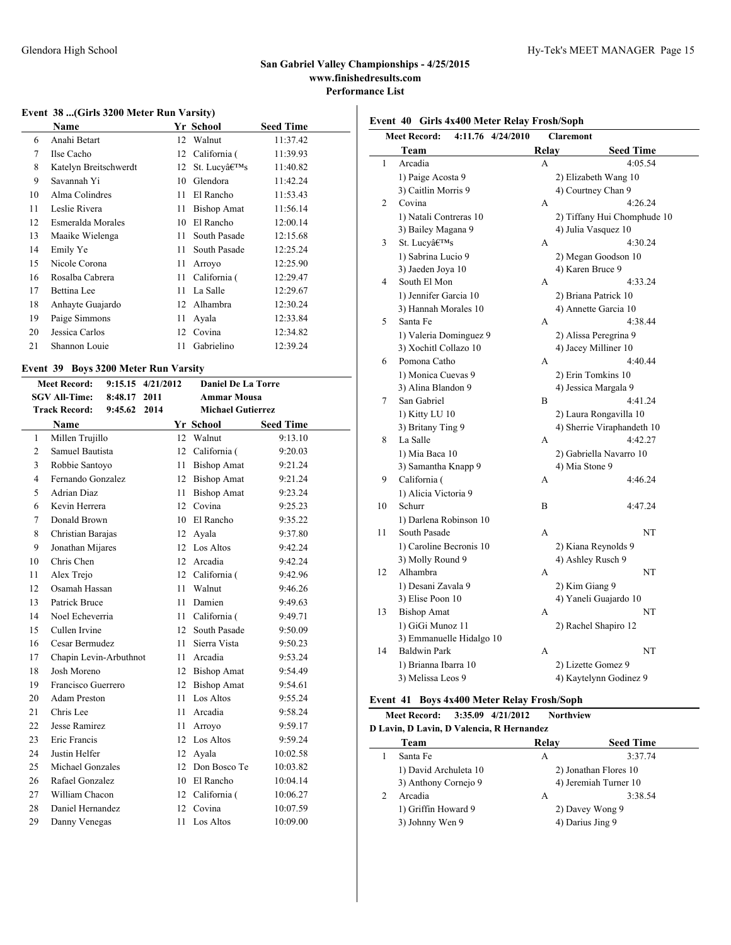### Glendora High School Hy-Tek's MEET MANAGER Page 15

### **San Gabriel Valley Championships - 4/25/2015 www.finishedresults.com Performance List**

### **Event 38 ...(Girls 3200 Meter Run Varsity)**

|    | Name                  |    | Yr School          | <b>Seed Time</b> |
|----|-----------------------|----|--------------------|------------------|
| 6  | Anahi Betart          |    | 12 Walnut          | 11:37.42         |
| 7  | Ilse Cacho            | 12 | California (       | 11:39.93         |
| 8  | Katelyn Breitschwerdt | 12 | St. Lucv's         | 11:40.82         |
| 9  | Savannah Yi           | 10 | Glendora           | 11:42.24         |
| 10 | Alma Colindres        | 11 | El Rancho          | 11:53.43         |
| 11 | Leslie Rivera         | 11 | <b>Bishop Amat</b> | 11:56.14         |
| 12 | Esmeralda Morales     | 10 | El Rancho          | 12:00.14         |
| 13 | Maaike Wielenga       | 11 | South Pasade       | 12:15.68         |
| 14 | Emily Ye              | 11 | South Pasade       | 12:25.24         |
| 15 | Nicole Corona         | 11 | Arroyo             | 12:25.90         |
| 16 | Rosalba Cabrera       | 11 | California (       | 12:29.47         |
| 17 | Bettina Lee           | 11 | La Salle           | 12:29.67         |
| 18 | Anhayte Guajardo      | 12 | Alhambra           | 12:30.24         |
| 19 | Paige Simmons         | 11 | Ayala              | 12:33.84         |
| 20 | Jessica Carlos        | 12 | Covina             | 12:34.82         |
| 21 | Shannon Louie         | 11 | Gabrielino         | 12:39.24         |
|    |                       |    |                    |                  |

### **Event 39 Boys 3200 Meter Run Varsity**

| <b>Meet Record:</b><br>9:15.15 4/21/2012 |                        |         |      | <b>Daniel De La Torre</b> |                          |                  |  |
|------------------------------------------|------------------------|---------|------|---------------------------|--------------------------|------------------|--|
|                                          | <b>SGV All-Time:</b>   | 8:48.17 | 2011 |                           | <b>Ammar Mousa</b>       |                  |  |
|                                          | <b>Track Record:</b>   | 9:45.62 | 2014 |                           | <b>Michael Gutierrez</b> |                  |  |
|                                          | Name                   |         |      |                           | Yr School                | <b>Seed Time</b> |  |
| $\mathbf{1}$                             | Millen Trujillo        |         |      | 12                        | Walnut                   | 9:13.10          |  |
| 2                                        | Samuel Bautista        |         |      | 12                        | California (             | 9:20.03          |  |
| 3                                        | Robbie Santoyo         |         |      | 11                        | <b>Bishop Amat</b>       | 9:21.24          |  |
| $\overline{\mathcal{L}}$                 | Fernando Gonzalez      |         |      | 12                        | <b>Bishop Amat</b>       | 9:21.24          |  |
| 5                                        | <b>Adrian Diaz</b>     |         |      | 11                        | <b>Bishop Amat</b>       | 9:23.24          |  |
| 6                                        | Kevin Herrera          |         |      | 12                        | Covina                   | 9:25.23          |  |
| 7                                        | Donald Brown           |         |      | 10                        | El Rancho                | 9:35.22          |  |
| 8                                        | Christian Barajas      |         |      | 12                        | Ayala                    | 9:37.80          |  |
| 9                                        | Jonathan Mijares       |         |      | 12                        | Los Altos                | 9:42.24          |  |
| 10                                       | Chris Chen             |         |      | 12                        | Arcadia                  | 9:42.24          |  |
| 11                                       | Alex Trejo             |         |      | 12                        | California (             | 9:42.96          |  |
| 12                                       | Osamah Hassan          |         |      | 11                        | Walnut                   | 9:46.26          |  |
| 13                                       | Patrick Bruce          |         |      | 11                        | Damien                   | 9:49.63          |  |
| 14                                       | Noel Echeverria        |         |      | 11                        | California (             | 9:49.71          |  |
| 15                                       | Cullen Irvine          |         |      | 12                        | South Pasade             | 9:50.09          |  |
| 16                                       | Cesar Bermudez         |         |      | 11                        | Sierra Vista             | 9:50.23          |  |
| 17                                       | Chapin Levin-Arbuthnot |         |      | 11                        | Arcadia                  | 9:53.24          |  |
| 18                                       | Josh Moreno            |         |      | 12                        | <b>Bishop Amat</b>       | 9:54.49          |  |
| 19                                       | Francisco Guerrero     |         |      | 12                        | <b>Bishop Amat</b>       | 9:54.61          |  |
| 20                                       | Adam Preston           |         |      | 11                        | Los Altos                | 9:55.24          |  |
| 21                                       | Chris Lee              |         |      | 11                        | Arcadia                  | 9:58.24          |  |
| 22                                       | Jesse Ramirez          |         |      | 11                        | Arroyo                   | 9:59.17          |  |
| 23                                       | <b>Eric Francis</b>    |         |      | 12                        | Los Altos                | 9:59.24          |  |
| 24                                       | Justin Helfer          |         |      | 12                        | Avala                    | 10:02.58         |  |
| 25                                       | Michael Gonzales       |         |      | 12                        | Don Bosco Te             | 10:03.82         |  |
| 26                                       | Rafael Gonzalez        |         |      | 10                        | El Rancho                | 10:04.14         |  |
| 27                                       | William Chacon         |         |      | 12                        | California (             | 10:06.27         |  |
| 28                                       | Daniel Hernandez       |         |      | 12                        | Covina                   | 10:07.59         |  |
| 29                                       | Danny Venegas          |         |      | 11                        | Los Altos                | 10:09.00         |  |

# **Event 40 Girls 4x400 Meter Relay Frosh/Soph**

| <b>Meet Record:</b><br>4:11.76 4/24/2010<br><b>Claremont</b> |                          |       |                             |  |  |  |
|--------------------------------------------------------------|--------------------------|-------|-----------------------------|--|--|--|
|                                                              | Team                     | Relay | <b>Seed Time</b>            |  |  |  |
| 1                                                            | Arcadia                  | A     | 4:05.54                     |  |  |  |
|                                                              | 1) Paige Acosta 9        |       | 2) Elizabeth Wang 10        |  |  |  |
|                                                              | 3) Caitlin Morris 9      |       | 4) Courtney Chan 9          |  |  |  |
| $\overline{c}$                                               | Covina                   | A     | 4:26.24                     |  |  |  |
|                                                              | 1) Natali Contreras 10   |       | 2) Tiffany Hui Chomphude 10 |  |  |  |
|                                                              | 3) Bailey Magana 9       |       | 4) Julia Vasquez 10         |  |  |  |
| 3                                                            | St. Lucy's               | A     | 4:30.24                     |  |  |  |
|                                                              | 1) Sabrina Lucio 9       |       | 2) Megan Goodson 10         |  |  |  |
|                                                              | 3) Jaeden Joya 10        |       | 4) Karen Bruce 9            |  |  |  |
| $\overline{4}$                                               | South El Mon             | A     | 4:33.24                     |  |  |  |
|                                                              | 1) Jennifer Garcia 10    |       | 2) Briana Patrick 10        |  |  |  |
|                                                              | 3) Hannah Morales 10     |       | 4) Annette Garcia 10        |  |  |  |
| 5                                                            | Santa Fe                 | A     | 4:38.44                     |  |  |  |
|                                                              | 1) Valeria Dominguez 9   |       | 2) Alissa Peregrina 9       |  |  |  |
|                                                              | 3) Xochitl Collazo 10    |       | 4) Jacey Milliner 10        |  |  |  |
| 6                                                            | Pomona Catho             | A     | 4:40.44                     |  |  |  |
|                                                              | 1) Monica Cuevas 9       |       | 2) Erin Tomkins 10          |  |  |  |
|                                                              | 3) Alina Blandon 9       |       | 4) Jessica Margala 9        |  |  |  |
| 7                                                            | San Gabriel              | B     | 4:41.24                     |  |  |  |
|                                                              | 1) Kitty LU 10           |       | 2) Laura Rongavilla 10      |  |  |  |
|                                                              | 3) Britany Ting 9        |       | 4) Sherrie Viraphandeth 10  |  |  |  |
| 8                                                            | La Salle                 | A     | 4:42.27                     |  |  |  |
|                                                              | 1) Mia Baca 10           |       | 2) Gabriella Navarro 10     |  |  |  |
|                                                              | 3) Samantha Knapp 9      |       | 4) Mia Stone 9              |  |  |  |
| 9                                                            | California (             | А     | 4:46.24                     |  |  |  |
|                                                              | 1) Alicia Victoria 9     |       |                             |  |  |  |
| 10                                                           | Schurr                   | B     | 4:47.24                     |  |  |  |
|                                                              | 1) Darlena Robinson 10   |       |                             |  |  |  |
| 11                                                           | South Pasade             | A     | NT                          |  |  |  |
|                                                              | 1) Caroline Becronis 10  |       | 2) Kiana Reynolds 9         |  |  |  |
|                                                              | 3) Molly Round 9         |       | 4) Ashley Rusch 9           |  |  |  |
| 12                                                           | Alhambra                 | A     | NT                          |  |  |  |
|                                                              | 1) Desani Zavala 9       |       | 2) Kim Giang 9              |  |  |  |
|                                                              | 3) Elise Poon 10         |       | 4) Yaneli Guajardo 10       |  |  |  |
| 13                                                           | <b>Bishop Amat</b>       | A     | NT                          |  |  |  |
|                                                              | 1) GiGi Munoz 11         |       | 2) Rachel Shapiro 12        |  |  |  |
|                                                              | 3) Emmanuelle Hidalgo 10 |       |                             |  |  |  |
| 14                                                           | <b>Baldwin Park</b>      | A     | NT                          |  |  |  |
|                                                              | 1) Brianna Ibarra 10     |       | 2) Lizette Gomez 9          |  |  |  |
|                                                              | 3) Melissa Leos 9        |       | 4) Kaytelynn Godinez 9      |  |  |  |
|                                                              |                          |       |                             |  |  |  |

### **Event 41 Boys 4x400 Meter Relay Frosh/Soph**

**Meet Record: 3:35.09 4/21/2012 Northview**

| Team                  | Relay | <b>Seed Time</b>      |
|-----------------------|-------|-----------------------|
| Santa Fe              | А     | 3:37.74               |
| 1) David Archuleta 10 |       | 2) Jonathan Flores 10 |
| 3) Anthony Cornejo 9  |       | 4) Jeremiah Turner 10 |
| Arcadia               | A     | 3:38.54               |
| 1) Griffin Howard 9   |       | 2) Davey Wong 9       |
| 3) Johnny Wen 9       |       | 4) Darius Jing 9      |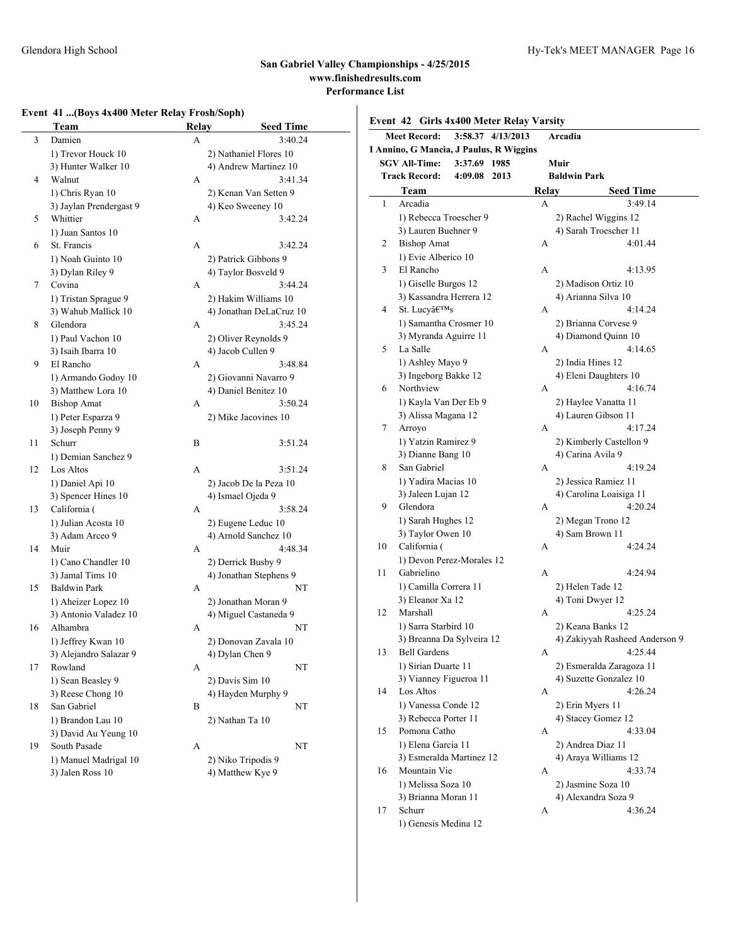# **Event 41 ...(Boys 4x400 Meter Relay Frosh/Soph)**

|    | Team                                   | <b>Relay</b> | <b>Seed Time</b>                           |
|----|----------------------------------------|--------------|--------------------------------------------|
| 3  | Damien                                 | А            | 3:40.24                                    |
|    | 1) Trevor Houck 10                     |              | 2) Nathaniel Flores 10                     |
|    | 3) Hunter Walker 10                    |              | 4) Andrew Martinez 10                      |
| 4  | Walnut                                 | А            | 3:41.34                                    |
|    | 1) Chris Ryan 10                       |              | 2) Kenan Van Setten 9                      |
|    | 3) Jaylan Prendergast 9                |              | 4) Keo Sweeney 10                          |
| 5  | Whittier                               | A            | 3:42.24                                    |
|    | 1) Juan Santos 10                      |              |                                            |
| 6  | St. Francis                            | A            | 3:42.24                                    |
|    | 1) Noah Guinto 10                      |              | 2) Patrick Gibbons 9                       |
|    | 3) Dylan Riley 9                       |              | 4) Taylor Bosveld 9                        |
| 7  | Covina                                 | A            | 3:44.24                                    |
|    | 1) Tristan Sprague 9                   |              | 2) Hakim Williams 10                       |
|    | 3) Wahub Mallick 10                    |              | 4) Jonathan DeLaCruz 10                    |
| 8  | Glendora                               | A            | 3:45.24                                    |
|    | 1) Paul Vachon 10                      |              | 2) Oliver Reynolds 9                       |
|    | 3) Isaih Ibarra 10                     |              | 4) Jacob Cullen 9                          |
| 9  | El Rancho                              | A            | 3:48.84                                    |
|    | 1) Armando Godoy 10                    |              | 2) Giovanni Navarro 9                      |
|    | 3) Matthew Lora 10                     |              | 4) Daniel Benitez 10                       |
| 10 | <b>Bishop Amat</b>                     | А            | 3:50.24                                    |
|    | 1) Peter Esparza 9                     |              | 2) Mike Jacovines 10                       |
|    | 3) Joseph Penny 9                      |              |                                            |
| 11 | Schurr                                 | B            | 3:51.24                                    |
|    | 1) Demian Sanchez 9                    |              |                                            |
| 12 | Los Altos                              | A            | 3:51.24                                    |
|    | 1) Daniel Api 10                       |              | 2) Jacob De la Peza 10                     |
|    | 3) Spencer Hines 10                    | A            | 4) Ismael Ojeda 9                          |
| 13 | California (                           |              | 3:58.24                                    |
|    | 1) Julian Acosta 10<br>3) Adam Arceo 9 |              | 2) Eugene Leduc 10<br>4) Arnold Sanchez 10 |
| 14 | Muir                                   | A            | 4:48.34                                    |
|    | 1) Cano Chandler 10                    |              | 2) Derrick Busby 9                         |
|    | 3) Jamal Tims 10                       |              | 4) Jonathan Stephens 9                     |
| 15 | <b>Baldwin Park</b>                    | A            | NT                                         |
|    | 1) Aheizer Lopez 10                    |              | 2) Jonathan Moran 9                        |
|    | 3) Antonio Valadez 10                  |              | 4) Miguel Castaneda 9                      |
| 16 | Alhambra                               | A            | NT                                         |
|    | 1) Jeffrey Kwan 10                     |              | 2) Donovan Zavala 10                       |
|    | 3) Alejandro Salazar 9                 |              | 4) Dylan Chen 9                            |
| 17 | Rowland                                | A            | NT                                         |
|    | 1) Sean Beasley 9                      |              | 2) Davis Sim 10                            |
|    | 3) Reese Chong 10                      |              | 4) Hayden Murphy 9                         |
| 18 | San Gabriel                            | В            | NT                                         |
|    | 1) Brandon Lau 10                      |              | 2) Nathan Ta 10                            |
|    | 3) David Au Yeung 10                   |              |                                            |
| 19 | South Pasade                           | A            | NT                                         |
|    | 1) Manuel Madrigal 10                  |              | 2) Niko Tripodis 9                         |
|    | 3) Jalen Ross 10                       |              | 4) Matthew Kye 9                           |

|    | <b>Meet Record:</b>                     |              | 3:58.37 4/13/2013 |       | Arcadia             |                                |
|----|-----------------------------------------|--------------|-------------------|-------|---------------------|--------------------------------|
|    | I Annino, G Mancia, J Paulus, R Wiggins |              |                   |       |                     |                                |
|    | <b>SGV All-Time:</b>                    | 3:37.69 1985 |                   |       | Muir                |                                |
|    | <b>Track Record:</b>                    | 4:09.08      | 2013              |       | <b>Baldwin Park</b> |                                |
|    | Team                                    |              |                   | Relay |                     | <b>Seed Time</b>               |
| 1  | Arcadia                                 |              |                   | A     |                     | 3:49.14                        |
|    | 1) Rebecca Troescher 9                  |              |                   |       |                     | 2) Rachel Wiggins 12           |
|    | 3) Lauren Buehner 9                     |              |                   |       |                     | 4) Sarah Troescher 11          |
| 2  | <b>Bishop Amat</b>                      |              |                   | А     |                     | 4:01.44                        |
|    | 1) Evie Alberico 10                     |              |                   |       |                     |                                |
| 3  | El Rancho                               |              |                   | A     |                     | 4:13.95                        |
|    | 1) Giselle Burgos 12                    |              |                   |       |                     | 2) Madison Ortiz 10            |
|    | 3) Kassandra Herrera 12                 |              |                   |       |                     | 4) Arianna Silva 10            |
| 4  | St. Lucy's                              |              |                   | A     |                     | 4:14.24                        |
|    | 1) Samantha Crosmer 10                  |              |                   |       |                     | 2) Brianna Corvese 9           |
|    | 3) Myranda Aguirre 11                   |              |                   |       |                     | 4) Diamond Quinn 10            |
| 5  | La Salle                                |              |                   | A     |                     | 4:14.65                        |
|    |                                         |              |                   |       |                     |                                |
|    | 1) Ashley Mayo 9                        |              |                   |       | 2) India Hines 12   |                                |
|    | 3) Ingeborg Bakke 12                    |              |                   |       |                     | 4) Eleni Daughters 10          |
| 6  | Northview                               |              |                   | A     |                     | 4:16.74                        |
|    | 1) Kayla Van Der Eb 9                   |              |                   |       |                     | 2) Haylee Vanatta 11           |
|    | 3) Alissa Magana 12                     |              |                   |       |                     | 4) Lauren Gibson 11            |
| 7  | Arroyo                                  |              |                   | A     |                     | 4:17.24                        |
|    | 1) Yatzin Ramirez 9                     |              |                   |       |                     | 2) Kimberly Castellon 9        |
|    | 3) Dianne Bang 10                       |              |                   |       | 4) Carina Avila 9   |                                |
| 8  | San Gabriel                             |              |                   | A     |                     | 4:19.24                        |
|    | 1) Yadira Macias 10                     |              |                   |       |                     | 2) Jessica Ramiez 11           |
|    | 3) Jaleen Lujan 12                      |              |                   |       |                     | 4) Carolina Loaisiga 11        |
| 9  | Glendora                                |              |                   | A     |                     | 4:20.24                        |
|    | 1) Sarah Hughes 12                      |              |                   |       |                     | 2) Megan Trono 12              |
|    | 3) Taylor Owen 10                       |              |                   |       | 4) Sam Brown 11     |                                |
| 10 | California (                            |              |                   | A     |                     | 4:24.24                        |
|    | 1) Devon Perez-Morales 12               |              |                   |       |                     |                                |
| 11 | Gabrielino                              |              |                   | A     |                     | 4:24.94                        |
|    | 1) Camilla Correra 11                   |              |                   |       | 2) Helen Tade 12    |                                |
|    | 3) Eleanor Xa 12                        |              |                   |       | 4) Toni Dwyer 12    |                                |
| 12 | Marshall                                |              |                   | A     |                     | 4:25.24                        |
|    | 1) Sarra Starbird 10                    |              |                   |       |                     | 2) Keana Banks 12              |
|    | 3) Breanna Da Sylveira 12               |              |                   |       |                     | 4) Zakiyyah Rasheed Anderson 9 |
| 13 | <b>Bell Gardens</b>                     |              |                   | A     |                     | 4:25.44                        |
|    | 1) Sirian Duarte 11                     |              |                   |       |                     | 2) Esmeralda Zaragoza 11       |
|    | 3) Vianney Figueroa 11                  |              |                   |       |                     | 4) Suzette Gonzalez 10         |
| 14 | Los Altos                               |              |                   | A     |                     | 4:26.24                        |
|    | 1) Vanessa Conde 12                     |              |                   |       | 2) Erin Myers 11    |                                |
|    | 3) Rebecca Porter 11                    |              |                   |       |                     | 4) Stacey Gomez 12             |
| 15 | Pomona Catho                            |              |                   | A     |                     | 4:33.04                        |
|    |                                         |              |                   |       |                     |                                |
|    | 1) Elena Garcia 11                      |              |                   |       | 2) Andrea Diaz 11   |                                |
|    | 3) Esmeralda Martinez 12                |              |                   |       |                     | 4) Araya Williams 12           |
| 16 | Mountain Vie                            |              |                   | A     |                     | 4:33.74                        |
|    | 1) Melissa Soza 10                      |              |                   |       |                     | 2) Jasmine Soza 10             |
|    | 3) Brianna Moran 11                     |              |                   |       |                     | 4) Alexandra Soza 9            |
| 17 | Schurr                                  |              |                   | А     |                     | 4:36.24                        |

1) Genesis Medina 12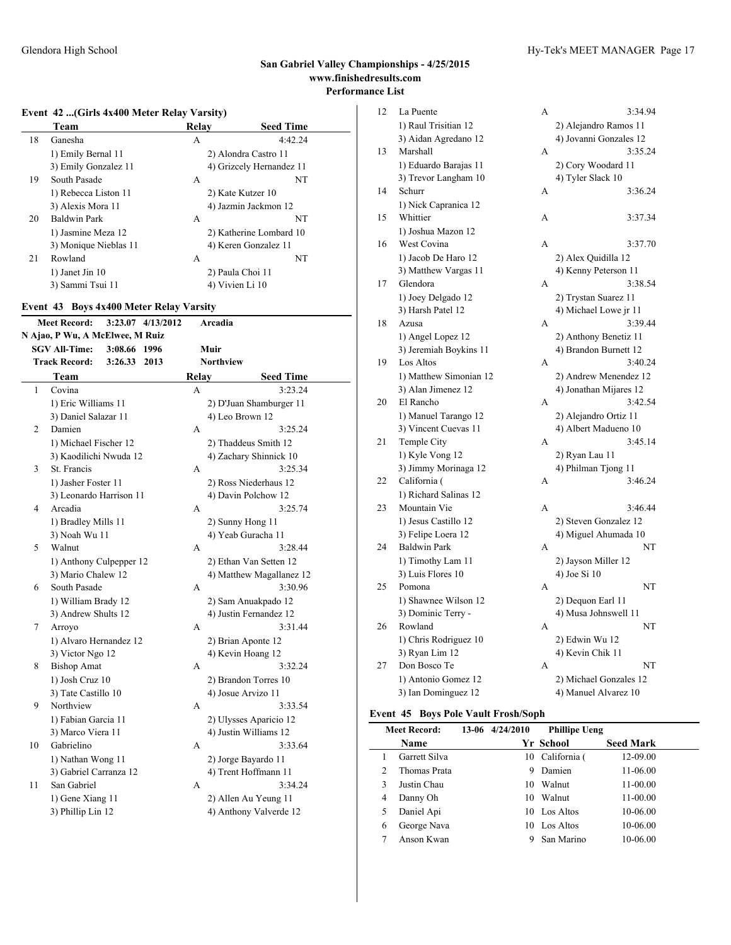### **Event 42 ...(Girls 4x400 Meter Relay Varsity)**

|    | Team                  | Relav           | <b>Seed Time</b>         |
|----|-----------------------|-----------------|--------------------------|
| 18 | Ganesha               | А               | 4:42.24                  |
|    | 1) Emily Bernal 11    |                 | 2) Alondra Castro 11     |
|    | 3) Emily Gonzalez 11  |                 | 4) Grizcely Hernandez 11 |
| 19 | South Pasade          | A               | NT                       |
|    | 1) Rebecca Liston 11  |                 | 2) Kate Kutzer 10        |
|    | 3) Alexis Mora 11     |                 | 4) Jazmin Jackmon 12     |
| 20 | Baldwin Park          | A               | NT                       |
|    | 1) Jasmine Meza 12    |                 | 2) Katherine Lombard 10  |
|    | 3) Monique Nieblas 11 |                 | 4) Keren Gonzalez 11     |
| 21 | Rowland               | A               | NT                       |
|    | 1) Janet Jin 10       |                 | 2) Paula Choi 11         |
|    | 3) Sammi Tsui 11      | 4) Vivien Li 10 |                          |

### **Event 43 Boys 4x400 Meter Relay Varsity**

| <b>Meet Record:</b><br>3:23.07 4/13/2012<br>Arcadia |    |                                 |         |      |                  |                       |                          |  |
|-----------------------------------------------------|----|---------------------------------|---------|------|------------------|-----------------------|--------------------------|--|
|                                                     |    | N Ajao, P Wu, A McElwee, M Ruiz |         |      |                  |                       |                          |  |
|                                                     |    | <b>SGV All-Time:</b>            | 3:08.66 | 1996 |                  | Muir                  |                          |  |
|                                                     |    | <b>Track Record:</b>            | 3:26.33 | 2013 | <b>Northview</b> |                       |                          |  |
|                                                     |    | Team                            |         |      | Relay            |                       | <b>Seed Time</b>         |  |
|                                                     | 1  | Covina                          |         |      | A                |                       | 3:23.24                  |  |
|                                                     |    | 1) Eric Williams 11             |         |      |                  |                       | 2) D'Juan Shamburger 11  |  |
|                                                     |    | 3) Daniel Salazar 11            |         |      |                  | 4) Leo Brown 12       |                          |  |
|                                                     | 2  | Damien                          |         |      | A                |                       | 3:25.24                  |  |
|                                                     |    | 1) Michael Fischer 12           |         |      |                  |                       | 2) Thaddeus Smith 12     |  |
|                                                     |    | 3) Kaodilichi Nwuda 12          |         |      |                  |                       | 4) Zachary Shinnick 10   |  |
|                                                     | 3  | St. Francis                     |         |      | A                |                       | 3:25.34                  |  |
|                                                     |    | 1) Jasher Foster 11             |         |      |                  |                       | 2) Ross Niederhaus 12    |  |
|                                                     |    | 3) Leonardo Harrison 11         |         |      |                  | 4) Davin Polchow 12   |                          |  |
|                                                     | 4  | Arcadia                         |         |      | A                |                       | 3:25.74                  |  |
|                                                     |    | 1) Bradley Mills 11             |         |      |                  | 2) Sunny Hong 11      |                          |  |
|                                                     |    | 3) Noah Wu 11                   |         |      |                  | 4) Yeab Guracha 11    |                          |  |
|                                                     | 5  | Walnut                          |         |      | A                |                       | 3:28.44                  |  |
|                                                     |    | 1) Anthony Culpepper 12         |         |      |                  |                       | 2) Ethan Van Setten 12   |  |
|                                                     |    | 3) Mario Chalew 12              |         |      |                  |                       | 4) Matthew Magallanez 12 |  |
|                                                     | 6  | South Pasade                    |         |      | A                |                       | 3:30.96                  |  |
|                                                     |    | 1) William Brady 12             |         |      |                  |                       | 2) Sam Anuakpado 12      |  |
|                                                     |    | 3) Andrew Shults 12             |         |      |                  |                       | 4) Justin Fernandez 12   |  |
|                                                     | 7  | Arroyo                          |         |      | A                |                       | 3:31.44                  |  |
|                                                     |    | 1) Alvaro Hernandez 12          |         |      |                  | 2) Brian Aponte 12    |                          |  |
|                                                     |    | 3) Victor Ngo 12                |         |      |                  | 4) Kevin Hoang 12     |                          |  |
|                                                     | 8  | <b>Bishop Amat</b>              |         |      | A                |                       | 3:32.24                  |  |
|                                                     |    | 1) Josh Cruz 10                 |         |      |                  | 2) Brandon Torres 10  |                          |  |
|                                                     |    | 3) Tate Castillo 10             |         |      |                  | 4) Josue Arvizo 11    |                          |  |
|                                                     | 9  | Northview                       |         |      | A                |                       | 3:33.54                  |  |
|                                                     |    | 1) Fabian Garcia 11             |         |      |                  |                       | 2) Ulysses Aparicio 12   |  |
|                                                     |    | 3) Marco Viera 11               |         |      |                  | 4) Justin Williams 12 |                          |  |
|                                                     | 10 | Gabrielino                      |         |      | A                |                       | 3:33.64                  |  |
|                                                     |    | 1) Nathan Wong 11               |         |      |                  | 2) Jorge Bayardo 11   |                          |  |
|                                                     |    | 3) Gabriel Carranza 12          |         |      |                  |                       | 4) Trent Hoffmann 11     |  |
|                                                     | 11 | San Gabriel                     |         |      | A                |                       | 3:34.24                  |  |
|                                                     |    | 1) Gene Xiang 11                |         |      |                  |                       | 2) Allen Au Yeung 11     |  |
|                                                     |    | 3) Phillip Lin 12               |         |      |                  |                       | 4) Anthony Valverde 12   |  |

| 12 | La Puente              | А | 3:34.94                |
|----|------------------------|---|------------------------|
|    | 1) Raul Trisitian 12   |   | 2) Alejandro Ramos 11  |
|    | 3) Aidan Agredano 12   |   | 4) Jovanni Gonzales 12 |
| 13 | Marshall               | А | 3:35.24                |
|    | 1) Eduardo Barajas 11  |   | 2) Cory Woodard 11     |
|    | 3) Trevor Langham 10   |   | 4) Tyler Slack 10      |
| 14 | Schurr                 | А | 3:36.24                |
|    | 1) Nick Capranica 12   |   |                        |
| 15 | Whittier               | A | 3:37.34                |
|    | 1) Joshua Mazon 12     |   |                        |
| 16 | West Covina            | A | 3:37.70                |
|    | 1) Jacob De Haro 12    |   | 2) Alex Quidilla 12    |
|    | 3) Matthew Vargas 11   |   | 4) Kenny Peterson 11   |
| 17 | Glendora               | A | 3:38.54                |
|    | 1) Joey Delgado 12     |   | 2) Trystan Suarez 11   |
|    | 3) Harsh Patel 12      |   | 4) Michael Lowe jr 11  |
| 18 | Azusa                  | А | 3:39.44                |
|    | 1) Angel Lopez 12      |   | 2) Anthony Benetiz 11  |
|    | 3) Jeremiah Boykins 11 |   | 4) Brandon Burnett 12  |
| 19 | Los Altos              | A | 3:40.24                |
|    | 1) Matthew Simonian 12 |   | 2) Andrew Menendez 12  |
|    | 3) Alan Jimenez 12     |   | 4) Jonathan Mijares 12 |
| 20 | El Rancho              | A | 3:42.54                |
|    | 1) Manuel Tarango 12   |   | 2) Alejandro Ortiz 11  |
|    | 3) Vincent Cuevas 11   |   | 4) Albert Madueno 10   |
| 21 | Temple City            | А | 3:45.14                |
|    | 1) Kyle Vong 12        |   | 2) Ryan Lau 11         |
|    | 3) Jimmy Morinaga 12   |   | 4) Philman Tjong 11    |
| 22 | California (           | А | 3:46.24                |
|    | 1) Richard Salinas 12  |   |                        |
| 23 | Mountain Vie           | A | 3:46.44                |
|    | 1) Jesus Castillo 12   |   | 2) Steven Gonzalez 12  |
|    | 3) Felipe Loera 12     |   | 4) Miguel Ahumada 10   |
| 24 | <b>Baldwin Park</b>    | А | NT                     |
|    | 1) Timothy Lam 11      |   | 2) Jayson Miller 12    |
|    | 3) Luis Flores 10      |   | 4) Joe Si 10           |
| 25 | Pomona                 | A | NT                     |
|    | 1) Shawnee Wilson 12   |   | 2) Dequon Earl 11      |
|    | 3) Dominic Terry -     |   | 4) Musa Johnswell 11   |
| 26 | Rowland                | А | NT                     |
|    | 1) Chris Rodriguez 10  |   | 2) Edwin Wu 12         |
|    | 3) Ryan Lim 12         |   | 4) Kevin Chik 11       |
| 27 | Don Bosco Te           | A | NT                     |
|    | 1) Antonio Gomez 12    |   | 2) Michael Gonzales 12 |
|    | 3) Ian Dominguez 12    |   | 4) Manuel Alvarez 10   |

### **Event 45 Boys Pole Vault Frosh/Soph**

|   | <b>Meet Record:</b> | 13-06 4/24/2010 | <b>Phillipe Ueng</b> |                  |
|---|---------------------|-----------------|----------------------|------------------|
|   | Name                |                 | Yr School            | <b>Seed Mark</b> |
|   | Garrett Silva       | 10              | California (         | 12-09.00         |
| 2 | Thomas Prata        | 9               | Damien               | 11-06.00         |
| 3 | Justin Chau         | 10              | Walnut               | 11-00.00         |
| 4 | Danny Oh            | 10              | Walnut               | 11-00.00         |
| 5 | Daniel Api          | 10              | Los Altos            | 10-06.00         |
| 6 | George Nava         | 10              | Los Altos            | 10-06.00         |
|   | Anson Kwan          | 9               | San Marino           | 10-06.00         |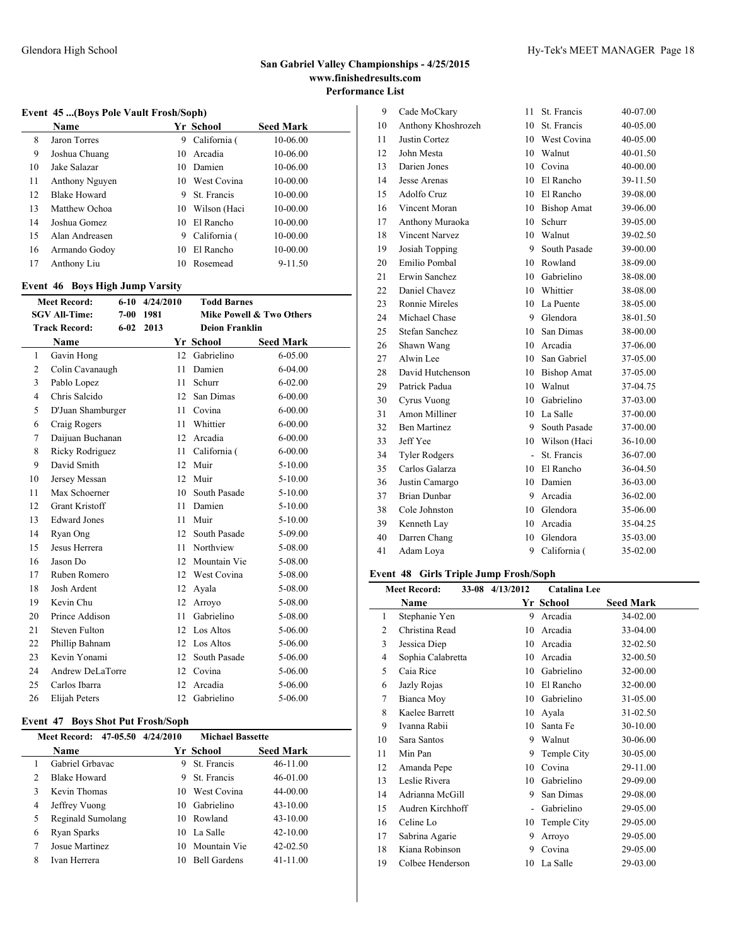### **Event 45 ...(Boys Pole Vault Frosh/Soph)**

|    | Name                |    | Yr School    | <b>Seed Mark</b> |
|----|---------------------|----|--------------|------------------|
| 8  | Jaron Torres        | 9  | California ( | 10-06.00         |
| 9  | Joshua Chuang       | 10 | Arcadia      | 10-06.00         |
| 10 | Jake Salazar        | 10 | Damien       | 10-06.00         |
| 11 | Anthony Nguyen      | 10 | West Covina  | 10-00.00         |
| 12 | <b>Blake Howard</b> | 9  | St. Francis  | 10-00.00         |
| 13 | Matthew Ochoa       | 10 | Wilson (Haci | 10-00.00         |
| 14 | Joshua Gomez        | 10 | El Rancho    | 10-00.00         |
| 15 | Alan Andreasen      | 9  | California ( | 10-00.00         |
| 16 | Armando Godoy       | 10 | El Rancho    | 10-00.00         |
| 17 | Anthony Liu         | 10 | Rosemead     | 9-11.50          |

#### **Event 46 Boys High Jump Varsity**

| <b>Meet Record:</b>   | 4/24/2010 | <b>Todd Barnes</b>               |                                                                                                                                                                                     |  |
|-----------------------|-----------|----------------------------------|-------------------------------------------------------------------------------------------------------------------------------------------------------------------------------------|--|
| <b>SGV All-Time:</b>  | 1981      |                                  | Mike Powell & Two Others                                                                                                                                                            |  |
| <b>Track Record:</b>  | 2013      | <b>Deion Franklin</b>            |                                                                                                                                                                                     |  |
| Name                  |           |                                  | <b>Seed Mark</b>                                                                                                                                                                    |  |
| Gavin Hong            |           |                                  | $6 - 05.00$                                                                                                                                                                         |  |
| Colin Cavanaugh       | 11        | Damien                           | $6 - 04.00$                                                                                                                                                                         |  |
| Pablo Lopez           |           | Schurr                           | $6 - 02.00$                                                                                                                                                                         |  |
| Chris Salcido         |           | San Dimas                        | $6 - 00.00$                                                                                                                                                                         |  |
| D'Juan Shamburger     |           | Covina                           | $6 - 00.00$                                                                                                                                                                         |  |
| Craig Rogers          | 11        | Whittier                         | $6 - 00.00$                                                                                                                                                                         |  |
| Daijuan Buchanan      |           | Arcadia                          | $6 - 00.00$                                                                                                                                                                         |  |
| Ricky Rodriguez       |           | California (                     | $6 - 00.00$                                                                                                                                                                         |  |
| David Smith           | 12        | Muir                             | $5 - 10.00$                                                                                                                                                                         |  |
| Jersey Messan         | 12        | Muir                             | $5 - 10.00$                                                                                                                                                                         |  |
| Max Schoerner         |           | South Pasade                     | $5 - 10.00$                                                                                                                                                                         |  |
| <b>Grant Kristoff</b> |           |                                  | $5 - 10.00$                                                                                                                                                                         |  |
| <b>Edward Jones</b>   | 11        | Muir                             | $5 - 10.00$                                                                                                                                                                         |  |
| Ryan Ong              | 12        | South Pasade                     | 5-09.00                                                                                                                                                                             |  |
| Jesus Herrera         | 11        | Northview                        | 5-08.00                                                                                                                                                                             |  |
| Jason Do              |           |                                  | 5-08.00                                                                                                                                                                             |  |
| Ruben Romero          |           |                                  | 5-08.00                                                                                                                                                                             |  |
| Josh Ardent           | 12        | Ayala                            | 5-08.00                                                                                                                                                                             |  |
| Kevin Chu             | 12        | Arroyo                           | 5-08.00                                                                                                                                                                             |  |
| Prince Addison        | 11        | Gabrielino                       | 5-08.00                                                                                                                                                                             |  |
| Steven Fulton         |           |                                  | 5-06.00                                                                                                                                                                             |  |
| Phillip Bahnam        |           |                                  | 5-06.00                                                                                                                                                                             |  |
| Kevin Yonami          |           |                                  | 5-06.00                                                                                                                                                                             |  |
| Andrew DeLaTorre      | 12        | Covina                           | 5-06.00                                                                                                                                                                             |  |
| Carlos Ibarra         |           |                                  | 5-06.00                                                                                                                                                                             |  |
| Elijah Peters         | 12        | Gabrielino                       | 5-06.00                                                                                                                                                                             |  |
|                       |           | $6 - 10$<br>$7 - 00$<br>$6 - 02$ | Yr School<br>12 Gabrielino<br>11<br>12<br>11<br>12<br>11 -<br>10<br>11 Damien<br>12 Mountain Vie<br>12 West Covina<br>12 Los Altos<br>12 Los Altos<br>12 South Pasade<br>12 Arcadia |  |

### **Event 47 Boys Shot Put Frosh/Soph**

|   | Meet Record: 47-05.50 4/24/2010 |     | <b>Michael Bassette</b> |                  |  |
|---|---------------------------------|-----|-------------------------|------------------|--|
|   | <b>Name</b>                     |     | Yr School               | <b>Seed Mark</b> |  |
|   | Gabriel Grbavac                 | 9   | St. Francis             | $46 - 11.00$     |  |
| 2 | <b>Blake Howard</b>             | 9   | St. Francis             | 46-01.00         |  |
| 3 | Kevin Thomas                    | 10. | West Covina             | 44-00.00         |  |
| 4 | Jeffrey Vuong                   | 10  | Gabrielino              | $43 - 10.00$     |  |
| 5 | Reginald Sumolang               | 10  | Rowland                 | $43 - 10.00$     |  |
| 6 | Ryan Sparks                     | 10  | La Salle                | $42 - 10.00$     |  |
|   | Josue Martinez                  | 10  | Mountain Vie            | $42 - 02.50$     |  |
| 8 | Ivan Herrera                    | 10  | <b>Bell Gardens</b>     | $41 - 11.00$     |  |

| 9  | Cade MoCkary          | 11 | St. Francis        | 40-07.00 |
|----|-----------------------|----|--------------------|----------|
| 10 | Anthony Khoshrozeh    | 10 | St. Francis        | 40-05.00 |
| 11 | Justin Cortez         | 10 | West Covina        | 40-05.00 |
| 12 | John Mesta            | 10 | Walnut             | 40-01.50 |
| 13 | Darien Jones          | 10 | Covina             | 40-00.00 |
| 14 | Jesse Arenas          | 10 | El Rancho          | 39-11.50 |
| 15 | Adolfo Cruz           | 10 | El Rancho          | 39-08.00 |
| 16 | Vincent Moran         | 10 | <b>Bishop Amat</b> | 39-06.00 |
| 17 | Anthony Muraoka       | 10 | Schurr             | 39-05.00 |
| 18 | <b>Vincent Narvez</b> | 10 | Walnut             | 39-02.50 |
| 19 | Josiah Topping        | 9  | South Pasade       | 39-00.00 |
| 20 | Emilio Pombal         | 10 | Rowland            | 38-09.00 |
| 21 | Erwin Sanchez         | 10 | Gabrielino         | 38-08.00 |
| 22 | Daniel Chavez         | 10 | Whittier           | 38-08.00 |
| 23 | <b>Ronnie Mireles</b> | 10 | La Puente          | 38-05.00 |
| 24 | Michael Chase         | 9  | Glendora           | 38-01.50 |
| 25 | Stefan Sanchez        | 10 | San Dimas          | 38-00.00 |
| 26 | Shawn Wang            | 10 | Arcadia            | 37-06.00 |
| 27 | Alwin Lee             | 10 | San Gabriel        | 37-05.00 |
| 28 | David Hutchenson      | 10 | <b>Bishop Amat</b> | 37-05.00 |
| 29 | Patrick Padua         | 10 | Walnut             | 37-04.75 |
| 30 | Cyrus Vuong           | 10 | Gabrielino         | 37-03.00 |
| 31 | Amon Milliner         | 10 | La Salle           | 37-00.00 |
| 32 | <b>Ben Martinez</b>   | 9  | South Pasade       | 37-00.00 |
| 33 | Jeff Yee              | 10 | Wilson (Haci       | 36-10.00 |
| 34 | <b>Tyler Rodgers</b>  | L, | St. Francis        | 36-07.00 |
| 35 | Carlos Galarza        | 10 | El Rancho          | 36-04.50 |
| 36 | Justin Camargo        | 10 | Damien             | 36-03.00 |
| 37 | <b>Brian Dunbar</b>   | 9  | Arcadia            | 36-02.00 |
| 38 | Cole Johnston         | 10 | Glendora           | 35-06.00 |
| 39 | Kenneth Lay           | 10 | Arcadia            | 35-04.25 |
| 40 | Darren Chang          | 10 | Glendora           | 35-03.00 |
| 41 | Adam Lova             | 9  | California (       | 35-02.00 |

### **Event 48 Girls Triple Jump Frosh/Soph**

| <b>Meet Record:</b> |                   | 33-08 4/13/2012 | Catalina Lee |                  |
|---------------------|-------------------|-----------------|--------------|------------------|
|                     | Name              |                 | Yr School    | <b>Seed Mark</b> |
| 1                   | Stephanie Yen     | 9               | Arcadia      | 34-02.00         |
| $\overline{2}$      | Christina Read    | 10              | Arcadia      | 33-04.00         |
| 3                   | Jessica Diep      | 10              | Arcadia      | 32-02.50         |
| 4                   | Sophia Calabretta | 10              | Arcadia      | 32-00.50         |
| 5                   | Caia Rice         | 10              | Gabrielino   | 32-00.00         |
| 6                   | Jazly Rojas       | 10              | El Rancho    | 32-00.00         |
| 7                   | Bianca Moy        | 10              | Gabrielino   | 31-05.00         |
| 8                   | Kaelee Barrett    | 10              | Avala        | 31-02.50         |
| 9                   | Ivanna Rabii      | 10              | Santa Fe     | 30-10.00         |
| 10                  | Sara Santos       | 9               | Walnut       | 30-06.00         |
| 11                  | Min Pan           | 9               | Temple City  | 30-05.00         |
| 12                  | Amanda Pepe       | 10              | Covina       | 29-11.00         |
| 13                  | Leslie Rivera     | 10              | Gabrielino   | 29-09.00         |
| 14                  | Adrianna McGill   | 9               | San Dimas    | 29-08.00         |
| 15                  | Audren Kirchhoff  |                 | Gabrielino   | 29-05.00         |
| 16                  | Celine Lo         | 10              | Temple City  | 29-05.00         |
| 17                  | Sabrina Agarie    | 9               | Arroyo       | 29-05.00         |
| 18                  | Kiana Robinson    | 9               | Covina       | 29-05.00         |
| 19                  | Colbee Henderson  | 10              | La Salle     | 29-03.00         |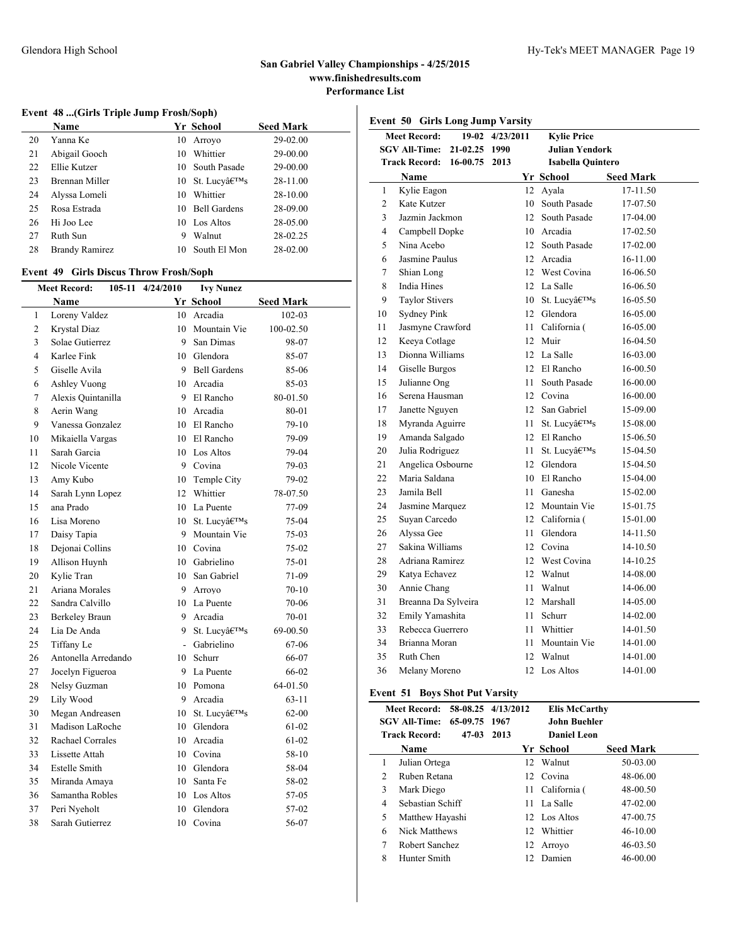### **Event 48 ...(Girls Triple Jump Frosh/Soph)**

|    | <b>Name</b>           |    | Yr School                               | <b>Seed Mark</b> |
|----|-----------------------|----|-----------------------------------------|------------------|
| 20 | Yanna Ke              | 10 | Arrovo                                  | 29-02.00         |
| 21 | Abigail Gooch         | 10 | Whittier                                | 29-00.00         |
| 22 | Ellie Kutzer          | 10 | South Pasade                            | 29-00.00         |
| 23 | Brennan Miller        |    | 10 St. Lucyâ $\epsilon$ <sup>TM</sup> s | 28-11.00         |
| 24 | Alyssa Lomeli         | 10 | Whittier                                | 28-10.00         |
| 25 | Rosa Estrada          | 10 | <b>Bell Gardens</b>                     | 28-09.00         |
| 26 | Hi Joo Lee            | 10 | Los Altos                               | 28-05.00         |
| 27 | Ruth Sun              | 9  | Walnut                                  | 28-02.25         |
| 28 | <b>Brandy Ramirez</b> | 10 | South El Mon                            | 28-02.00         |
|    |                       |    |                                         |                  |

### **Event 49 Girls Discus Throw Frosh/Soph**

|                | <b>Meet Record:</b><br>105-11 4/24/2010<br><b>Ivy Nunez</b> |        |                 |                  |  |
|----------------|-------------------------------------------------------------|--------|-----------------|------------------|--|
|                | Name                                                        |        | Yr School       | <b>Seed Mark</b> |  |
| 1              | Loreny Valdez                                               |        | 10 Arcadia      | 102-03           |  |
| 2              | <b>Krystal Diaz</b>                                         |        | 10 Mountain Vie | 100-02.50        |  |
| 3              | Solae Gutierrez                                             | 9      | San Dimas       | 98-07            |  |
| $\overline{4}$ | Karlee Fink                                                 |        | 10 Glendora     | 85-07            |  |
| 5              | Giselle Avila                                               |        | 9 Bell Gardens  | 85-06            |  |
| 6              | Ashley Vuong                                                |        | 10 Arcadia      | 85-03            |  |
| $\overline{7}$ | Alexis Quintanilla                                          |        | 9 El Rancho     | 80-01.50         |  |
| 8              | Aerin Wang                                                  |        | 10 Arcadia      | 80-01            |  |
| 9              | Vanessa Gonzalez                                            |        | 10 El Rancho    | $79-10$          |  |
| 10             | Mikaiella Vargas                                            | 10     | El Rancho       | 79-09            |  |
| 11             | Sarah Garcia                                                | 10     | Los Altos       | 79-04            |  |
| 12             | Nicole Vicente                                              | 9      | Covina          | 79-03            |  |
| 13             | Amy Kubo                                                    | 10     | Temple City     | 79-02            |  |
| 14             | Sarah Lynn Lopez                                            |        | 12 Whittier     | 78-07.50         |  |
| 15             | ana Prado                                                   |        | 10 La Puente    | 77-09            |  |
| 16             | Lisa Moreno                                                 |        | 10 St. Lucv's   | 75-04            |  |
| 17             | Daisy Tapia                                                 | 9      | Mountain Vie    | 75-03            |  |
| 18             | Dejonai Collins                                             | 10     | Covina          | 75-02            |  |
| 19             | Allison Huynh                                               |        | 10 Gabrielino   | 75-01            |  |
| 20             | Kylie Tran                                                  |        | 10 San Gabriel  | 71-09            |  |
| 21             | Ariana Morales                                              |        | 9 Arroyo        | $70 - 10$        |  |
| 22             | Sandra Calvillo                                             |        | 10 La Puente    | 70-06            |  |
| 23             | Berkeley Braun                                              |        | 9 Arcadia       | $70 - 01$        |  |
| 24             | Lia De Anda                                                 | 9      | St. Lucv's      | 69-00.50         |  |
| 25             | Tiffany Le                                                  | $\sim$ | Gabrielino      | 67-06            |  |
| 26             | Antonella Arredando                                         | 10     | Schurr          | 66-07            |  |
| 27             | Jocelyn Figueroa                                            |        | 9 La Puente     | 66-02            |  |
| 28             | Nelsy Guzman                                                |        | 10 Pomona       | 64-01.50         |  |
| 29             | Lily Wood                                                   |        | 9 Arcadia       | $63 - 11$        |  |
| 30             | Megan Andreasen                                             |        | 10 St. Lucy's   | $62 - 00$        |  |
| 31             | Madison LaRoche                                             | 10     | Glendora        | 61-02            |  |
| 32             | Rachael Corrales                                            | 10     | Arcadia         | 61-02            |  |
| 33             | Lissette Attah                                              |        | 10 Covina       | 58-10            |  |
| 34             | <b>Estelle Smith</b>                                        |        | 10 Glendora     | 58-04            |  |
| 35             | Miranda Amaya                                               |        | 10 Santa Fe     | 58-02            |  |
| 36             | Samantha Robles                                             |        | 10 Los Altos    | 57-05            |  |
| 37             | Peri Nyeholt                                                | 10     | Glendora        | 57-02            |  |
| 38             | Sarah Gutierrez                                             | 10     | Covina          | 56-07            |  |

| <b>Girls Long Jump Varsity</b><br>Event 50 |                       |          |                  |                          |                  |  |
|--------------------------------------------|-----------------------|----------|------------------|--------------------------|------------------|--|
|                                            | <b>Meet Record:</b>   |          | 19-02 4/23/2011  | <b>Kylie Price</b>       |                  |  |
|                                            | <b>SGV All-Time:</b>  | 21-02.25 | 1990             | Julian Yendork           |                  |  |
|                                            | <b>Track Record:</b>  | 16-00.75 | 2013             | <b>Isabella Quintero</b> |                  |  |
|                                            | Name                  |          |                  | Yr School                | <b>Seed Mark</b> |  |
| 1                                          | Kylie Eagon           |          |                  | 12 Ayala                 | 17-11.50         |  |
| $\overline{2}$                             | Kate Kutzer           |          | $10-10$          | South Pasade             | 17-07.50         |  |
| 3                                          | Jazmin Jackmon        |          | 12               | South Pasade             | 17-04.00         |  |
| 4                                          | Campbell Dopke        |          |                  | 10 Arcadia               | 17-02.50         |  |
| 5                                          | Nina Acebo            |          | 12               | South Pasade             | 17-02.00         |  |
| 6                                          | Jasmine Paulus        |          |                  | 12 Arcadia               | 16-11.00         |  |
| 7                                          | Shian Long            |          |                  | 12 West Covina           | 16-06.50         |  |
| 8                                          | India Hines           |          |                  | 12 La Salle              | 16-06.50         |  |
| 9                                          | <b>Taylor Stivers</b> |          |                  | 10 St. Lucv's            | 16-05.50         |  |
| 10                                         | <b>Sydney Pink</b>    |          |                  | 12 Glendora              | 16-05.00         |  |
| 11                                         | Jasmyne Crawford      |          | 11               | California (             | 16-05.00         |  |
| 12                                         | Keeya Cotlage         |          | 12               | Muir                     | 16-04.50         |  |
| 13                                         | Dionna Williams       |          |                  | 12 La Salle              | 16-03.00         |  |
| 14                                         | Giselle Burgos        |          |                  | 12 El Rancho             | 16-00.50         |  |
| 15                                         | Julianne Ong          |          | 11               | South Pasade             | 16-00.00         |  |
| 16                                         | Serena Hausman        |          | 12               | Covina                   | 16-00.00         |  |
| 17                                         | Janette Nguyen        |          | 12               | San Gabriel              | 15-09.00         |  |
| 18                                         | Myranda Aguirre       |          | 11.              | St. Lucv's               | 15-08.00         |  |
| 19                                         | Amanda Salgado        |          |                  | 12 El Rancho             | 15-06.50         |  |
| 20                                         | Julia Rodriguez       |          | 11               | St. Lucv's               | 15-04.50         |  |
| 21                                         | Angelica Osbourne     |          | 12               | Glendora                 | 15-04.50         |  |
| 22                                         | Maria Saldana         |          | $10-10$          | El Rancho                | 15-04.00         |  |
| 23                                         | Jamila Bell           |          | 11.              | Ganesha                  | 15-02.00         |  |
| 24                                         | Jasmine Marquez       |          |                  | 12 Mountain Vie          | 15-01.75         |  |
| 25                                         | Suyan Carcedo         |          |                  | 12 California (          | 15-01.00         |  |
| 26                                         | Alyssa Gee            |          | 11               | Glendora                 | 14-11.50         |  |
| 27                                         | Sakina Williams       |          | 12               | Covina                   | 14-10.50         |  |
| 28                                         | Adriana Ramirez       |          |                  | 12 West Covina           | 14-10.25         |  |
| 29                                         | Katya Echavez         |          | 12               | Walnut                   | 14-08.00         |  |
| 30                                         | Annie Chang           |          | 11               | Walnut                   | 14-06.00         |  |
| 31                                         | Breanna Da Sylveira   |          | 12               | Marshall                 | 14-05.00         |  |
| 32                                         | Emily Yamashita       |          | 11               | Schurr                   | 14-02.00         |  |
| 33                                         | Rebecca Guerrero      |          | 11.              | Whittier                 | 14-01.50         |  |
| 34                                         | Brianna Moran         |          | 11               | Mountain Vie             | 14-01.00         |  |
| 35                                         | Ruth Chen             |          |                  | 12 Walnut                | 14-01.00         |  |
| 36                                         | Melany Moreno         |          | 12 <sup>12</sup> | Los Altos                | 14-01.00         |  |

### **Event 51 Boys Shot Put Varsity**

|   | Meet Record: 58-08.25 4/13/2012 |      | <b>Elis McCarthy</b> |                  |  |
|---|---------------------------------|------|----------------------|------------------|--|
|   | SGV All-Time: 65-09.75 1967     |      | John Buehler         |                  |  |
|   | <b>Track Record:</b><br>$47-03$ | 2013 | <b>Daniel Leon</b>   |                  |  |
|   | Name                            |      | Yr School            | <b>Seed Mark</b> |  |
| 1 | Julian Ortega                   |      | 12 Walnut            | 50-03.00         |  |
| 2 | Ruben Retana                    |      | 12 Covina            | 48-06.00         |  |
| 3 | Mark Diego                      |      | 11 California (      | 48-00.50         |  |
| 4 | Sebastian Schiff                |      | 11 La Salle          | 47-02.00         |  |
| 5 | Matthew Hayashi                 |      | 12 Los Altos         | 47-00.75         |  |
| 6 | Nick Matthews                   |      | 12 Whittier          | 46-10.00         |  |
| 7 | Robert Sanchez                  |      | 12 Arroyo            | 46-03.50         |  |
| 8 | Hunter Smith                    | 12.  | Damien               | 46-00.00         |  |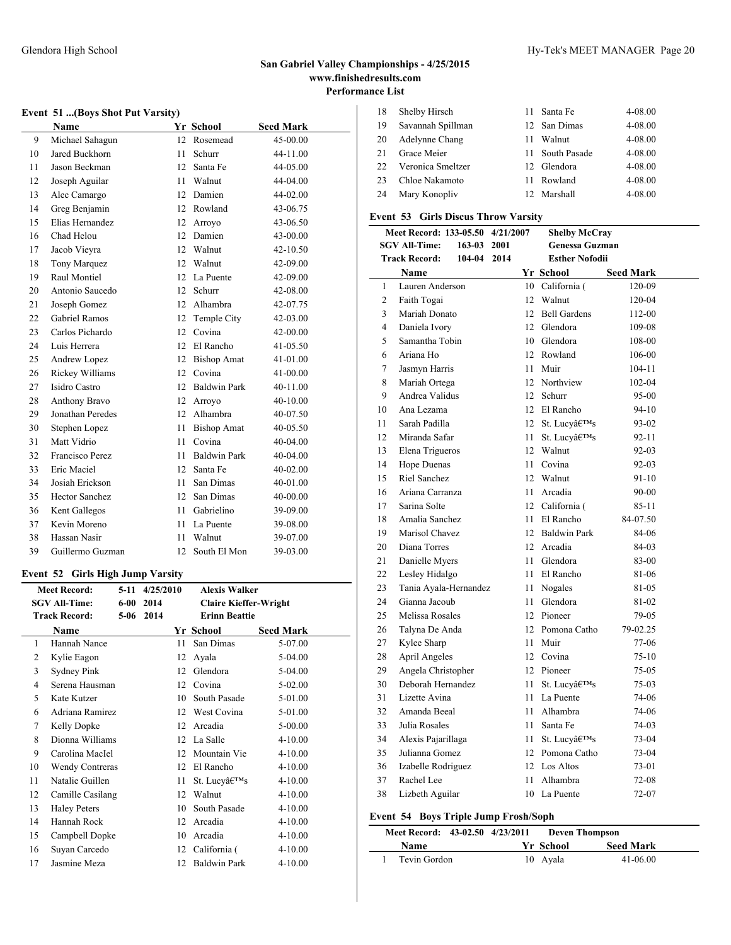$\overline{a}$ 

# **San Gabriel Valley Championships - 4/25/2015 www.finishedresults.com Performance List**

### Glendora High School Hy-Tek's MEET MANAGER Page 20

### **Event 51 ...(Boys Shot Put Varsity)**

|    | Name                  |     | Yr School           | <b>Seed Mark</b> |
|----|-----------------------|-----|---------------------|------------------|
| 9  | Michael Sahagun       | 12  | Rosemead            | 45-00.00         |
| 10 | Jared Buckhorn        | 11  | Schurr              | 44-11.00         |
| 11 | Jason Beckman         | 12  | Santa Fe            | 44-05.00         |
| 12 | Joseph Aguilar        | 11  | Walnut              | 44-04.00         |
| 13 | Alec Camargo          | 12. | Damien              | 44-02.00         |
| 14 | Greg Benjamin         | 12  | Rowland             | 43-06.75         |
| 15 | Elias Hernandez       | 12  | Arroyo              | 43-06.50         |
| 16 | Chad Helou            | 12  | Damien              | 43-00.00         |
| 17 | Jacob Vieyra          | 12  | Walnut              | 42-10.50         |
| 18 | Tony Marquez          | 12  | Walnut              | 42-09.00         |
| 19 | Raul Montiel          | 12  | La Puente           | 42-09.00         |
| 20 | Antonio Saucedo       | 12  | Schurr              | 42-08.00         |
| 21 | Joseph Gomez          | 12  | Alhambra            | 42-07.75         |
| 22 | <b>Gabriel Ramos</b>  | 12  | Temple City         | 42-03.00         |
| 23 | Carlos Pichardo       | 12  | Covina              | 42-00.00         |
| 24 | Luis Herrera          | 12  | El Rancho           | 41-05.50         |
| 25 | Andrew Lopez          | 12  | <b>Bishop Amat</b>  | 41-01.00         |
| 26 | Rickey Williams       | 12  | Covina              | 41-00.00         |
| 27 | Isidro Castro         | 12  | <b>Baldwin Park</b> | 40-11.00         |
| 28 | Anthony Bravo         | 12  | Arroyo              | 40-10.00         |
| 29 | Jonathan Peredes      | 12  | Alhambra            | 40-07.50         |
| 30 | Stephen Lopez         | 11  | <b>Bishop Amat</b>  | 40-05.50         |
| 31 | Matt Vidrio           | 11  | Covina              | 40-04.00         |
| 32 | Francisco Perez       | 11  | <b>Baldwin Park</b> | 40-04.00         |
| 33 | Eric Maciel           | 12  | Santa Fe            | $40 - 02.00$     |
| 34 | Josiah Erickson       | 11  | San Dimas           | 40-01.00         |
| 35 | <b>Hector Sanchez</b> | 12  | San Dimas           | 40-00.00         |
| 36 | Kent Gallegos         | 11  | Gabrielino          | 39-09.00         |
| 37 | Kevin Moreno          | 11  | La Puente           | 39-08.00         |
| 38 | Hassan Nasir          | 11  | Walnut              | 39-07.00         |
| 39 | Guillermo Guzman      | 12  | South El Mon        | 39-03.00         |

### **Event 52 Girls High Jump Varsity**

|    | <b>Meet Record:</b>    | $5-11$ | 4/25/2010 |    | <b>Alexis Walker</b>         |                  |
|----|------------------------|--------|-----------|----|------------------------------|------------------|
|    | <b>SGV All-Time:</b>   | $6-00$ | 2014      |    | <b>Claire Kieffer-Wright</b> |                  |
|    | <b>Track Record:</b>   | $5-06$ | 2014      |    | <b>Erinn Beattie</b>         |                  |
|    | Name                   |        |           |    | Yr School                    | <b>Seed Mark</b> |
| 1  | Hannah Nance           |        |           | 11 | San Dimas                    | 5-07.00          |
| 2  | Kylie Eagon            |        |           | 12 | Ayala                        | 5-04.00          |
| 3  | Sydney Pink            |        |           | 12 | Glendora                     | 5-04.00          |
| 4  | Serena Hausman         |        |           | 12 | Covina                       | $5 - 02.00$      |
| 5  | Kate Kutzer            |        |           | 10 | South Pasade                 | 5-01.00          |
| 6  | Adriana Ramirez        |        |           | 12 | West Covina                  | 5-01.00          |
| 7  | Kelly Dopke            |        |           | 12 | Arcadia                      | $5 - 00.00$      |
| 8  | Dionna Williams        |        |           | 12 | La Salle                     | $4 - 10.00$      |
| 9  | Carolina MacIel        |        |           | 12 | Mountain Vie                 | $4 - 10.00$      |
| 10 | <b>Wendy Contreras</b> |        |           | 12 | El Rancho                    | $4 - 10.00$      |
| 11 | Natalie Guillen        |        |           | 11 | St. Lucy's                   | $4 - 10.00$      |
| 12 | Camille Casilang       |        |           | 12 | Walnut                       | $4 - 10.00$      |
| 13 | <b>Haley Peters</b>    |        |           | 10 | South Pasade                 | $4 - 10.00$      |
| 14 | Hannah Rock            |        |           | 12 | Arcadia                      | $4 - 10.00$      |
| 15 | Campbell Dopke         |        |           | 10 | Arcadia                      | $4 - 10.00$      |
| 16 | Suyan Carcedo          |        |           | 12 | California (                 | $4 - 10.00$      |
| 17 | Jasmine Meza           |        |           | 12 | <b>Baldwin Park</b>          | $4 - 10.00$      |

| 18  | Shelby Hirsch     |    | 11 Santa Fe     | 4-08.00 |
|-----|-------------------|----|-----------------|---------|
| 19  | Savannah Spillman |    | 12 San Dimas    | 4-08.00 |
| 20  | Adelynne Chang    | 11 | Walnut          | 4-08.00 |
| 21  | Grace Meier       |    | 11 South Pasade | 4-08.00 |
| 22. | Veronica Smeltzer |    | 12 Glendora     | 4-08.00 |
| 23  | Chloe Nakamoto    | 11 | Rowland         | 4-08.00 |
| 24  | Mary Konopliy     |    | 12 Marshall     | 4-08.00 |
|     |                   |    |                 |         |

# **Event 53 Girls Discus Throw Varsity**

|                | Meet Record: 133-05.50 4/21/2007    |        | <b>Shelby McCray</b>           |                  |
|----------------|-------------------------------------|--------|--------------------------------|------------------|
|                | <b>SGV All-Time:</b><br>163-03 2001 |        | <b>Genessa Guzman</b>          |                  |
|                | <b>Track Record:</b><br>104-04 2014 |        | <b>Esther Nofodii</b>          |                  |
|                | <b>Name</b>                         |        | Yr School                      | <b>Seed Mark</b> |
| 1              | Lauren Anderson                     |        | 10 California (                | 120-09           |
| $\overline{c}$ | Faith Togai                         | 12     | Walnut                         | 120-04           |
| 3              | Mariah Donato                       |        | 12 Bell Gardens                | 112-00           |
| 4              | Daniela Ivory                       |        | 12 Glendora                    | 109-08           |
| 5              | Samantha Tobin                      |        | 10 Glendora                    | 108-00           |
| 6              | Ariana Ho                           |        | 12 Rowland                     | 106-00           |
| 7              | Jasmyn Harris                       | 11     | Muir                           | 104-11           |
| 8              | Mariah Ortega                       |        | 12 Northview                   | 102-04           |
| 9              | Andrea Validus                      |        | 12 Schurr                      | 95-00            |
| 10             | Ana Lezama                          |        | 12 El Rancho                   | 94-10            |
| 11             | Sarah Padilla                       |        | 12 St. Lucv's                  | 93-02            |
| 12             | Miranda Safar                       | 11     | St. Lucy's                     | 92-11            |
| 13             | Elena Trigueros                     | 12     | Walnut                         | $92 - 03$        |
| 14             | <b>Hope Duenas</b>                  | 11     | Covina                         | $92 - 03$        |
| 15             | <b>Riel Sanchez</b>                 | 12     | Walnut                         | 91-10            |
| 16             | Ariana Carranza                     | 11     | Arcadia                        | 90-00            |
| 17             | Sarina Solte                        |        | 12 California (                | $85 - 11$        |
| 18             | Amalia Sanchez                      | 11     | El Rancho                      | 84-07.50         |
| 19             | Marisol Chavez                      |        | 12 Baldwin Park                | 84-06            |
| 20             | Diana Torres                        |        | 12 Arcadia                     | 84-03            |
| 21             | Danielle Myers                      | $11 -$ | Glendora                       | 83-00            |
| 22             | Lesley Hidalgo                      | 11     | El Rancho                      | 81-06            |
| 23             | Tania Ayala-Hernandez               | 11     | Nogales                        | 81-05            |
| 24             | Gianna Jacoub                       | 11     | Glendora                       | 81-02            |
| 25             | Melissa Rosales                     |        | 12 Pioneer                     | 79-05            |
| 26             | Talyna De Anda                      |        | 12 Pomona Catho                | 79-02.25         |
| 27             | Kylee Sharp                         | 11     | Muir                           | 77-06            |
| 28             | <b>April Angeles</b>                |        | 12 Covina                      | 75-10            |
| 29             | Angela Christopher                  |        | 12 Pioneer                     | 75-05            |
| 30             | Deborah Hernandez                   | 11     | St. Lucy's                     | 75-03            |
| 31             | Lizette Avina                       | 11     | La Puente                      | 74-06            |
| 32             | Amanda Beeal                        | 11     | Alhambra                       | 74-06            |
| 33             | Julia Rosales                       | 11     | Santa Fe                       | 74-03            |
| 34             | Alexis Pajarillaga                  |        | 11 St. Lucyâ $\epsilon^{TM}$ s | 73-04            |
| 35             | Julianna Gomez                      |        | 12 Pomona Catho                | 73-04            |
| 36             | Izabelle Rodriguez                  |        | 12 Los Altos                   | 73-01            |
| 37             | Rachel Lee                          | 11     | Alhambra                       | 72-08            |
| 38             | Lizbeth Aguilar                     |        | 10 La Puente                   | 72-07            |

# **Event 54 Boys Triple Jump Frosh/Soph**

| Meet Record: 43-02.50 4/23/2011 |  |           | <b>Deven Thompson</b> |
|---------------------------------|--|-----------|-----------------------|
| <b>Name</b>                     |  | Yr School | <b>Seed Mark</b>      |
| Tevin Gordon                    |  | 10 Avala  | $41 - 06.00$          |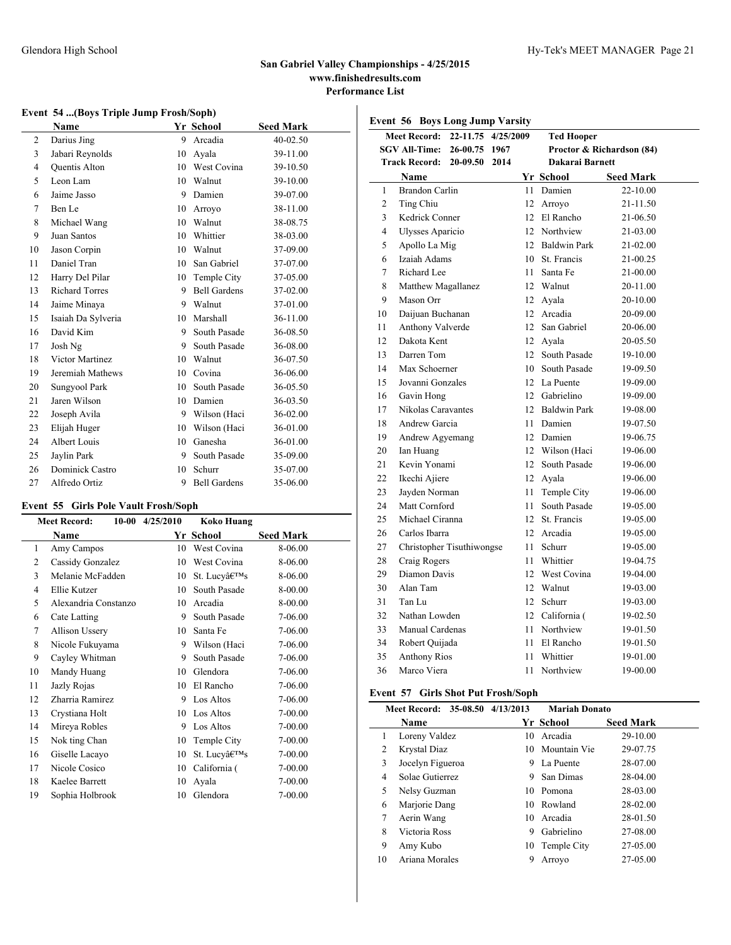**Event 56 Boys Long Jump Varsity**

### **Event 54 ...(Boys Triple Jump Frosh/Soph)**

|                | <b>Name</b>           |    | Yr School           | <b>Seed Mark</b> |
|----------------|-----------------------|----|---------------------|------------------|
| $\overline{2}$ | Darius Jing           | 9  | Arcadia             | 40-02.50         |
| 3              | Jabari Reynolds       | 10 | Avala               | 39-11.00         |
| 4              | Quentis Alton         | 10 | West Covina         | 39-10.50         |
| 5              | Leon Lam              | 10 | Walnut              | 39-10.00         |
| 6              | Jaime Jasso           | 9  | Damien              | 39-07.00         |
| 7              | Ben Le                | 10 | Arroyo              | 38-11.00         |
| 8              | Michael Wang          | 10 | Walnut              | 38-08.75         |
| 9              | Juan Santos           | 10 | Whittier            | 38-03.00         |
| 10             | Jason Corpin          | 10 | Walnut              | 37-09.00         |
| 11             | Daniel Tran           | 10 | San Gabriel         | 37-07.00         |
| 12             | Harry Del Pilar       | 10 | Temple City         | 37-05.00         |
| 13             | <b>Richard Torres</b> | 9  | <b>Bell Gardens</b> | 37-02.00         |
| 14             | Jaime Minaya          | 9  | Walnut              | 37-01.00         |
| 15             | Isaiah Da Sylveria    | 10 | Marshall            | 36-11.00         |
| 16             | David Kim             | 9  | South Pasade        | 36-08.50         |
| 17             | Josh Ng               | 9  | South Pasade        | 36-08.00         |
| 18             | Victor Martinez       | 10 | Walnut              | 36-07.50         |
| 19             | Jeremiah Mathews      | 10 | Covina              | 36-06.00         |
| 20             | Sungyool Park         | 10 | South Pasade        | 36-05.50         |
| 21             | Jaren Wilson          | 10 | Damien              | 36-03.50         |
| 22             | Joseph Avila          | 9  | Wilson (Haci        | 36-02.00         |
| 23             | Elijah Huger          | 10 | Wilson (Haci        | 36-01.00         |
| 24             | Albert Louis          | 10 | Ganesha             | 36-01.00         |
| 25             | Jaylin Park           | 9  | South Pasade        | 35-09.00         |
| 26             | Dominick Castro       | 10 | Schurr              | 35-07.00         |
| 27             | Alfredo Ortiz         | 9  | <b>Bell Gardens</b> | 35-06.00         |

# **Event 55 Girls Pole Vault Frosh/Soph**

|    | <b>Meet Record:</b>  | $10-00$ $4/25/2010$ | Koko Huang   |                  |
|----|----------------------|---------------------|--------------|------------------|
|    | Name                 |                     | Yr School    | <b>Seed Mark</b> |
| 1  | Amy Campos           | 10                  | West Covina  | 8-06.00          |
| 2  | Cassidy Gonzalez     | 10                  | West Covina  | 8-06.00          |
| 3  | Melanie McFadden     | 10                  | St. Lucy's   | 8-06.00          |
| 4  | Ellie Kutzer         | 10                  | South Pasade | 8-00.00          |
| 5  | Alexandria Constanzo | 10                  | Arcadia      | 8-00.00          |
| 6  | Cate Latting         | 9                   | South Pasade | 7-06.00          |
| 7  | Allison Ussery       | 10                  | Santa Fe     | 7-06.00          |
| 8  | Nicole Fukuyama      | 9                   | Wilson (Haci | 7-06.00          |
| 9  | Cayley Whitman       | 9                   | South Pasade | 7-06.00          |
| 10 | Mandy Huang          | 10                  | Glendora     | 7-06.00          |
| 11 | Jazly Rojas          | 10                  | El Rancho    | 7-06.00          |
| 12 | Zharria Ramirez      | 9                   | Los Altos    | 7-06.00          |
| 13 | Crystiana Holt       | 10                  | Los Altos    | 7-00.00          |
| 14 | Mireya Robles        | 9                   | Los Altos    | 7-00.00          |
| 15 | Nok ting Chan        | 10                  | Temple City  | 7-00.00          |
| 16 | Giselle Lacayo       | 10                  | St. Lucv's   | 7-00.00          |
| 17 | Nicole Cosico        | 10                  | California ( | 7-00.00          |
| 18 | Kaelee Barrett       | 10                  | Ayala        | 7-00.00          |
| 19 | Sophia Holbrook      | 10                  | Glendora     | 7-00.00          |

|                | <b>Meet Record:</b>       | 22-11.75 | 4/25/2009 |                 | <b>Ted Hooper</b>         |                  |  |  |
|----------------|---------------------------|----------|-----------|-----------------|---------------------------|------------------|--|--|
|                | <b>SGV All-Time:</b>      | 26-00.75 | 1967      |                 | Proctor & Richardson (84) |                  |  |  |
|                | <b>Track Record:</b>      | 20-09.50 | 2014      |                 | Dakarai Barnett           |                  |  |  |
|                | Name                      |          |           |                 | Yr School                 | <b>Seed Mark</b> |  |  |
| $\mathbf{1}$   | <b>Brandon Carlin</b>     |          |           | 11              | Damien                    | 22-10.00         |  |  |
| $\overline{c}$ | Ting Chiu                 |          |           | 12 <sup>2</sup> | Arroyo                    | 21-11.50         |  |  |
| 3              | Kedrick Conner            |          |           |                 | 12 El Rancho              | 21-06.50         |  |  |
| 4              | <b>Ulysses Aparicio</b>   |          |           |                 | 12 Northview              | 21-03.00         |  |  |
| 5              | Apollo La Mig             |          |           |                 | 12 Baldwin Park           | 21-02.00         |  |  |
| 6              | Izaiah Adams              |          |           | 10              | St. Francis               | 21-00.25         |  |  |
| 7              | Richard Lee               |          |           | 11              | Santa Fe                  | 21-00.00         |  |  |
| 8              | Matthew Magallanez        |          |           |                 | 12 Walnut                 | 20-11.00         |  |  |
| 9              | Mason Orr                 |          |           |                 | 12 Avala                  | 20-10.00         |  |  |
| 10             | Daijuan Buchanan          |          |           | 12 <sup>2</sup> | Arcadia                   | 20-09.00         |  |  |
| 11             | Anthony Valverde          |          |           | 12              | San Gabriel               | 20-06.00         |  |  |
| 12             | Dakota Kent               |          |           |                 | 12 Avala                  | 20-05.50         |  |  |
| 13             | Darren Tom                |          |           | 12              | South Pasade              | 19-10.00         |  |  |
| 14             | Max Schoerner             |          |           | 10              | South Pasade              | 19-09.50         |  |  |
| 15             | Jovanni Gonzales          |          |           |                 | 12 La Puente              | 19-09.00         |  |  |
| 16             | Gavin Hong                |          |           | 12              | Gabrielino                | 19-09.00         |  |  |
| 17             | Nikolas Caravantes        |          |           |                 | 12 Baldwin Park           | 19-08.00         |  |  |
| 18             | Andrew Garcia             |          |           | 11              | Damien                    | 19-07.50         |  |  |
| 19             | Andrew Agyemang           |          |           |                 | 12 Damien                 | 19-06.75         |  |  |
| 20             | Ian Huang                 |          |           |                 | 12 Wilson (Haci           | 19-06.00         |  |  |
| 21             | Kevin Yonami              |          |           | 12 <sup>2</sup> | South Pasade              | 19-06.00         |  |  |
| 22             | Ikechi Ajiere             |          |           | 12              | Ayala                     | 19-06.00         |  |  |
| 23             | Jayden Norman             |          |           | 11.             | Temple City               | 19-06.00         |  |  |
| 24             | Matt Cornford             |          |           | 11.             | South Pasade              | 19-05.00         |  |  |
| 25             | Michael Ciranna           |          |           | $12^{\circ}$    | St. Francis               | 19-05.00         |  |  |
| 26             | Carlos Ibarra             |          |           | 12 <sup>2</sup> | Arcadia                   | 19-05.00         |  |  |
| 27             | Christopher Tisuthiwongse |          |           | 11              | Schurr                    | 19-05.00         |  |  |
| 28             | Craig Rogers              |          |           | 11              | Whittier                  | 19-04.75         |  |  |
| 29             | Diamon Davis              |          |           | $12^{\circ}$    | West Covina               | 19-04.00         |  |  |
| 30             | Alan Tam                  |          |           | 12 <sup>2</sup> | Walnut                    | 19-03.00         |  |  |
| 31             | Tan Lu                    |          |           | 12 <sup>°</sup> | Schurr                    | 19-03.00         |  |  |
| 32             | Nathan Lowden             |          |           | 12              | California (              | 19-02.50         |  |  |
| 33             | Manual Cardenas           |          |           | 11              | Northview                 | 19-01.50         |  |  |
| 34             | Robert Quijada            |          |           | 11              | El Rancho                 | 19-01.50         |  |  |
| 35             | <b>Anthony Rios</b>       |          |           | 11              | Whittier                  | 19-01.00         |  |  |
| 36             | Marco Viera               |          |           | 11              | Northview                 | 19-00.00         |  |  |

### **Event 57 Girls Shot Put Frosh/Soph**

|    | Meet Record: 35-08.50 4/13/2013 |    | <b>Mariah Donato</b> |                  |
|----|---------------------------------|----|----------------------|------------------|
|    | Name                            |    | Yr School            | <b>Seed Mark</b> |
| 1  | Loreny Valdez                   | 10 | Arcadia              | 29-10.00         |
| 2  | Krystal Diaz                    |    | 10 Mountain Vie      | 29-07.75         |
| 3  | Jocelyn Figueroa                | 9  | La Puente            | 28-07.00         |
| 4  | Solae Gutierrez                 | 9  | San Dimas            | 28-04.00         |
| 5  | Nelsy Guzman                    |    | 10 Pomona            | 28-03.00         |
| 6  | Marjorie Dang                   |    | 10 Rowland           | 28-02.00         |
| 7  | Aerin Wang                      | 10 | Arcadia              | 28-01.50         |
| 8  | Victoria Ross                   | 9  | Gabrielino           | 27-08.00         |
| 9  | Amy Kubo                        |    | 10 Temple City       | 27-05.00         |
| 10 | Ariana Morales                  | 9  | Arrovo               | 27-05.00         |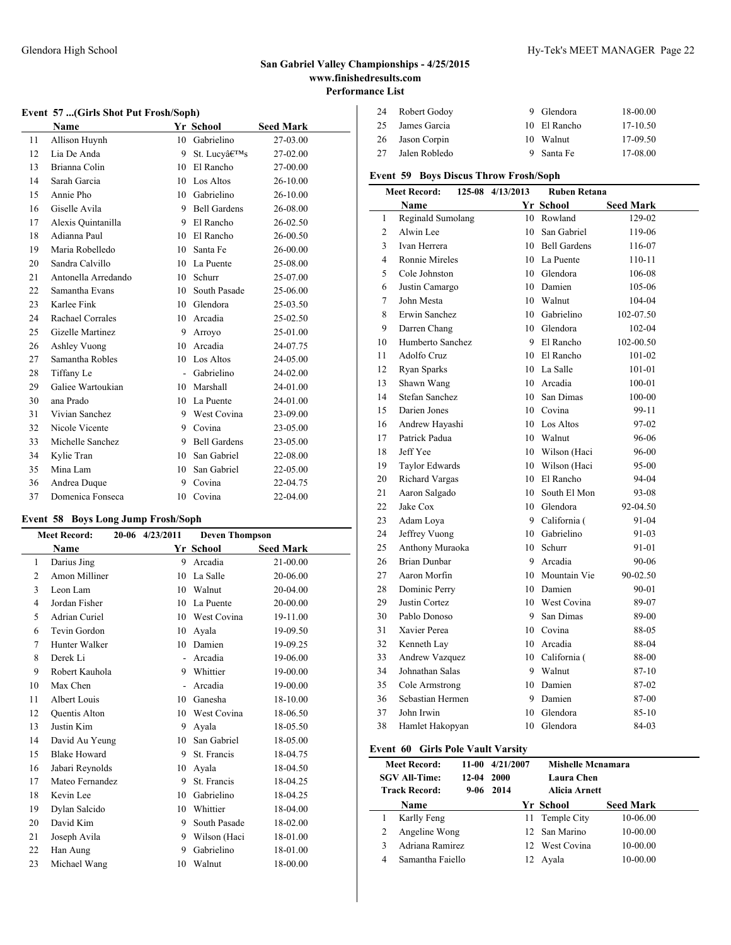### **Event 57 ...(Girls Shot Put Frosh/Soph)**

|    | Name                |                | Yr School           | <b>Seed Mark</b> |
|----|---------------------|----------------|---------------------|------------------|
| 11 | Allison Huynh       | 10             | Gabrielino          | 27-03.00         |
| 12 | Lia De Anda         | 9              | St. Lucv's          | 27-02.00         |
| 13 | Brianna Colin       | 10             | El Rancho           | 27-00.00         |
| 14 | Sarah Garcia        | 10             | Los Altos           | 26-10.00         |
| 15 | Annie Pho           |                | 10 Gabrielino       | 26-10.00         |
| 16 | Giselle Avila       |                | 9 Bell Gardens      | 26-08.00         |
| 17 | Alexis Quintanilla  | 9              | El Rancho           | 26-02.50         |
| 18 | Adianna Paul        | 10             | El Rancho           | 26-00.50         |
| 19 | Maria Robelledo     | 10             | Santa Fe            | 26-00.00         |
| 20 | Sandra Calvillo     |                | 10 La Puente        | 25-08.00         |
| 21 | Antonella Arredando | 10             | Schurr              | 25-07.00         |
| 22 | Samantha Evans      | 10             | South Pasade        | 25-06.00         |
| 23 | Karlee Fink         |                | 10 Glendora         | 25-03.50         |
| 24 | Rachael Corrales    | 10             | Arcadia             | 25-02.50         |
| 25 | Gizelle Martinez    | 9              | Arroyo              | 25-01.00         |
| 26 | Ashley Vuong        | 10             | Arcadia             | 24-07.75         |
| 27 | Samantha Robles     | 10             | Los Altos           | 24-05.00         |
| 28 | Tiffany Le          | $\overline{a}$ | Gabrielino          | 24-02.00         |
| 29 | Galiee Wartoukian   | 10             | Marshall            | 24-01.00         |
| 30 | ana Prado           | 10             | La Puente           | 24-01.00         |
| 31 | Vivian Sanchez      |                | 9 West Covina       | 23-09.00         |
| 32 | Nicole Vicente      | 9              | Covina              | 23-05.00         |
| 33 | Michelle Sanchez    | 9              | <b>Bell Gardens</b> | 23-05.00         |
| 34 | Kylie Tran          | 10             | San Gabriel         | 22-08.00         |
| 35 | Mina Lam            | 10             | San Gabriel         | 22-05.00         |
| 36 | Andrea Duque        | 9              | Covina              | 22-04.75         |
| 37 | Domenica Fonseca    | 10             | Covina              | 22-04.00         |
|    |                     |                |                     |                  |

# **Event 58 Boys Long Jump Frosh/Soph**

|    | <b>Meet Record:</b>  | 20-06 4/23/2011          | <b>Deven Thompson</b> |                  |  |
|----|----------------------|--------------------------|-----------------------|------------------|--|
|    | Name                 |                          | Yr School             | <b>Seed Mark</b> |  |
| 1  | Darius Jing          | 9                        | Arcadia               | 21-00.00         |  |
| 2  | Amon Milliner        | 10                       | La Salle              | 20-06.00         |  |
| 3  | Leon Lam             | 10                       | Walnut                | 20-04.00         |  |
| 4  | Jordan Fisher        | 10                       | La Puente             | 20-00.00         |  |
| 5  | Adrian Curiel        | 10                       | West Covina           | 19-11.00         |  |
| 6  | Tevin Gordon         | 10                       | Avala                 | 19-09.50         |  |
| 7  | Hunter Walker        | 10                       | Damien                | 19-09.25         |  |
| 8  | Derek Li             | $\overline{\phantom{a}}$ | Arcadia               | 19-06.00         |  |
| 9  | Robert Kauhola       | 9                        | Whittier              | 19-00.00         |  |
| 10 | Max Chen             | $\overline{a}$           | Arcadia               | 19-00.00         |  |
| 11 | Albert Louis         | 10                       | Ganesha               | 18-10.00         |  |
| 12 | <b>Ouentis Alton</b> | 10                       | West Covina           | 18-06.50         |  |
| 13 | Justin Kim           | 9                        | Avala                 | 18-05.50         |  |
| 14 | David Au Yeung       | 10                       | San Gabriel           | 18-05.00         |  |
| 15 | <b>Blake Howard</b>  | 9                        | St. Francis           | 18-04.75         |  |
| 16 | Jabari Reynolds      | 10                       | Ayala                 | 18-04.50         |  |
| 17 | Mateo Fernandez      | 9                        | St. Francis           | 18-04.25         |  |
| 18 | Kevin Lee            | 10                       | Gabrielino            | 18-04.25         |  |
| 19 | Dylan Salcido        | 10                       | Whittier              | 18-04.00         |  |
| 20 | David Kim            | 9                        | South Pasade          | 18-02.00         |  |
| 21 | Joseph Avila         | 9                        | Wilson (Haci          | 18-01.00         |  |
| 22 | Han Aung             | 9                        | Gabrielino            | 18-01.00         |  |
| 23 | Michael Wang         | 10                       | Walnut                | 18-00.00         |  |

| 24  | Robert Godoy  | 9 Glendora   | 18-00.00   |
|-----|---------------|--------------|------------|
| 25. | James Garcia  | 10 El Rancho | $17-10.50$ |
| 26  | Jason Corpin  | 10 Walnut    | $17-09.50$ |
| 27  | Jalen Robledo | 9 Santa Fe   | 17-08.00   |

# **Event 59 Boys Discus Throw Frosh/Soph**

|                | <b>Meet Record:</b>   | 125-08 4/13/2013 | <b>Ruben Retana</b> |                  |
|----------------|-----------------------|------------------|---------------------|------------------|
|                | Name                  |                  | Yr School           | <b>Seed Mark</b> |
| 1              | Reginald Sumolang     |                  | 10 Rowland          | 129-02           |
| $\overline{c}$ | Alwin Lee             | $10-10$          | San Gabriel         | 119-06           |
| 3              | Ivan Herrera          |                  | 10 Bell Gardens     | 116-07           |
| $\overline{4}$ | <b>Ronnie Mireles</b> |                  | 10 La Puente        | 110-11           |
| 5              | Cole Johnston         |                  | 10 Glendora         | 106-08           |
| 6              | Justin Camargo        |                  | 10 Damien           | 105-06           |
| 7              | John Mesta            |                  | 10 Walnut           | 104-04           |
| 8              | Erwin Sanchez         |                  | 10 Gabrielino       | 102-07.50        |
| 9              | Darren Chang          |                  | 10 Glendora         | 102-04           |
| 10             | Humberto Sanchez      |                  | 9 El Rancho         | 102-00.50        |
| 11             | Adolfo Cruz           |                  | 10 El Rancho        | 101-02           |
| 12             | Ryan Sparks           |                  | 10 La Salle         | 101-01           |
| 13             | Shawn Wang            |                  | 10 Arcadia          | 100-01           |
| 14             | <b>Stefan Sanchez</b> |                  | 10 San Dimas        | 100-00           |
| 15             | Darien Jones          |                  | 10 Covina           | 99-11            |
| 16             | Andrew Hayashi        |                  | 10 Los Altos        | 97-02            |
| 17             | Patrick Padua         |                  | 10 Walnut           | 96-06            |
| 18             | Jeff Yee              |                  | 10 Wilson (Haci     | 96-00            |
| 19             | Taylor Edwards        |                  | 10 Wilson (Haci     | 95-00            |
| 20             | Richard Vargas        |                  | 10 El Rancho        | 94-04            |
| 21             | Aaron Salgado         |                  | 10 South El Mon     | 93-08            |
| 22             | Jake Cox              |                  | 10 Glendora         | 92-04.50         |
| 23             | Adam Loya             |                  | 9 California (      | 91-04            |
| 24             | Jeffrey Vuong         |                  | 10 Gabrielino       | 91-03            |
| 25             | Anthony Muraoka       |                  | 10 Schurr           | 91-01            |
| 26             | <b>Brian Dunbar</b>   |                  | 9 Arcadia           | 90-06            |
| 27             | Aaron Morfin          |                  | 10 Mountain Vie     | 90-02.50         |
| 28             | Dominic Perry         |                  | 10 Damien           | 90-01            |
| 29             | Justin Cortez         |                  | 10 West Covina      | 89-07            |
| 30             | Pablo Donoso          |                  | 9 San Dimas         | 89-00            |
| 31             | Xavier Perea          |                  | 10 Covina           | 88-05            |
| 32             | Kenneth Lay           |                  | 10 Arcadia          | 88-04            |
| 33             | Andrew Vazquez        |                  | 10 California (     | 88-00            |
| 34             | Johnathan Salas       |                  | 9 Walnut            | 87-10            |
| 35             | Cole Armstrong        |                  | 10 Damien           | 87-02            |
| 36             | Sebastian Hermen      |                  | 9 Damien            | 87-00            |
| 37             | John Irwin            | 10               | Glendora            | $85-10$          |
| 38             | Hamlet Hakopyan       | 10               | Glendora            | 84-03            |
|                |                       |                  |                     |                  |

# **Event 60 Girls Pole Vault Varsity**

|   | <b>Meet Record:</b><br><b>SGV All-Time:</b><br><b>Track Record:</b> | 11-00<br>12-04 2000 | 4/21/2007<br>$9-06$ 2014 | <b>Mishelle Mcnamara</b><br>Laura Chen<br>Alicia Arnett |                  |
|---|---------------------------------------------------------------------|---------------------|--------------------------|---------------------------------------------------------|------------------|
|   | <b>Name</b>                                                         |                     |                          | Yr School                                               | <b>Seed Mark</b> |
|   | Karlly Feng                                                         |                     |                          | 11 Temple City                                          | 10-06.00         |
|   | Angeline Wong                                                       |                     |                          | 12 San Marino                                           | $10-00.00$       |
| ٩ | Adriana Ramirez                                                     |                     |                          | 12 West Covina                                          | 10-00.00         |
| 4 | Samantha Faiello                                                    |                     |                          | Avala                                                   | 10-00.00         |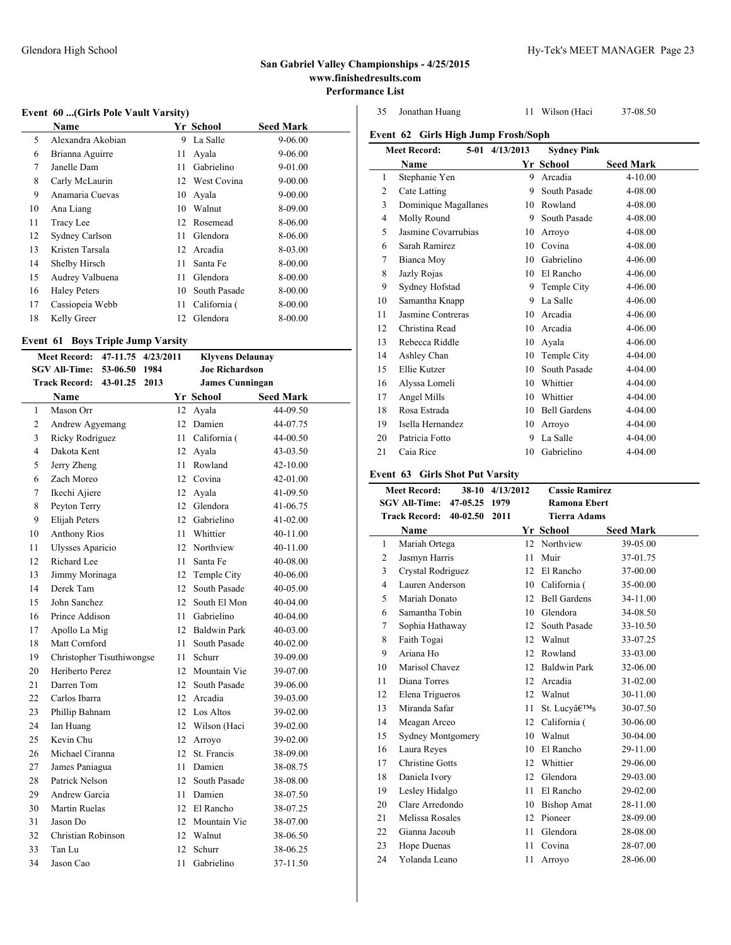$\overline{a}$ 

# Glendora High School Hy-Tek's MEET MANAGER Page 23

### **San Gabriel Valley Championships - 4/25/2015 www.finishedresults.com Performance List**

### **Event 60 ...(Girls Pole Vault Varsity)**

|    | Name                |    | Yr School    | <b>Seed Mark</b> |
|----|---------------------|----|--------------|------------------|
| 5  | Alexandra Akobian   | 9  | La Salle     | $9 - 06.00$      |
| 6  | Brianna Aguirre     | 11 | Avala        | $9 - 06.00$      |
| 7  | Janelle Dam         | 11 | Gabrielino   | 9-01.00          |
| 8  | Carly McLaurin      | 12 | West Covina  | $9 - 00.00$      |
| 9  | Anamaria Cuevas     | 10 | Avala        | $9 - 00.00$      |
| 10 | Ana Liang           | 10 | Walnut       | 8-09.00          |
| 11 | Tracy Lee           |    | 12 Rosemead  | 8-06.00          |
| 12 | Sydney Carlson      | 11 | Glendora     | 8-06.00          |
| 13 | Kristen Tarsala     | 12 | Arcadia      | 8-03.00          |
| 14 | Shelby Hirsch       | 11 | Santa Fe     | 8-00.00          |
| 15 | Audrey Valbuena     | 11 | Glendora     | 8-00.00          |
| 16 | <b>Haley Peters</b> | 10 | South Pasade | 8-00.00          |
| 17 | Cassiopeia Webb     | 11 | California ( | 8-00.00          |
| 18 | Kelly Greer         | 12 | Glendora     | 8-00.00          |

### **Event 61 Boys Triple Jump Varsity**

|                                                                    | <b>Meet Record:</b>       | 47-11.75                                  | 4/23/2011 |     | <b>Klyvens Delaunay</b> |                  |  |  |
|--------------------------------------------------------------------|---------------------------|-------------------------------------------|-----------|-----|-------------------------|------------------|--|--|
|                                                                    | <b>SGV All-Time:</b>      | 53-06.50<br>1984<br><b>Joe Richardson</b> |           |     |                         |                  |  |  |
| <b>Track Record:</b><br>43-01.25<br>2013<br><b>James Cunningan</b> |                           |                                           |           |     |                         |                  |  |  |
|                                                                    | Name                      |                                           |           |     | <b>Yr School</b>        | <b>Seed Mark</b> |  |  |
| $\mathbf{1}$                                                       | Mason Orr                 |                                           |           | 12  | Ayala                   | 44-09.50         |  |  |
| 2                                                                  | Andrew Agyemang           |                                           |           | 12  | Damien                  | 44-07.75         |  |  |
| 3                                                                  | Ricky Rodriguez           |                                           |           | 11  | California (            | 44-00.50         |  |  |
| $\overline{\mathbf{4}}$                                            | Dakota Kent               |                                           |           |     | 12 Ayala                | 43-03.50         |  |  |
| 5                                                                  | Jerry Zheng               |                                           |           | 11. | Rowland                 | $42 - 10.00$     |  |  |
| 6                                                                  | Zach Moreo                |                                           |           | 12  | Covina                  | 42-01.00         |  |  |
| 7                                                                  | Ikechi Ajiere             |                                           |           |     | 12 Ayala                | 41-09.50         |  |  |
| 8                                                                  | Peyton Terry              |                                           |           | 12  | Glendora                | 41-06.75         |  |  |
| 9                                                                  | Elijah Peters             |                                           |           | 12  | Gabrielino              | 41-02.00         |  |  |
| 10                                                                 | <b>Anthony Rios</b>       |                                           |           | 11  | Whittier                | 40-11.00         |  |  |
| 11                                                                 | <b>Ulysses Aparicio</b>   |                                           |           |     | 12 Northview            | 40-11.00         |  |  |
| 12                                                                 | Richard Lee               |                                           |           | 11  | Santa Fe                | 40-08.00         |  |  |
| 13                                                                 | Jimmy Morinaga            |                                           |           |     | 12 Temple City          | 40-06.00         |  |  |
| 14                                                                 | Derek Tam                 |                                           |           | 12  | South Pasade            | 40-05.00         |  |  |
| 15                                                                 | John Sanchez              |                                           |           | 12. | South El Mon            | 40-04.00         |  |  |
| 16                                                                 | Prince Addison            |                                           |           | 11  | Gabrielino              | 40-04.00         |  |  |
| 17                                                                 | Apollo La Mig             |                                           |           |     | 12 Baldwin Park         | 40-03.00         |  |  |
| 18                                                                 | Matt Cornford             |                                           |           | 11  | South Pasade            | $40 - 02.00$     |  |  |
| 19                                                                 | Christopher Tisuthiwongse |                                           |           | 11  | Schurr                  | 39-09.00         |  |  |
| 20                                                                 | Heriberto Perez           |                                           |           |     | 12 Mountain Vie         | 39-07.00         |  |  |
| 21                                                                 | Darren Tom                |                                           |           |     | 12 South Pasade         | 39-06.00         |  |  |
| 22                                                                 | Carlos Ibarra             |                                           |           |     | 12 Arcadia              | 39-03.00         |  |  |
| 23                                                                 | Phillip Bahnam            |                                           |           |     | 12 Los Altos            | 39-02.00         |  |  |
| 24                                                                 | Ian Huang                 |                                           |           |     | 12 Wilson (Haci         | 39-02.00         |  |  |
| 25                                                                 | Kevin Chu                 |                                           |           |     | 12 Arroyo               | 39-02.00         |  |  |
| 26                                                                 | Michael Ciranna           |                                           |           | 12  | St. Francis             | 38-09.00         |  |  |
| 27                                                                 | James Paniagua            |                                           |           | 11  | Damien                  | 38-08.75         |  |  |
| 28                                                                 | Patrick Nelson            |                                           |           |     | 12 South Pasade         | 38-08.00         |  |  |
| 29                                                                 | Andrew Garcia             |                                           |           | 11  | Damien                  | 38-07.50         |  |  |
| 30                                                                 | Martin Ruelas             |                                           |           |     | 12 El Rancho            | 38-07.25         |  |  |
| 31                                                                 | Jason Do                  |                                           |           |     | 12 Mountain Vie         | 38-07.00         |  |  |
| 32                                                                 | Christian Robinson        |                                           |           |     | 12 Walnut               | 38-06.50         |  |  |
| 33                                                                 | Tan Lu                    |                                           |           | 12  | Schurr                  | 38-06.25         |  |  |
| 34                                                                 | Jason Cao                 |                                           |           | 11  | Gabrielino              | 37-11.50         |  |  |

Jonathan Huang 11 Wilson (Haci 37-08.50

**Event 62 Girls High Jump Frosh/Soph**

|                | <b>Meet Record:</b>  | 5-01 4/13/2013 | <b>Sydney Pink</b>  |                  |
|----------------|----------------------|----------------|---------------------|------------------|
|                | Name                 |                | Yr School           | <b>Seed Mark</b> |
| 1              | Stephanie Yen        | 9              | Arcadia             | $4 - 10.00$      |
| 2              | Cate Latting         | 9              | South Pasade        | 4-08.00          |
| 3              | Dominique Magallanes | 10             | Rowland             | 4-08.00          |
| $\overline{4}$ | Molly Round          | 9              | South Pasade        | 4-08.00          |
| 5              | Jasmine Covarrubias  | 10             | Arroyo              | 4-08.00          |
| 6              | Sarah Ramirez        | 10             | Covina              | 4-08.00          |
| 7              | Bianca Moy           | 10             | Gabrielino          | 4-06.00          |
| 8              | Jazly Rojas          | 10             | El Rancho           | $4 - 06.00$      |
| 9              | Sydney Hofstad       | 9              | Temple City         | $4 - 06.00$      |
| 10             | Samantha Knapp       | 9              | La Salle            | $4 - 06.00$      |
| 11             | Jasmine Contreras    | 10             | Arcadia             | $4 - 06.00$      |
| 12             | Christina Read       | 10             | Arcadia             | 4-06.00          |
| 13             | Rebecca Riddle       | 10             | Avala               | $4 - 06.00$      |
| 14             | Ashley Chan          | 10             | Temple City         | 4-04.00          |
| 15             | Ellie Kutzer         | 10             | South Pasade        | 4-04.00          |
| 16             | Alyssa Lomeli        | 10             | Whittier            | $4 - 04.00$      |
| 17             | Angel Mills          | 10             | Whittier            | 4-04.00          |
| 18             | Rosa Estrada         | 10             | <b>Bell Gardens</b> | 4-04.00          |
| 19             | Isella Hernandez     | 10             | Arroyo              | 4-04.00          |
| 20             | Patricia Fotto       | 9              | La Salle            | 4-04.00          |
| 21             | Caia Rice            | 10             | Gabrielino          | $4 - 04.00$      |

# **Event 63 Girls Shot Put Varsity**

|    | <b>Meet Record:</b>                   |               | 38-10 4/13/2012   | <b>Cassie Ramirez</b> |                  |  |
|----|---------------------------------------|---------------|-------------------|-----------------------|------------------|--|
|    | <b>SGV All-Time:</b><br>47-05.25 1979 |               |                   | <b>Ramona Ebert</b>   |                  |  |
|    | <b>Track Record:</b>                  | 40-02.50 2011 |                   | <b>Tierra Adams</b>   |                  |  |
|    | <b>Name</b>                           |               |                   | Yr School             | <b>Seed Mark</b> |  |
| 1  | Mariah Ortega                         |               | $12 \overline{ }$ | Northview             | 39-05.00         |  |
| 2  | Jasmyn Harris                         |               | 11                | Muir                  | 37-01.75         |  |
| 3  | Crystal Rodriguez                     |               | 12                | El Rancho             | 37-00.00         |  |
| 4  | Lauren Anderson                       |               | 10                | California (          | 35-00.00         |  |
| 5  | Mariah Donato                         |               | 12                | <b>Bell Gardens</b>   | 34-11.00         |  |
| 6  | Samantha Tobin                        |               | 10                | Glendora              | 34-08.50         |  |
| 7  | Sophia Hathaway                       |               | 12                | South Pasade          | 33-10.50         |  |
| 8  | Faith Togai                           |               | 12                | Walnut                | 33-07.25         |  |
| 9  | Ariana Ho                             |               | 12                | Rowland               | 33-03.00         |  |
| 10 | Marisol Chavez                        |               | 12                | <b>Baldwin Park</b>   | 32-06.00         |  |
| 11 | Diana Torres                          |               | 12                | Arcadia               | 31-02.00         |  |
| 12 | Elena Trigueros                       |               | 12                | Walnut                | 30-11.00         |  |
| 13 | Miranda Safar                         |               | 11                | St. Lucv's            | 30-07.50         |  |
| 14 | Meagan Arceo                          |               | 12                | California (          | 30-06.00         |  |
| 15 | Sydney Montgomery                     |               | 10                | Walnut                | 30-04.00         |  |
| 16 | Laura Reyes                           |               | 10                | El Rancho             | 29-11.00         |  |
| 17 | <b>Christine Gotts</b>                |               | 12                | Whittier              | 29-06.00         |  |
| 18 | Daniela Ivory                         |               | 12                | Glendora              | 29-03.00         |  |
| 19 | Lesley Hidalgo                        |               | 11                | El Rancho             | 29-02.00         |  |
| 20 | Clare Arredondo                       |               | 10                | <b>Bishop Amat</b>    | 28-11.00         |  |
| 21 | Melissa Rosales                       |               | 12                | Pioneer               | 28-09.00         |  |
| 22 | Gianna Jacoub                         |               | 11                | Glendora              | 28-08.00         |  |
| 23 | <b>Hope Duenas</b>                    |               | 11                | Covina                | 28-07.00         |  |
| 24 | Yolanda Leano                         |               | 11                | Arroyo                | 28-06.00         |  |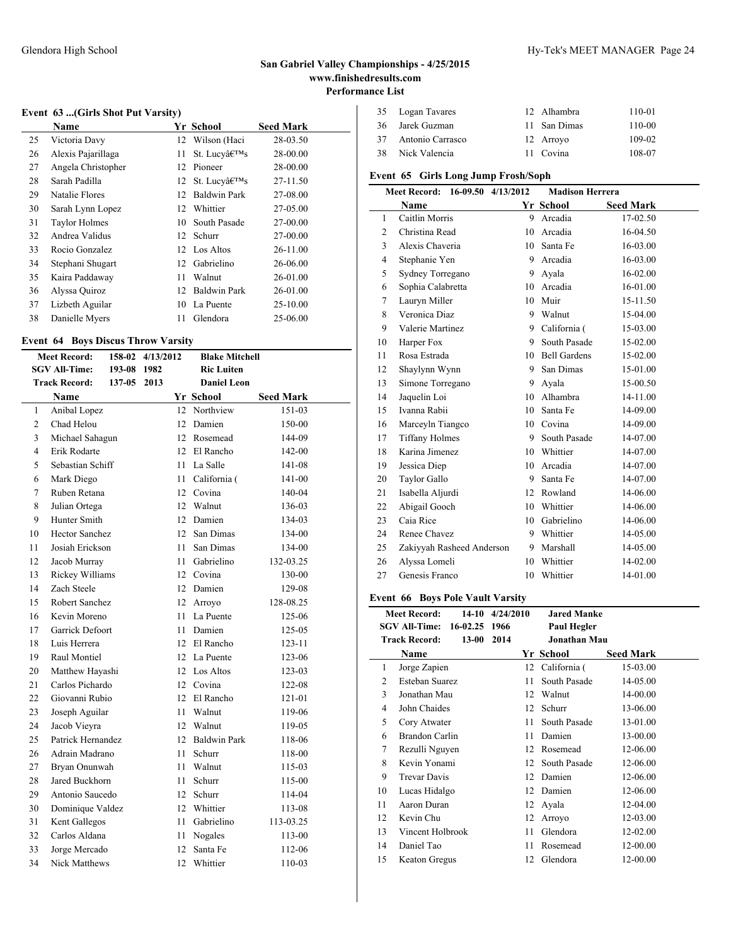### **Event 63 ...(Girls Shot Put Varsity)**

|    | Name                 |    | Yr School           | <b>Seed Mark</b> |
|----|----------------------|----|---------------------|------------------|
| 25 | Victoria Davy        |    | 12 Wilson (Haci     | 28-03.50         |
| 26 | Alexis Pajarillaga   | 11 | St. Lucv's          | 28-00.00         |
| 27 | Angela Christopher   | 12 | Pioneer             | 28-00.00         |
| 28 | Sarah Padilla        |    | 12 St. Lucy's       | 27-11.50         |
| 29 | Natalie Flores       | 12 | Baldwin Park        | 27-08.00         |
| 30 | Sarah Lynn Lopez     | 12 | Whittier            | 27-05.00         |
| 31 | <b>Taylor Holmes</b> | 10 | South Pasade        | 27-00.00         |
| 32 | Andrea Validus       | 12 | Schurr              | 27-00.00         |
| 33 | Rocio Gonzalez       |    | 12 Los Altos        | 26-11.00         |
| 34 | Stephani Shugart     | 12 | Gabrielino          | 26-06.00         |
| 35 | Kaira Paddaway       | 11 | Walnut              | 26-01.00         |
| 36 | Alyssa Quiroz        | 12 | <b>Baldwin Park</b> | 26-01.00         |
| 37 | Lizbeth Aguilar      | 10 | La Puente           | 25-10.00         |
| 38 | Danielle Myers       | 11 | Glendora            | 25-06.00         |

### **Event 64 Boys Discus Throw Varsity**

| 158-02<br><b>Meet Record:</b> |    | 4/13/2012             |        | <b>Blake Mitchell</b> |     |                     |                  |  |
|-------------------------------|----|-----------------------|--------|-----------------------|-----|---------------------|------------------|--|
|                               |    | <b>SGV All-Time:</b>  | 193-08 | 1982                  |     | <b>Ric Luiten</b>   |                  |  |
|                               |    | <b>Track Record:</b>  | 137-05 | 2013                  |     | Daniel Leon         |                  |  |
|                               |    | <b>Name</b>           |        |                       |     | Yr School           | <b>Seed Mark</b> |  |
|                               | 1  | Anibal Lopez          |        |                       | 12  | Northview           | 151-03           |  |
|                               | 2  | Chad Helou            |        |                       | 12  | Damien              | 150-00           |  |
|                               | 3  | Michael Sahagun       |        |                       |     | 12 Rosemead         | 144-09           |  |
|                               | 4  | Erik Rodarte          |        |                       |     | 12 El Rancho        | 142-00           |  |
|                               | 5  | Sebastian Schiff      |        |                       | 11  | La Salle            | 141-08           |  |
|                               | 6  | Mark Diego            |        |                       | 11  | California (        | 141-00           |  |
|                               | 7  | Ruben Retana          |        |                       |     | 12 Covina           | 140-04           |  |
|                               | 8  | Julian Ortega         |        |                       | 12  | Walnut              | 136-03           |  |
|                               | 9  | Hunter Smith          |        |                       |     | 12 Damien           | 134-03           |  |
|                               | 10 | <b>Hector Sanchez</b> |        |                       |     | 12 San Dimas        | 134-00           |  |
|                               | 11 | Josiah Erickson       |        |                       | 11  | San Dimas           | 134-00           |  |
|                               | 12 | Jacob Murray          |        |                       | 11  | Gabrielino          | 132-03.25        |  |
|                               | 13 | Rickey Williams       |        |                       |     | 12 Covina           | 130-00           |  |
|                               | 14 | Zach Steele           |        |                       |     | 12 Damien           | 129-08           |  |
|                               | 15 | Robert Sanchez        |        |                       |     | 12 Arroyo           | 128-08.25        |  |
|                               | 16 | Kevin Moreno          |        |                       |     | 11 La Puente        | 125-06           |  |
|                               | 17 | Garrick Defoort       |        |                       | 11. | Damien              | 125-05           |  |
|                               | 18 | Luis Herrera          |        |                       |     | 12 El Rancho        | $123 - 11$       |  |
|                               | 19 | Raul Montiel          |        |                       |     | 12 La Puente        | 123-06           |  |
|                               | 20 | Matthew Hayashi       |        |                       |     | 12 Los Altos        | 123-03           |  |
|                               | 21 | Carlos Pichardo       |        |                       |     | 12 Covina           | 122-08           |  |
|                               | 22 | Giovanni Rubio        |        |                       | 12  | El Rancho           | 121-01           |  |
|                               | 23 | Joseph Aguilar        |        |                       | 11  | Walnut              | 119-06           |  |
|                               | 24 | Jacob Vieyra          |        |                       |     | 12 Walnut           | 119-05           |  |
|                               | 25 | Patrick Hernandez     |        |                       | 12  | <b>Baldwin Park</b> | 118-06           |  |
|                               | 26 | Adrain Madrano        |        |                       | 11  | Schurr              | 118-00           |  |
|                               | 27 | Bryan Onunwah         |        |                       | 11  | Walnut              | 115-03           |  |
|                               | 28 | Jared Buckhorn        |        |                       | 11  | Schurr              | 115-00           |  |
|                               | 29 | Antonio Saucedo       |        |                       | 12  | Schurr              | 114-04           |  |
|                               | 30 | Dominique Valdez      |        |                       | 12  | Whittier            | 113-08           |  |
|                               | 31 | Kent Gallegos         |        |                       | 11- | Gabrielino          | 113-03.25        |  |
|                               | 32 | Carlos Aldana         |        |                       | 11  | Nogales             | 113-00           |  |
|                               | 33 | Jorge Mercado         |        |                       | 12  | Santa Fe            | 112-06           |  |
|                               | 34 | <b>Nick Matthews</b>  |        |                       | 12  | Whittier            | 110-03           |  |
|                               |    |                       |        |                       |     |                     |                  |  |

| 35 Logan Tavares    | 12 Alhambra  | 110-01   |
|---------------------|--------------|----------|
| 36 Jarek Guzman     | 11 San Dimas | $110-00$ |
| 37 Antonio Carrasco | 12 Arrovo    | 109-02   |
| 38 Nick Valencia    | 11 Covina    | 108-07   |

# **Event 65 Girls Long Jump Frosh/Soph**

| 16-09.50 4/13/2012<br><b>Meet Record:</b> |                           |    | <b>Madison Herrera</b> |                  |
|-------------------------------------------|---------------------------|----|------------------------|------------------|
|                                           | <b>Name</b>               |    | Yr School              | <b>Seed Mark</b> |
| 1                                         | Caitlin Morris            | 9  | Arcadia                | 17-02.50         |
| $\overline{c}$                            | Christina Read            | 10 | Arcadia                | 16-04.50         |
| 3                                         | Alexis Chaveria           | 10 | Santa Fe               | 16-03.00         |
| 4                                         | Stephanie Yen             | 9  | Arcadia                | 16-03.00         |
| 5                                         | Sydney Torregano          | 9  | Ayala                  | 16-02.00         |
| 6                                         | Sophia Calabretta         | 10 | Arcadia                | 16-01.00         |
| 7                                         | Lauryn Miller             | 10 | Muir                   | 15-11.50         |
| 8                                         | Veronica Diaz             | 9  | Walnut                 | 15-04.00         |
| 9                                         | Valerie Martinez          |    | 9 California (         | 15-03.00         |
| 10                                        | Harper Fox                | 9  | South Pasade           | 15-02.00         |
| 11                                        | Rosa Estrada              |    | 10 Bell Gardens        | 15-02.00         |
| 12                                        | Shaylynn Wynn             | 9  | San Dimas              | 15-01.00         |
| 13                                        | Simone Torregano          | 9  | Ayala                  | 15-00.50         |
| 14                                        | Jaquelin Loi              | 10 | Alhambra               | 14-11.00         |
| 15                                        | Ivanna Rabii              | 10 | Santa Fe               | 14-09.00         |
| 16                                        | Marceyln Tiangco          |    | 10 Covina              | 14-09.00         |
| 17                                        | <b>Tiffany Holmes</b>     | 9  | South Pasade           | 14-07.00         |
| 18                                        | Karina Jimenez            | 10 | Whittier               | 14-07.00         |
| 19                                        | Jessica Diep              | 10 | Arcadia                | 14-07.00         |
| 20                                        | <b>Taylor Gallo</b>       | 9  | Santa Fe               | 14-07.00         |
| 21                                        | Isabella Aljurdi          | 12 | Rowland                | 14-06.00         |
| 22                                        | Abigail Gooch             |    | 10 Whittier            | 14-06.00         |
| 23                                        | Caia Rice                 | 10 | Gabrielino             | 14-06.00         |
| 24                                        | Renee Chavez              | 9  | Whittier               | 14-05.00         |
| 25                                        | Zakiyyah Rasheed Anderson | 9  | Marshall               | 14-05.00         |
| 26                                        | Alyssa Lomeli             | 10 | Whittier               | 14-02.00         |
| 27                                        | Genesis Franco            | 10 | Whittier               | 14-01.00         |

### **Event 66 Boys Pole Vault Varsity**

|    | <b>Meet Record:</b>                   | $14-10$ $4/24/2010$ | <b>Jared Manke</b>  |                  |
|----|---------------------------------------|---------------------|---------------------|------------------|
|    | <b>SGV All-Time:</b><br>16-02.25 1966 |                     | <b>Paul Hegler</b>  |                  |
|    | <b>Track Record:</b><br>$13 - 00$     | 2014                | <b>Jonathan Mau</b> |                  |
|    | Name                                  |                     | Yr School           | <b>Seed Mark</b> |
| 1  | Jorge Zapien                          |                     | 12 California (     | 15-03.00         |
| 2  | <b>Esteban Suarez</b>                 | 11                  | South Pasade        | 14-05.00         |
| 3  | Jonathan Mau                          | 12                  | Walnut              | 14-00.00         |
| 4  | John Chaides                          | 12                  | Schurr              | 13-06.00         |
| 5  | Cory Atwater                          | 11                  | South Pasade        | 13-01.00         |
| 6  | <b>Brandon Carlin</b>                 | 11                  | Damien              | 13-00.00         |
| 7  | Rezulli Nguyen                        | 12                  | Rosemead            | 12-06.00         |
| 8  | Kevin Yonami                          | 12                  | South Pasade        | 12-06.00         |
| 9  | <b>Trevar Davis</b>                   | 12                  | Damien              | 12-06.00         |
| 10 | Lucas Hidalgo                         | 12                  | Damien              | 12-06.00         |
| 11 | Aaron Duran                           | 12                  | Ayala               | 12-04.00         |
| 12 | Kevin Chu                             | 12                  | Arroyo              | 12-03.00         |
| 13 | Vincent Holbrook                      | 11                  | Glendora            | 12-02.00         |
| 14 | Daniel Tao                            | 11                  | Rosemead            | 12-00.00         |
| 15 | <b>Keaton Gregus</b>                  | 12                  | Glendora            | 12-00.00         |